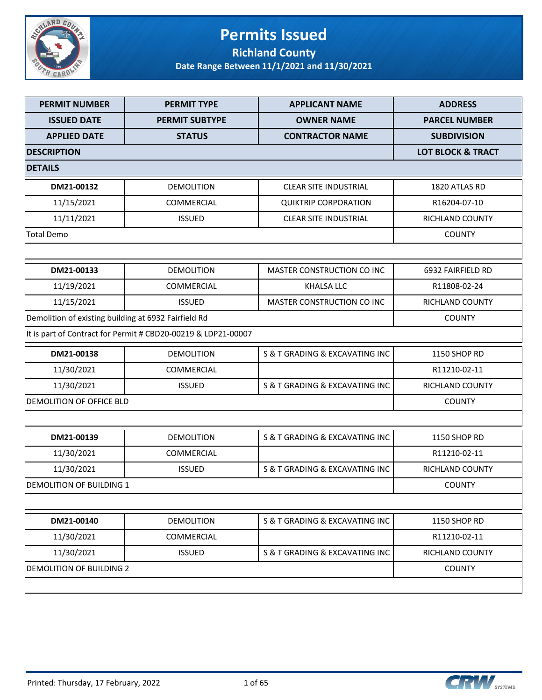

## **Permits Issued Richland County**

| <b>PERMIT NUMBER</b>                                 | <b>PERMIT TYPE</b>                                            | <b>APPLICANT NAME</b>          | <b>ADDRESS</b>       |
|------------------------------------------------------|---------------------------------------------------------------|--------------------------------|----------------------|
| <b>ISSUED DATE</b>                                   | <b>PERMIT SUBTYPE</b>                                         | <b>OWNER NAME</b>              | <b>PARCEL NUMBER</b> |
| <b>APPLIED DATE</b>                                  | <b>STATUS</b>                                                 | <b>CONTRACTOR NAME</b>         | <b>SUBDIVISION</b>   |
| <b>DESCRIPTION</b>                                   | <b>LOT BLOCK &amp; TRACT</b>                                  |                                |                      |
| <b>DETAILS</b>                                       |                                                               |                                |                      |
| DM21-00132                                           | <b>DEMOLITION</b>                                             | <b>CLEAR SITE INDUSTRIAL</b>   | 1820 ATLAS RD        |
| 11/15/2021                                           | <b>COMMERCIAL</b>                                             | <b>QUIKTRIP CORPORATION</b>    | R16204-07-10         |
| 11/11/2021                                           | <b>ISSUED</b>                                                 | <b>CLEAR SITE INDUSTRIAL</b>   | RICHLAND COUNTY      |
| <b>Total Demo</b>                                    |                                                               |                                | <b>COUNTY</b>        |
|                                                      |                                                               |                                |                      |
| DM21-00133                                           | <b>DEMOLITION</b>                                             | MASTER CONSTRUCTION CO INC     | 6932 FAIRFIELD RD    |
| 11/19/2021                                           | COMMERCIAL                                                    | <b>KHALSA LLC</b>              | R11808-02-24         |
| 11/15/2021                                           | <b>ISSUED</b>                                                 | MASTER CONSTRUCTION CO INC     | RICHLAND COUNTY      |
| Demolition of existing building at 6932 Fairfield Rd |                                                               |                                | <b>COUNTY</b>        |
|                                                      | It is part of Contract for Permit # CBD20-00219 & LDP21-00007 |                                |                      |
| DM21-00138                                           | <b>DEMOLITION</b>                                             | S & T GRADING & EXCAVATING INC | <b>1150 SHOP RD</b>  |
| 11/30/2021                                           | COMMERCIAL                                                    |                                | R11210-02-11         |
| 11/30/2021                                           | <b>ISSUED</b>                                                 | S & T GRADING & EXCAVATING INC | RICHLAND COUNTY      |
| DEMOLITION OF OFFICE BLD                             |                                                               |                                | <b>COUNTY</b>        |
|                                                      |                                                               |                                |                      |
| DM21-00139                                           | <b>DEMOLITION</b>                                             | S & T GRADING & EXCAVATING INC | 1150 SHOP RD         |
| 11/30/2021                                           | <b>COMMERCIAL</b>                                             |                                | R11210-02-11         |
| 11/30/2021                                           | <b>ISSUED</b>                                                 | S & T GRADING & EXCAVATING INC | RICHLAND COUNTY      |
| <b>DEMOLITION OF BUILDING 1</b>                      |                                                               |                                | <b>COUNTY</b>        |
|                                                      |                                                               |                                |                      |
| DM21-00140                                           | <b>DEMOLITION</b>                                             | S & T GRADING & EXCAVATING INC | 1150 SHOP RD         |
| 11/30/2021                                           | <b>COMMERCIAL</b>                                             |                                | R11210-02-11         |
| 11/30/2021                                           | <b>ISSUED</b>                                                 | S & T GRADING & EXCAVATING INC | RICHLAND COUNTY      |
| DEMOLITION OF BUILDING 2                             |                                                               |                                | <b>COUNTY</b>        |
|                                                      |                                                               |                                |                      |

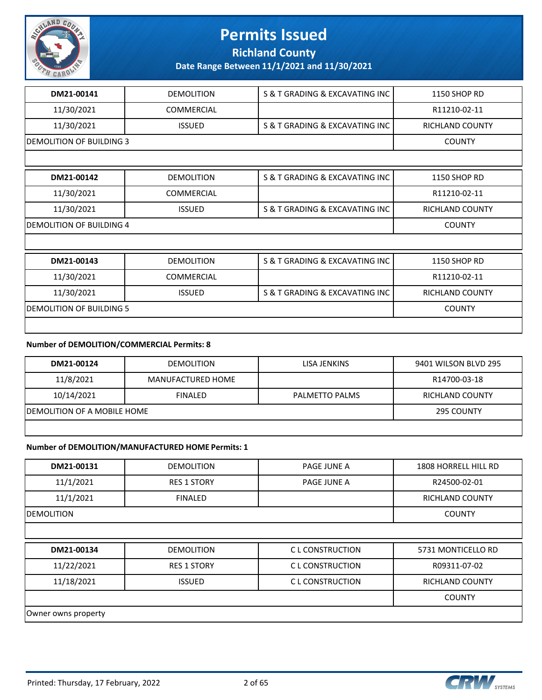

**Richland County**

**Date Range Between 11/1/2021 and 11/30/2021**

| DM21-00141                      | <b>DEMOLITION</b> | S & T GRADING & EXCAVATING INC | <b>1150 SHOP RD</b>    |
|---------------------------------|-------------------|--------------------------------|------------------------|
| 11/30/2021                      | <b>COMMERCIAL</b> |                                | R11210-02-11           |
| 11/30/2021                      | <b>ISSUED</b>     | S & T GRADING & EXCAVATING INC | <b>RICHLAND COUNTY</b> |
| <b>DEMOLITION OF BUILDING 3</b> |                   |                                | <b>COUNTY</b>          |
|                                 |                   |                                |                        |
| DM21-00142                      | <b>DEMOLITION</b> | S & T GRADING & EXCAVATING INC | <b>1150 SHOP RD</b>    |
| 11/30/2021                      | <b>COMMERCIAL</b> |                                | R11210-02-11           |
| 11/30/2021                      | <b>ISSUED</b>     | S & T GRADING & EXCAVATING INC | RICHLAND COUNTY        |
| <b>DEMOLITION OF BUILDING 4</b> | <b>COUNTY</b>     |                                |                        |
|                                 |                   |                                |                        |
| DM21-00143                      | <b>DEMOLITION</b> | S & T GRADING & EXCAVATING INC | <b>1150 SHOP RD</b>    |
| 11/30/2021                      | <b>COMMERCIAL</b> |                                | R11210-02-11           |
| 11/30/2021                      | <b>ISSUED</b>     | S & T GRADING & EXCAVATING INC | <b>RICHLAND COUNTY</b> |
| <b>DEMOLITION OF BUILDING 5</b> | <b>COUNTY</b>     |                                |                        |
|                                 |                   |                                |                        |

#### **Number of DEMOLITION/COMMERCIAL Permits: 8**

| DM21-00124                   | <b>DEMOLITION</b> | LISA JENKINS   | 9401 WILSON BLVD 295 |
|------------------------------|-------------------|----------------|----------------------|
| 11/8/2021                    | MANUFACTURED HOME |                | R14700-03-18         |
| 10/14/2021                   | <b>FINALED</b>    | PALMETTO PALMS | RICHLAND COUNTY      |
| IDEMOLITION OF A MOBILE HOME | 295 COUNTY        |                |                      |
|                              |                   |                |                      |

#### **Number of DEMOLITION/MANUFACTURED HOME Permits: 1**

| DM21-00131 | <b>DEMOLITION</b>  | <b>PAGE JUNE A</b> | 1808 HORRELL HILL RD   |
|------------|--------------------|--------------------|------------------------|
| 11/1/2021  | <b>RES 1 STORY</b> | PAGE JUNE A        | R24500-02-01           |
| 11/1/2021  | <b>FINALED</b>     |                    | <b>RICHLAND COUNTY</b> |
| DEMOLITION |                    |                    | <b>COUNTY</b>          |
|            |                    |                    |                        |
| DM21-00134 | <b>DEMOLITION</b>  | C L CONSTRUCTION   | 5731 MONTICELLO RD     |
| 11/22/2021 | <b>RES 1 STORY</b> | C L CONSTRUCTION   | R09311-07-02           |
| 11/18/2021 | <b>ISSUED</b>      | C L CONSTRUCTION   | <b>RICHLAND COUNTY</b> |
|            |                    |                    | <b>COUNTY</b>          |
|            |                    |                    |                        |

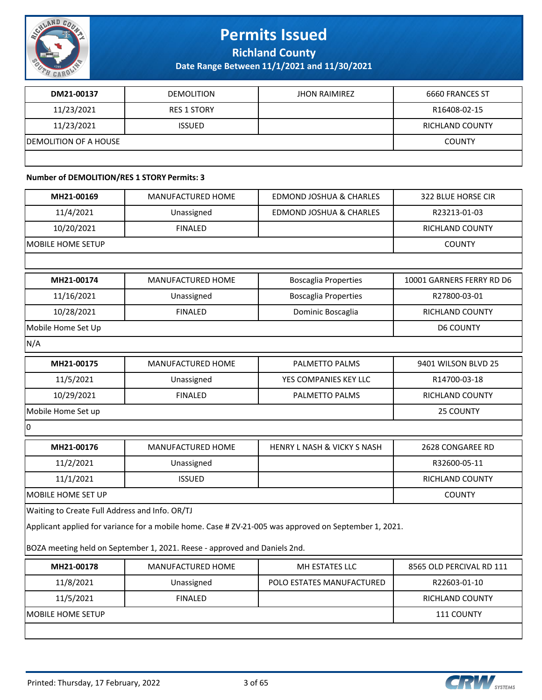

**Richland County**

**Date Range Between 11/1/2021 and 11/30/2021**

| DM21-00137                    | <b>DEMOLITION</b>  | <b>JHON RAIMIREZ</b> | 6660 FRANCES ST |
|-------------------------------|--------------------|----------------------|-----------------|
| 11/23/2021                    | <b>RES 1 STORY</b> |                      | R16408-02-15    |
| 11/23/2021                    | <b>ISSUED</b>      |                      | RICHLAND COUNTY |
| <b>IDEMOLITION OF A HOUSE</b> |                    |                      | <b>COUNTY</b>   |
|                               |                    |                      |                 |

### **Number of DEMOLITION/RES 1 STORY Permits: 3**

| MH21-00169                                     | MANUFACTURED HOME                                                         | <b>EDMOND JOSHUA &amp; CHARLES</b>                                                                    | 322 BLUE HORSE CIR        |
|------------------------------------------------|---------------------------------------------------------------------------|-------------------------------------------------------------------------------------------------------|---------------------------|
| 11/4/2021                                      | Unassigned                                                                | <b>EDMOND JOSHUA &amp; CHARLES</b>                                                                    | R23213-01-03              |
| 10/20/2021                                     | <b>FINALED</b>                                                            |                                                                                                       | <b>RICHLAND COUNTY</b>    |
| MOBILE HOME SETUP                              |                                                                           |                                                                                                       | <b>COUNTY</b>             |
|                                                |                                                                           |                                                                                                       |                           |
| MH21-00174                                     | <b>MANUFACTURED HOME</b>                                                  | <b>Boscaglia Properties</b>                                                                           | 10001 GARNERS FERRY RD D6 |
| 11/16/2021                                     | Unassigned                                                                | <b>Boscaglia Properties</b>                                                                           | R27800-03-01              |
| 10/28/2021                                     | <b>FINALED</b>                                                            | Dominic Boscaglia                                                                                     | RICHLAND COUNTY           |
| Mobile Home Set Up                             |                                                                           |                                                                                                       | <b>D6 COUNTY</b>          |
| N/A                                            |                                                                           |                                                                                                       |                           |
| MH21-00175                                     | MANUFACTURED HOME                                                         | PALMETTO PALMS                                                                                        | 9401 WILSON BLVD 25       |
| 11/5/2021                                      | Unassigned                                                                | YES COMPANIES KEY LLC                                                                                 | R14700-03-18              |
| 10/29/2021                                     | <b>FINALED</b>                                                            | PALMETTO PALMS                                                                                        | RICHLAND COUNTY           |
| Mobile Home Set up                             |                                                                           |                                                                                                       | 25 COUNTY                 |
| 0                                              |                                                                           |                                                                                                       |                           |
| MH21-00176                                     | <b>MANUFACTURED HOME</b>                                                  | <b>HENRY L NASH &amp; VICKY S NASH</b>                                                                | 2628 CONGAREE RD          |
| 11/2/2021                                      | Unassigned                                                                |                                                                                                       | R32600-05-11              |
| 11/1/2021                                      | <b>ISSUED</b>                                                             |                                                                                                       | <b>RICHLAND COUNTY</b>    |
| MOBILE HOME SET UP                             |                                                                           |                                                                                                       | <b>COUNTY</b>             |
| Waiting to Create Full Address and Info. OR/TJ |                                                                           |                                                                                                       |                           |
|                                                |                                                                           | Applicant applied for variance for a mobile home. Case # ZV-21-005 was approved on September 1, 2021. |                           |
|                                                | BOZA meeting held on September 1, 2021. Reese - approved and Daniels 2nd. |                                                                                                       |                           |
| MH21-00178                                     | MANUFACTURED HOME                                                         | MH ESTATES LLC                                                                                        | 8565 OLD PERCIVAL RD 111  |
| 11/8/2021                                      | Unassigned                                                                | POLO ESTATES MANUFACTURED                                                                             | R22603-01-10              |
| 11/5/2021                                      | <b>FINALED</b>                                                            |                                                                                                       | RICHLAND COUNTY           |
| MOBILE HOME SETUP                              |                                                                           |                                                                                                       | 111 COUNTY                |
|                                                |                                                                           |                                                                                                       |                           |
|                                                |                                                                           |                                                                                                       |                           |

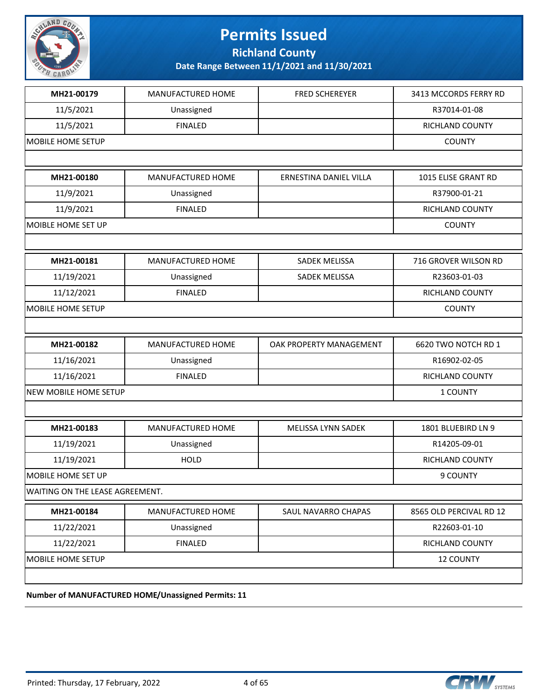

**Richland County**

| 11/5/2021<br><b>MOBILE HOME SETUP</b> | <b>FINALED</b>    |                         | RICHLAND COUNTY<br><b>COUNTY</b> |
|---------------------------------------|-------------------|-------------------------|----------------------------------|
|                                       |                   |                         |                                  |
| MH21-00180                            | MANUFACTURED HOME | ERNESTINA DANIEL VILLA  | 1015 ELISE GRANT RD              |
| 11/9/2021                             | Unassigned        |                         | R37900-01-21                     |
| 11/9/2021                             | <b>FINALED</b>    |                         | RICHLAND COUNTY                  |
| MOIBLE HOME SET UP                    |                   |                         | <b>COUNTY</b>                    |
|                                       |                   |                         |                                  |
| MH21-00181                            | MANUFACTURED HOME | SADEK MELISSA           | 716 GROVER WILSON RD             |
| 11/19/2021                            | Unassigned        | SADEK MELISSA           | R23603-01-03                     |
| 11/12/2021                            | <b>FINALED</b>    |                         | RICHLAND COUNTY                  |
| MOBILE HOME SETUP                     |                   |                         | <b>COUNTY</b>                    |
|                                       |                   |                         |                                  |
| MH21-00182                            | MANUFACTURED HOME | OAK PROPERTY MANAGEMENT | 6620 TWO NOTCH RD 1              |
| 11/16/2021                            | Unassigned        |                         | R16902-02-05                     |
| 11/16/2021                            | <b>FINALED</b>    |                         | RICHLAND COUNTY                  |
| NEW MOBILE HOME SETUP                 | 1 COUNTY          |                         |                                  |
|                                       |                   |                         |                                  |
| MH21-00183                            | MANUFACTURED HOME | MELISSA LYNN SADEK      | 1801 BLUEBIRD LN 9               |
| 11/19/2021                            | Unassigned        |                         | R14205-09-01                     |
| 11/19/2021                            | <b>HOLD</b>       |                         | RICHLAND COUNTY                  |
| MOBILE HOME SET UP                    |                   |                         | 9 COUNTY                         |
| WAITING ON THE LEASE AGREEMENT.       |                   |                         |                                  |
| MH21-00184                            | MANUFACTURED HOME | SAUL NAVARRO CHAPAS     | 8565 OLD PERCIVAL RD 12          |
| 11/22/2021                            | Unassigned        |                         | R22603-01-10                     |
|                                       | <b>FINALED</b>    |                         | RICHLAND COUNTY                  |
| 11/22/2021                            |                   |                         |                                  |

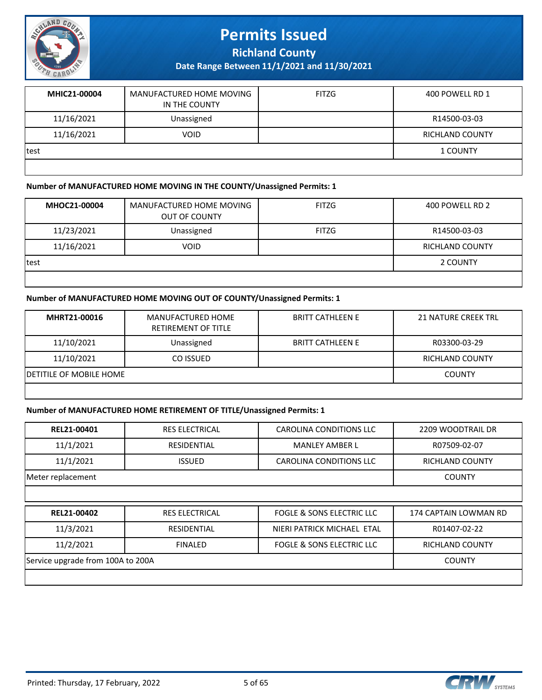

**Richland County**

**Date Range Between 11/1/2021 and 11/30/2021**

| MHIC21-00004 | MANUFACTURED HOME MOVING<br>IN THE COUNTY | <b>FITZG</b> | 400 POWELL RD 1        |
|--------------|-------------------------------------------|--------------|------------------------|
| 11/16/2021   | Unassigned                                |              | R14500-03-03           |
| 11/16/2021   | <b>VOID</b>                               |              | <b>RICHLAND COUNTY</b> |
| test         |                                           |              | 1 COUNTY               |
|              |                                           |              |                        |

#### **Number of MANUFACTURED HOME MOVING IN THE COUNTY/Unassigned Permits: 1**

| MHOC21-00004 | MANUFACTURED HOME MOVING<br><b>OUT OF COUNTY</b> | <b>FITZG</b> | 400 POWELL RD 2        |
|--------------|--------------------------------------------------|--------------|------------------------|
| 11/23/2021   | Unassigned                                       | FITZG        | R14500-03-03           |
| 11/16/2021   | <b>VOID</b>                                      |              | <b>RICHLAND COUNTY</b> |
| test         |                                                  |              | 2 COUNTY               |
|              |                                                  |              |                        |

#### **Number of MANUFACTURED HOME MOVING OUT OF COUNTY/Unassigned Permits: 1**

| MHRT21-00016                    | MANUFACTURED HOME<br>RETIREMENT OF TITLE | <b>BRITT CATHLEEN E</b> | <b>21 NATURE CREEK TRL</b> |
|---------------------------------|------------------------------------------|-------------------------|----------------------------|
| 11/10/2021                      | Unassigned                               | <b>BRITT CATHLEEN E</b> | R03300-03-29               |
| 11/10/2021                      | CO ISSUED                                |                         | RICHLAND COUNTY            |
| <b>IDETITILE OF MOBILE HOME</b> |                                          |                         | <b>COUNTY</b>              |
|                                 |                                          |                         |                            |

#### **Number of MANUFACTURED HOME RETIREMENT OF TITLE/Unassigned Permits: 1**

| REL21-00401                       | <b>RES ELECTRICAL</b> | CAROLINA CONDITIONS LLC              | 2209 WOODTRAIL DR      |
|-----------------------------------|-----------------------|--------------------------------------|------------------------|
| 11/1/2021                         | <b>RESIDENTIAL</b>    | <b>MANLEY AMBER L</b>                | R07509-02-07           |
| 11/1/2021                         | <b>ISSUED</b>         | CAROLINA CONDITIONS LLC              | <b>RICHLAND COUNTY</b> |
| Meter replacement                 |                       |                                      | <b>COUNTY</b>          |
|                                   |                       |                                      |                        |
|                                   |                       |                                      |                        |
| REL21-00402                       | <b>RES ELECTRICAL</b> | FOGLE & SONS ELECTRIC LLC            | 174 CAPTAIN LOWMAN RD  |
| 11/3/2021                         | <b>RESIDENTIAL</b>    | NIERI PATRICK MICHAEL ETAL           | R01407-02-22           |
| 11/2/2021                         | <b>FINALED</b>        | <b>FOGLE &amp; SONS ELECTRIC LLC</b> | <b>RICHLAND COUNTY</b> |
| Service upgrade from 100A to 200A |                       |                                      | <b>COUNTY</b>          |



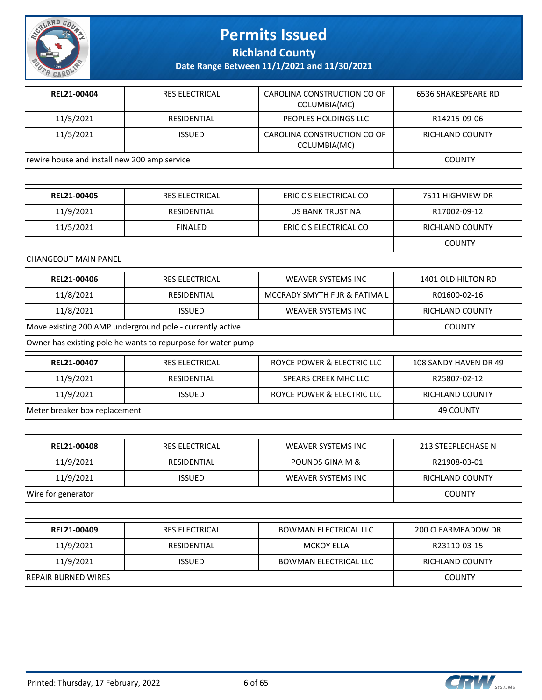

**Richland County**

| REL21-00404                                  | <b>RES ELECTRICAL</b>                                        | CAROLINA CONSTRUCTION CO OF<br>COLUMBIA(MC) | 6536 SHAKESPEARE RD   |
|----------------------------------------------|--------------------------------------------------------------|---------------------------------------------|-----------------------|
| 11/5/2021                                    | RESIDENTIAL                                                  | PEOPLES HOLDINGS LLC                        | R14215-09-06          |
| 11/5/2021                                    | <b>ISSUED</b>                                                | CAROLINA CONSTRUCTION CO OF<br>COLUMBIA(MC) | RICHLAND COUNTY       |
| rewire house and install new 200 amp service |                                                              |                                             | <b>COUNTY</b>         |
|                                              |                                                              |                                             |                       |
| REL21-00405                                  | <b>RES ELECTRICAL</b>                                        | ERIC C'S ELECTRICAL CO                      | 7511 HIGHVIEW DR      |
| 11/9/2021                                    | <b>RESIDENTIAL</b>                                           | <b>US BANK TRUST NA</b>                     | R17002-09-12          |
| 11/5/2021                                    | <b>FINALED</b>                                               | ERIC C'S ELECTRICAL CO                      | RICHLAND COUNTY       |
|                                              |                                                              |                                             | <b>COUNTY</b>         |
| CHANGEOUT MAIN PANEL                         |                                                              |                                             |                       |
| REL21-00406                                  | <b>RES ELECTRICAL</b>                                        | <b>WEAVER SYSTEMS INC</b>                   | 1401 OLD HILTON RD    |
| 11/8/2021                                    | RESIDENTIAL                                                  | MCCRADY SMYTH F JR & FATIMA L               | R01600-02-16          |
| 11/8/2021                                    | <b>ISSUED</b>                                                | <b>WEAVER SYSTEMS INC</b>                   | RICHLAND COUNTY       |
|                                              | Move existing 200 AMP underground pole - currently active    |                                             | <b>COUNTY</b>         |
|                                              | Owner has existing pole he wants to repurpose for water pump |                                             |                       |
| REL21-00407                                  | RES ELECTRICAL                                               | ROYCE POWER & ELECTRIC LLC                  | 108 SANDY HAVEN DR 49 |
| 11/9/2021                                    | RESIDENTIAL                                                  | SPEARS CREEK MHC LLC                        | R25807-02-12          |
| 11/9/2021                                    | <b>ISSUED</b>                                                | ROYCE POWER & ELECTRIC LLC                  | RICHLAND COUNTY       |
| Meter breaker box replacement                | <b>49 COUNTY</b>                                             |                                             |                       |
|                                              |                                                              |                                             |                       |
| REL21-00408                                  | <b>RES ELECTRICAL</b>                                        | <b>WEAVER SYSTEMS INC</b>                   | 213 STEEPLECHASE N    |
| 11/9/2021                                    | RESIDENTIAL                                                  | <b>POUNDS GINA M &amp;</b>                  | R21908-03-01          |
| 11/9/2021                                    | <b>ISSUED</b>                                                | WEAVER SYSTEMS INC                          | RICHLAND COUNTY       |
| Wire for generator                           |                                                              |                                             | <b>COUNTY</b>         |
|                                              |                                                              |                                             |                       |
| REL21-00409                                  | <b>RES ELECTRICAL</b>                                        | BOWMAN ELECTRICAL LLC                       | 200 CLEARMEADOW DR    |
| 11/9/2021                                    | <b>RESIDENTIAL</b>                                           | <b>MCKOY ELLA</b>                           | R23110-03-15          |
| 11/9/2021                                    | <b>ISSUED</b>                                                | BOWMAN ELECTRICAL LLC                       | RICHLAND COUNTY       |
| <b>REPAIR BURNED WIRES</b>                   |                                                              |                                             | <b>COUNTY</b>         |

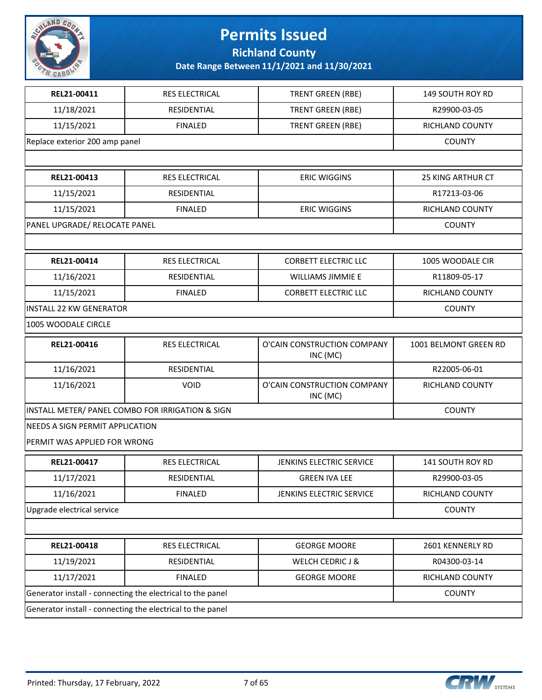

**Richland County**

| REL21-00411                                      | RES ELECTRICAL                                             | TRENT GREEN (RBE)                       | 149 SOUTH ROY RD         |  |  |
|--------------------------------------------------|------------------------------------------------------------|-----------------------------------------|--------------------------|--|--|
| 11/18/2021                                       | RESIDENTIAL                                                | <b>TRENT GREEN (RBE)</b>                | R29900-03-05             |  |  |
| 11/15/2021                                       | <b>FINALED</b>                                             | <b>TRENT GREEN (RBE)</b>                | RICHLAND COUNTY          |  |  |
|                                                  | Replace exterior 200 amp panel                             |                                         |                          |  |  |
|                                                  |                                                            |                                         |                          |  |  |
| REL21-00413                                      | <b>RES ELECTRICAL</b>                                      | <b>ERIC WIGGINS</b>                     | <b>25 KING ARTHUR CT</b> |  |  |
| 11/15/2021                                       | RESIDENTIAL                                                |                                         | R17213-03-06             |  |  |
| 11/15/2021                                       | <b>FINALED</b>                                             | <b>ERIC WIGGINS</b>                     | RICHLAND COUNTY          |  |  |
| PANEL UPGRADE/ RELOCATE PANEL                    |                                                            |                                         | <b>COUNTY</b>            |  |  |
|                                                  |                                                            |                                         |                          |  |  |
| REL21-00414                                      | RES ELECTRICAL                                             | <b>CORBETT ELECTRIC LLC</b>             | 1005 WOODALE CIR         |  |  |
| 11/16/2021                                       | RESIDENTIAL                                                | <b>WILLIAMS JIMMIE E</b>                | R11809-05-17             |  |  |
| 11/15/2021                                       | <b>FINALED</b>                                             | <b>CORBETT ELECTRIC LLC</b>             | RICHLAND COUNTY          |  |  |
| <b>INSTALL 22 KW GENERATOR</b>                   |                                                            |                                         | <b>COUNTY</b>            |  |  |
| 1005 WOODALE CIRCLE                              |                                                            |                                         |                          |  |  |
| REL21-00416                                      | RES ELECTRICAL                                             | O'CAIN CONSTRUCTION COMPANY<br>INC (MC) | 1001 BELMONT GREEN RD    |  |  |
| 11/16/2021                                       | RESIDENTIAL                                                |                                         | R22005-06-01             |  |  |
| 11/16/2021                                       | <b>VOID</b>                                                | O'CAIN CONSTRUCTION COMPANY<br>INC (MC) | RICHLAND COUNTY          |  |  |
| INSTALL METER/ PANEL COMBO FOR IRRIGATION & SIGN | <b>COUNTY</b>                                              |                                         |                          |  |  |
| NEEDS A SIGN PERMIT APPLICATION                  |                                                            |                                         |                          |  |  |
| PERMIT WAS APPLIED FOR WRONG                     |                                                            |                                         |                          |  |  |
| REL21-00417                                      | RES ELECTRICAL                                             | JENKINS ELECTRIC SERVICE                | 141 SOUTH ROY RD         |  |  |
| 11/17/2021                                       | <b>RESIDENTIAL</b>                                         | <b>GREEN IVA LEE</b>                    | R29900-03-05             |  |  |
| 11/16/2021                                       | <b>FINALED</b>                                             | JENKINS ELECTRIC SERVICE                | RICHLAND COUNTY          |  |  |
| Upgrade electrical service                       |                                                            |                                         | <b>COUNTY</b>            |  |  |
|                                                  |                                                            |                                         |                          |  |  |
| REL21-00418                                      | RES ELECTRICAL                                             | <b>GEORGE MOORE</b>                     | 2601 KENNERLY RD         |  |  |
| 11/19/2021                                       | RESIDENTIAL                                                | <b>WELCH CEDRIC J &amp;</b>             | R04300-03-14             |  |  |
| 11/17/2021                                       | <b>FINALED</b>                                             | <b>GEORGE MOORE</b>                     | RICHLAND COUNTY          |  |  |
|                                                  | Generator install - connecting the electrical to the panel |                                         | <b>COUNTY</b>            |  |  |
|                                                  | Generator install - connecting the electrical to the panel |                                         |                          |  |  |

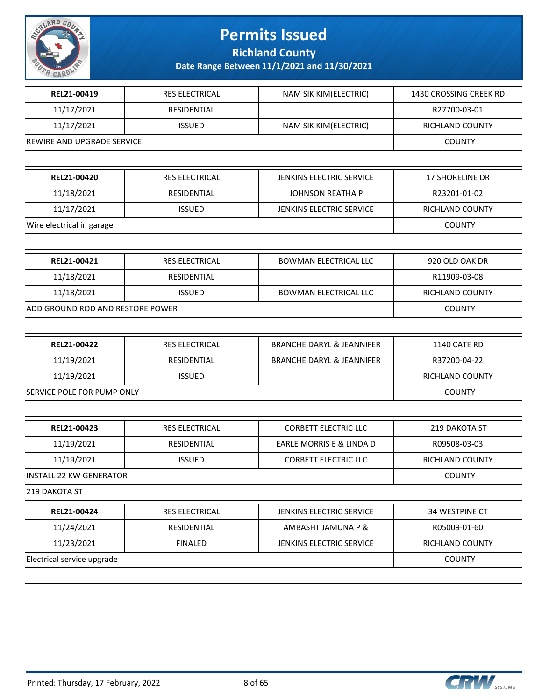

**Richland County**

| REL21-00419                      | RES ELECTRICAL             | NAM SIK KIM(ELECTRIC)                | 1430 CROSSING CREEK RD |  |  |
|----------------------------------|----------------------------|--------------------------------------|------------------------|--|--|
| 11/17/2021                       | RESIDENTIAL                |                                      | R27700-03-01           |  |  |
| 11/17/2021                       | <b>ISSUED</b>              | NAM SIK KIM(ELECTRIC)                | RICHLAND COUNTY        |  |  |
|                                  | REWIRE AND UPGRADE SERVICE |                                      |                        |  |  |
|                                  |                            |                                      |                        |  |  |
| REL21-00420                      | RES ELECTRICAL             | JENKINS ELECTRIC SERVICE             | 17 SHORELINE DR        |  |  |
| 11/18/2021                       | RESIDENTIAL                | <b>JOHNSON REATHA P</b>              | R23201-01-02           |  |  |
| 11/17/2021                       | <b>ISSUED</b>              | JENKINS ELECTRIC SERVICE             | <b>RICHLAND COUNTY</b> |  |  |
| Wire electrical in garage        |                            |                                      | <b>COUNTY</b>          |  |  |
|                                  |                            |                                      |                        |  |  |
| REL21-00421                      | <b>RES ELECTRICAL</b>      | <b>BOWMAN ELECTRICAL LLC</b>         | 920 OLD OAK DR         |  |  |
| 11/18/2021                       | RESIDENTIAL                |                                      | R11909-03-08           |  |  |
| 11/18/2021                       | <b>ISSUED</b>              | <b>BOWMAN ELECTRICAL LLC</b>         | RICHLAND COUNTY        |  |  |
| ADD GROUND ROD AND RESTORE POWER |                            |                                      | COUNTY                 |  |  |
|                                  |                            |                                      |                        |  |  |
| REL21-00422                      | <b>RES ELECTRICAL</b>      | <b>BRANCHE DARYL &amp; JEANNIFER</b> | 1140 CATE RD           |  |  |
| 11/19/2021                       | RESIDENTIAL                | <b>BRANCHE DARYL &amp; JEANNIFER</b> | R37200-04-22           |  |  |
| 11/19/2021                       | <b>ISSUED</b>              |                                      | RICHLAND COUNTY        |  |  |
| SERVICE POLE FOR PUMP ONLY       |                            |                                      | <b>COUNTY</b>          |  |  |
|                                  |                            |                                      |                        |  |  |
| REL21-00423                      | <b>RES ELECTRICAL</b>      | <b>CORBETT ELECTRIC LLC</b>          | 219 DAKOTA ST          |  |  |
| 11/19/2021                       | RESIDENTIAL                | EARLE MORRIS E & LINDA D             | R09508-03-03           |  |  |
| 11/19/2021                       | <b>ISSUED</b>              | <b>CORBETT ELECTRIC LLC</b>          | RICHLAND COUNTY        |  |  |
| <b>INSTALL 22 KW GENERATOR</b>   |                            |                                      | <b>COUNTY</b>          |  |  |
| 219 DAKOTA ST                    |                            |                                      |                        |  |  |
| REL21-00424                      | RES ELECTRICAL             | JENKINS ELECTRIC SERVICE             | 34 WESTPINE CT         |  |  |
| 11/24/2021                       | RESIDENTIAL                | AMBASHT JAMUNA P &                   | R05009-01-60           |  |  |
| 11/23/2021                       | <b>FINALED</b>             | JENKINS ELECTRIC SERVICE             | RICHLAND COUNTY        |  |  |
| Electrical service upgrade       |                            |                                      | <b>COUNTY</b>          |  |  |
|                                  |                            |                                      |                        |  |  |

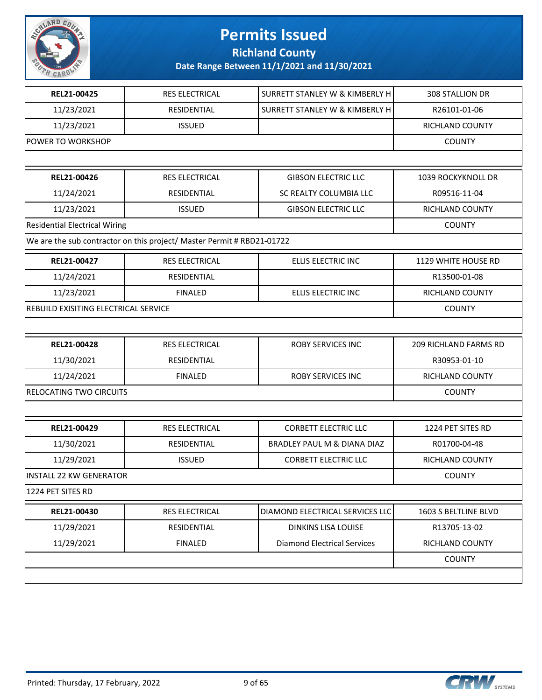

**Richland County**

| REL21-00425                          | <b>RES ELECTRICAL</b>                                                  | SURRETT STANLEY W & KIMBERLY H     | 308 STALLION DR        |
|--------------------------------------|------------------------------------------------------------------------|------------------------------------|------------------------|
| 11/23/2021                           | RESIDENTIAL                                                            | SURRETT STANLEY W & KIMBERLY H     | R26101-01-06           |
| 11/23/2021                           | <b>ISSUED</b>                                                          |                                    | RICHLAND COUNTY        |
| POWER TO WORKSHOP                    |                                                                        |                                    | <b>COUNTY</b>          |
|                                      |                                                                        |                                    |                        |
| REL21-00426                          | <b>RES ELECTRICAL</b>                                                  | <b>GIBSON ELECTRIC LLC</b>         | 1039 ROCKYKNOLL DR     |
| 11/24/2021                           | RESIDENTIAL                                                            | SC REALTY COLUMBIA LLC             | R09516-11-04           |
| 11/23/2021                           | <b>ISSUED</b>                                                          | <b>GIBSON ELECTRIC LLC</b>         | <b>RICHLAND COUNTY</b> |
| <b>Residential Electrical Wiring</b> |                                                                        |                                    | <b>COUNTY</b>          |
|                                      | We are the sub contractor on this project/ Master Permit # RBD21-01722 |                                    |                        |
| REL21-00427                          | <b>RES ELECTRICAL</b>                                                  | ELLIS ELECTRIC INC                 | 1129 WHITE HOUSE RD    |
| 11/24/2021                           | RESIDENTIAL                                                            |                                    | R13500-01-08           |
| 11/23/2021                           | <b>FINALED</b>                                                         | ELLIS ELECTRIC INC                 | RICHLAND COUNTY        |
| REBUILD EXISITING ELECTRICAL SERVICE |                                                                        |                                    | <b>COUNTY</b>          |
|                                      |                                                                        |                                    |                        |
| REL21-00428                          | RES ELECTRICAL                                                         | <b>ROBY SERVICES INC</b>           | 209 RICHLAND FARMS RD  |
| 11/30/2021                           | RESIDENTIAL                                                            |                                    | R30953-01-10           |
| 11/24/2021                           | <b>FINALED</b>                                                         | <b>ROBY SERVICES INC</b>           | RICHLAND COUNTY        |
| RELOCATING TWO CIRCUITS              |                                                                        |                                    | <b>COUNTY</b>          |
|                                      |                                                                        |                                    |                        |
| REL21-00429                          | <b>RES ELECTRICAL</b>                                                  | <b>CORBETT ELECTRIC LLC</b>        | 1224 PET SITES RD      |
| 11/30/2021                           | RESIDENTIAL                                                            | BRADLEY PAUL M & DIANA DIAZ        | R01700-04-48           |
| 11/29/2021                           | <b>ISSUED</b>                                                          | <b>CORBETT ELECTRIC LLC</b>        | RICHLAND COUNTY        |
| <b>INSTALL 22 KW GENERATOR</b>       |                                                                        |                                    | <b>COUNTY</b>          |
| 1224 PET SITES RD                    |                                                                        |                                    |                        |
| REL21-00430                          | RES ELECTRICAL                                                         | DIAMOND ELECTRICAL SERVICES LLC    | 1603 S BELTLINE BLVD   |
| 11/29/2021                           | RESIDENTIAL                                                            | <b>DINKINS LISA LOUISE</b>         | R13705-13-02           |
| 11/29/2021                           | <b>FINALED</b>                                                         | <b>Diamond Electrical Services</b> | RICHLAND COUNTY        |
|                                      |                                                                        |                                    | <b>COUNTY</b>          |
|                                      |                                                                        |                                    |                        |
|                                      |                                                                        |                                    |                        |

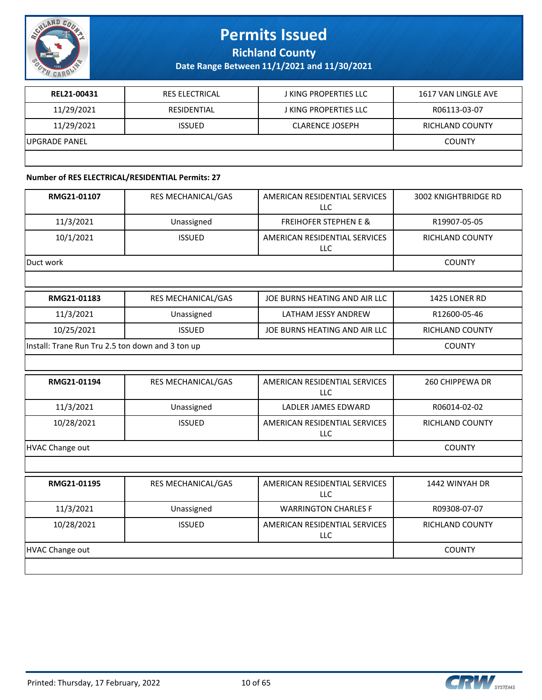

**Richland County**

**Date Range Between 11/1/2021 and 11/30/2021**

| REL21-00431    | <b>RES ELECTRICAL</b> | J KING PROPERTIES LLC        | 1617 VAN LINGLE AVE |
|----------------|-----------------------|------------------------------|---------------------|
| 11/29/2021     | RESIDENTIAL           | <b>J KING PROPERTIES LLC</b> | R06113-03-07        |
| 11/29/2021     | <b>ISSUED</b>         | <b>CLARENCE JOSEPH</b>       | RICHLAND COUNTY     |
| IUPGRADE PANEL |                       |                              | <b>COUNTY</b>       |
|                |                       |                              |                     |

#### **Number of RES ELECTRICAL/RESIDENTIAL Permits: 27**

| RMG21-01107                                      | RES MECHANICAL/GAS | AMERICAN RESIDENTIAL SERVICES<br><b>LLC</b> | <b>3002 KNIGHTBRIDGE RD</b> |
|--------------------------------------------------|--------------------|---------------------------------------------|-----------------------------|
| 11/3/2021                                        | Unassigned         | <b>FREIHOFER STEPHEN E &amp;</b>            | R19907-05-05                |
| 10/1/2021                                        | <b>ISSUED</b>      | AMERICAN RESIDENTIAL SERVICES<br><b>LLC</b> | RICHLAND COUNTY             |
| Duct work                                        |                    |                                             | <b>COUNTY</b>               |
|                                                  |                    |                                             |                             |
| RMG21-01183                                      | RES MECHANICAL/GAS | JOE BURNS HEATING AND AIR LLC               | 1425 LONER RD               |
| 11/3/2021                                        | Unassigned         | LATHAM JESSY ANDREW                         | R12600-05-46                |
| 10/25/2021                                       | <b>ISSUED</b>      | JOE BURNS HEATING AND AIR LLC               | <b>RICHLAND COUNTY</b>      |
| Install: Trane Run Tru 2.5 ton down and 3 ton up | <b>COUNTY</b>      |                                             |                             |
|                                                  |                    |                                             |                             |
| RMG21-01194                                      | RES MECHANICAL/GAS | AMERICAN RESIDENTIAL SERVICES<br><b>LLC</b> | 260 CHIPPEWA DR             |
| 11/3/2021                                        | Unassigned         | LADLER JAMES EDWARD                         | R06014-02-02                |
| 10/28/2021                                       | <b>ISSUED</b>      | AMERICAN RESIDENTIAL SERVICES<br>LLC        | RICHLAND COUNTY             |
| <b>HVAC Change out</b>                           |                    |                                             | <b>COUNTY</b>               |
|                                                  |                    |                                             |                             |
| RMG21-01195                                      | RES MECHANICAL/GAS | AMERICAN RESIDENTIAL SERVICES<br><b>LLC</b> | 1442 WINYAH DR              |
| 11/3/2021                                        | Unassigned         | <b>WARRINGTON CHARLES F</b>                 | R09308-07-07                |
| 10/28/2021                                       | <b>ISSUED</b>      | AMERICAN RESIDENTIAL SERVICES<br>LLC        | RICHLAND COUNTY             |
| <b>HVAC Change out</b>                           |                    |                                             | <b>COUNTY</b>               |
|                                                  |                    |                                             |                             |

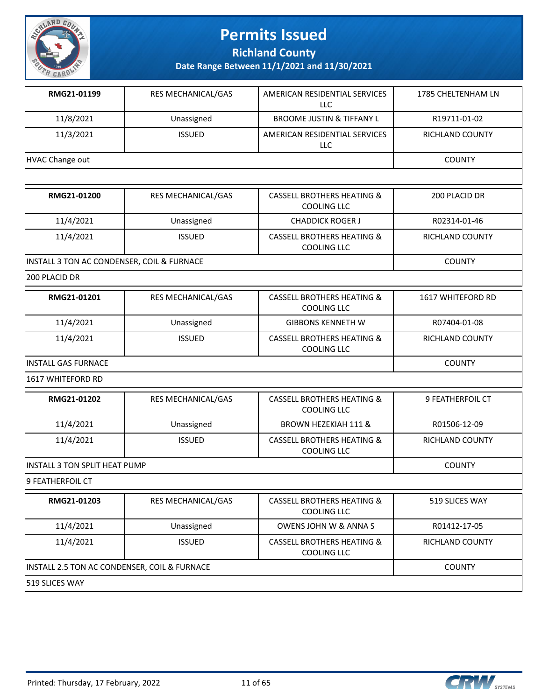

**Richland County**

**Date Range Between 11/1/2021 and 11/30/2021**

| RMG21-01199     | <b>RES MECHANICAL/GAS</b> | AMERICAN RESIDENTIAL SERVICES<br>LLC | 1785 CHELTENHAM LN     |
|-----------------|---------------------------|--------------------------------------|------------------------|
| 11/8/2021       | Unassigned                | <b>BROOME JUSTIN &amp; TIFFANY L</b> | R19711-01-02           |
| 11/3/2021       | <b>ISSUED</b>             | AMERICAN RESIDENTIAL SERVICES<br>LLC | <b>RICHLAND COUNTY</b> |
| HVAC Change out |                           |                                      | <b>COUNTY</b>          |

| RMG21-01200                                | <b>RES MECHANICAL/GAS</b> | <b>CASSELL BROTHERS HEATING &amp;</b><br>COOLING LLC        | 200 PLACID DR          |
|--------------------------------------------|---------------------------|-------------------------------------------------------------|------------------------|
| 11/4/2021                                  | Unassigned                | <b>CHADDICK ROGER J</b>                                     | R02314-01-46           |
| 11/4/2021                                  | <b>ISSUED</b>             | <b>CASSELL BROTHERS HEATING &amp;</b><br><b>COOLING LLC</b> | <b>RICHLAND COUNTY</b> |
| INSTALL 3 TON AC CONDENSER, COIL & FURNACE | <b>COUNTY</b>             |                                                             |                        |

200 PLACID DR

| RMG21-01201          | <b>RES MECHANICAL/GAS</b> | <b>CASSELL BROTHERS HEATING &amp;</b><br><b>COOLING LLC</b> | <b>1617 WHITEFORD RD</b> |
|----------------------|---------------------------|-------------------------------------------------------------|--------------------------|
| 11/4/2021            | Unassigned                | <b>GIBBONS KENNETH W</b>                                    | R07404-01-08             |
| 11/4/2021            | <b>ISSUED</b>             | <b>CASSELL BROTHERS HEATING &amp;</b><br><b>COOLING LLC</b> | <b>RICHLAND COUNTY</b>   |
| IINSTALL GAS FURNACE | <b>COUNTY</b>             |                                                             |                          |

1617 WHITEFORD RD

| RMG21-01202                           | <b>RES MECHANICAL/GAS</b> | CASSELL BROTHERS HEATING &<br>COOLING LLC            | <b>9 FEATHERFOIL CT</b> |
|---------------------------------------|---------------------------|------------------------------------------------------|-------------------------|
| 11/4/2021                             | Unassigned                | <b>BROWN HEZEKIAH 111 &amp;</b>                      | R01506-12-09            |
| 11/4/2021                             | <b>ISSUED</b>             | <b>CASSELL BROTHERS HEATING &amp;</b><br>COOLING LLC | <b>RICHLAND COUNTY</b>  |
| <b>IINSTALL 3 TON SPLIT HEAT PUMP</b> |                           |                                                      | <b>COUNTY</b>           |

9 FEATHERFOIL CT

| RMG21-01203                                  | <b>RES MECHANICAL/GAS</b> | <b>CASSELL BROTHERS HEATING &amp;</b><br>COOLING LLC | 519 SLICES WAY  |
|----------------------------------------------|---------------------------|------------------------------------------------------|-----------------|
| 11/4/2021                                    | Unassigned                | <b>OWENS JOHN W &amp; ANNA S</b>                     | R01412-17-05    |
| 11/4/2021                                    | <b>ISSUED</b>             | <b>CASSELL BROTHERS HEATING &amp;</b><br>COOLING LLC | RICHLAND COUNTY |
| INSTALL 2.5 TON AC CONDENSER, COIL & FURNACE | <b>COUNTY</b>             |                                                      |                 |
| <b>519 SLICES WAY</b>                        |                           |                                                      |                 |

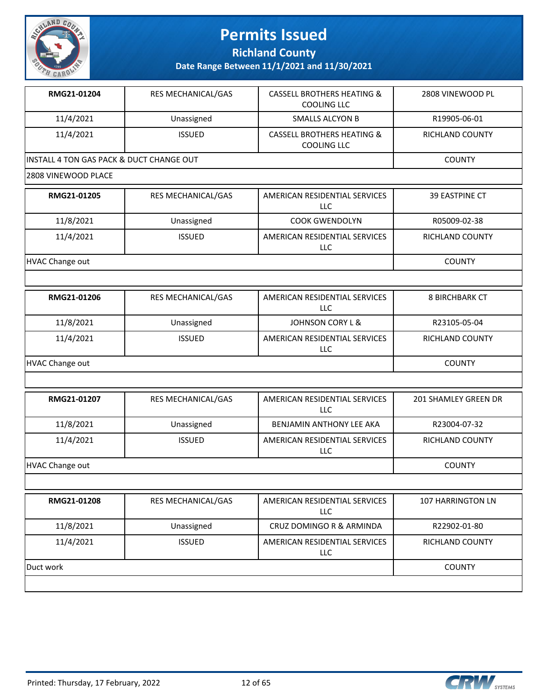

**Richland County**

**Date Range Between 11/1/2021 and 11/30/2021**

| RMG21-01204                              | RES MECHANICAL/GAS        | CASSELL BROTHERS HEATING &<br>COOLING LLC            | 2808 VINEWOOD PL       |  |
|------------------------------------------|---------------------------|------------------------------------------------------|------------------------|--|
| 11/4/2021                                | Unassigned                | <b>SMALLS ALCYON B</b>                               | R19905-06-01           |  |
| 11/4/2021                                | <b>ISSUED</b>             | <b>CASSELL BROTHERS HEATING &amp;</b><br>COOLING LLC | <b>RICHLAND COUNTY</b> |  |
| INSTALL 4 TON GAS PACK & DUCT CHANGE OUT | <b>COUNTY</b>             |                                                      |                        |  |
| 2808 VINEWOOD PLACE                      |                           |                                                      |                        |  |
| RMG21-01205                              | <b>RES MECHANICAL/GAS</b> | AMERICAN RESIDENTIAL SERVICES<br>LLC.                | <b>39 EASTPINE CT</b>  |  |
| 11/8/2021                                | Unassigned                | <b>COOK GWENDOLYN</b>                                | R05009-02-38           |  |

11/4/2021 ISSUED AMERICAN RESIDENTIAL SERVICES

HVAC Change out **COUNTY** 

| RMG21-01206            | <b>RES MECHANICAL/GAS</b> | AMERICAN RESIDENTIAL SERVICES<br>LLC | <b>8 BIRCHBARK CT</b> |
|------------------------|---------------------------|--------------------------------------|-----------------------|
| 11/8/2021              | Unassigned                | JOHNSON CORY L &                     | R23105-05-04          |
| 11/4/2021              | <b>ISSUED</b>             | AMERICAN RESIDENTIAL SERVICES<br>LLC | RICHLAND COUNTY       |
| <b>HVAC Change out</b> |                           |                                      | <b>COUNTY</b>         |

LLC

| RMG21-01207     | <b>RES MECHANICAL/GAS</b> | AMERICAN RESIDENTIAL SERVICES<br>LLC | 201 SHAMLEY GREEN DR   |
|-----------------|---------------------------|--------------------------------------|------------------------|
| 11/8/2021       | Unassigned                | BENJAMIN ANTHONY LEE AKA             | R23004-07-32           |
| 11/4/2021       | <b>ISSUED</b>             | AMERICAN RESIDENTIAL SERVICES<br>LLC | <b>RICHLAND COUNTY</b> |
| HVAC Change out |                           |                                      | <b>COUNTY</b>          |

| RMG21-01208 | <b>RES MECHANICAL/GAS</b> | AMERICAN RESIDENTIAL SERVICES<br><b>LLC</b> | 107 HARRINGTON LN |
|-------------|---------------------------|---------------------------------------------|-------------------|
| 11/8/2021   | Unassigned                | CRUZ DOMINGO R & ARMINDA                    | R22902-01-80      |
| 11/4/2021   | <b>ISSUED</b>             | AMERICAN RESIDENTIAL SERVICES<br>LLC        | RICHLAND COUNTY   |
| Duct work   |                           |                                             | <b>COUNTY</b>     |
|             |                           |                                             |                   |



RICHLAND COUNTY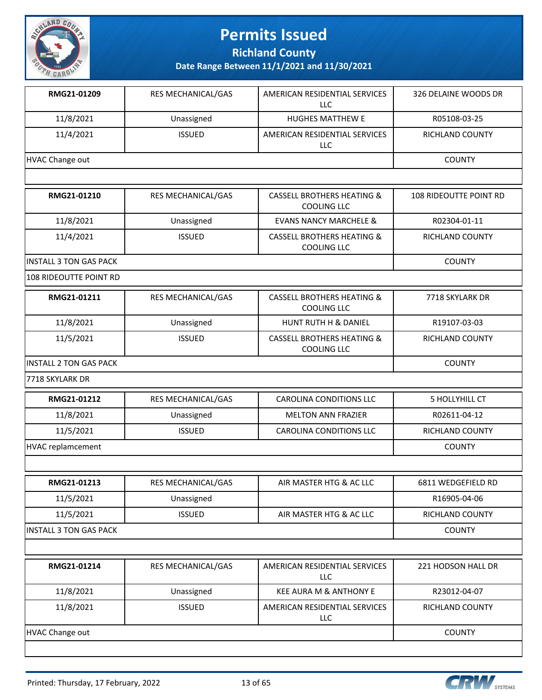

**Richland County**

| RMG21-01209                   | RES MECHANICAL/GAS        | AMERICAN RESIDENTIAL SERVICES<br><b>LLC</b>                 | 326 DELAINE WOODS DR          |
|-------------------------------|---------------------------|-------------------------------------------------------------|-------------------------------|
| 11/8/2021                     | Unassigned                | <b>HUGHES MATTHEW E</b>                                     | R05108-03-25                  |
| 11/4/2021                     | <b>ISSUED</b>             | AMERICAN RESIDENTIAL SERVICES<br>LLC                        | RICHLAND COUNTY               |
| <b>HVAC Change out</b>        |                           |                                                             | <b>COUNTY</b>                 |
|                               |                           |                                                             |                               |
| RMG21-01210                   | RES MECHANICAL/GAS        | <b>CASSELL BROTHERS HEATING &amp;</b><br><b>COOLING LLC</b> | <b>108 RIDEOUTTE POINT RD</b> |
| 11/8/2021                     | Unassigned                | <b>EVANS NANCY MARCHELE &amp;</b>                           | R02304-01-11                  |
| 11/4/2021                     | <b>ISSUED</b>             | <b>CASSELL BROTHERS HEATING &amp;</b><br><b>COOLING LLC</b> | RICHLAND COUNTY               |
| <b>INSTALL 3 TON GAS PACK</b> |                           |                                                             | <b>COUNTY</b>                 |
| 108 RIDEOUTTE POINT RD        |                           |                                                             |                               |
| RMG21-01211                   | RES MECHANICAL/GAS        | <b>CASSELL BROTHERS HEATING &amp;</b><br><b>COOLING LLC</b> | 7718 SKYLARK DR               |
| 11/8/2021                     | Unassigned                | HUNT RUTH H & DANIEL                                        | R19107-03-03                  |
| 11/5/2021                     | <b>ISSUED</b>             | <b>CASSELL BROTHERS HEATING &amp;</b><br><b>COOLING LLC</b> | RICHLAND COUNTY               |
| <b>INSTALL 2 TON GAS PACK</b> | <b>COUNTY</b>             |                                                             |                               |
| 7718 SKYLARK DR               |                           |                                                             |                               |
| RMG21-01212                   | RES MECHANICAL/GAS        | <b>CAROLINA CONDITIONS LLC</b>                              | 5 HOLLYHILL CT                |
| 11/8/2021                     | Unassigned                | <b>MELTON ANN FRAZIER</b>                                   | R02611-04-12                  |
| 11/5/2021                     | <b>ISSUED</b>             | <b>CAROLINA CONDITIONS LLC</b>                              | RICHLAND COUNTY               |
| <b>HVAC replamcement</b>      |                           |                                                             | <b>COUNTY</b>                 |
|                               |                           |                                                             |                               |
| RMG21-01213                   | <b>RES MECHANICAL/GAS</b> | AIR MASTER HTG & AC LLC                                     | 6811 WEDGEFIELD RD            |
| 11/5/2021                     | Unassigned                |                                                             | R16905-04-06                  |
| 11/5/2021                     | <b>ISSUED</b>             | AIR MASTER HTG & AC LLC                                     | RICHLAND COUNTY               |
| <b>INSTALL 3 TON GAS PACK</b> |                           |                                                             | <b>COUNTY</b>                 |
|                               |                           |                                                             |                               |
| RMG21-01214                   | RES MECHANICAL/GAS        | AMERICAN RESIDENTIAL SERVICES<br>LLC                        | 221 HODSON HALL DR            |
| 11/8/2021                     | Unassigned                | KEE AURA M & ANTHONY E                                      | R23012-04-07                  |
| 11/8/2021                     | <b>ISSUED</b>             | AMERICAN RESIDENTIAL SERVICES<br>LLC                        | RICHLAND COUNTY               |
| HVAC Change out               |                           |                                                             | <b>COUNTY</b>                 |



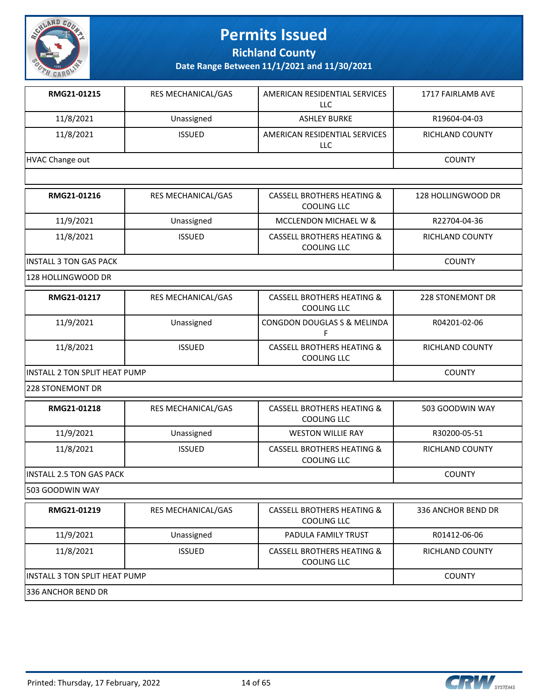

**Richland County**

**Date Range Between 11/1/2021 and 11/30/2021**

| RMG21-01215     | <b>RES MECHANICAL/GAS</b> | AMERICAN RESIDENTIAL SERVICES<br>LLC | 1717 FAIRLAMB AVE |
|-----------------|---------------------------|--------------------------------------|-------------------|
| 11/8/2021       | Unassigned                | <b>ASHLEY BURKE</b>                  | R19604-04-03      |
| 11/8/2021       | <b>ISSUED</b>             | AMERICAN RESIDENTIAL SERVICES<br>LLC | RICHLAND COUNTY   |
| HVAC Change out |                           |                                      | <b>COUNTY</b>     |

| RMG21-01216                    | <b>RES MECHANICAL/GAS</b> | CASSELL BROTHERS HEATING &<br>COOLING LLC                   | 128 HOLLINGWOOD DR |
|--------------------------------|---------------------------|-------------------------------------------------------------|--------------------|
| 11/9/2021                      | Unassigned                | MCCLENDON MICHAEL W &                                       | R22704-04-36       |
| 11/8/2021                      | <b>ISSUED</b>             | <b>CASSELL BROTHERS HEATING &amp;</b><br><b>COOLING LLC</b> | RICHLAND COUNTY    |
| <b>IINSTALL 3 TON GAS PACK</b> |                           |                                                             | <b>COUNTY</b>      |

128 HOLLINGWOOD DR

| RMG21-01217                    | <b>RES MECHANICAL/GAS</b> | CASSELL BROTHERS HEATING &<br>COOLING LLC        | 228 STONEMONT DR |
|--------------------------------|---------------------------|--------------------------------------------------|------------------|
| 11/9/2021                      | Unassigned                | l CONGDON DOUGLAS S & MELINDA                    | R04201-02-06     |
| 11/8/2021                      | <b>ISSUED</b>             | CASSELL BROTHERS HEATING &<br><b>COOLING LLC</b> | RICHLAND COUNTY  |
| IINSTALL 2 TON SPLIT HEAT PUMP |                           |                                                  | <b>COUNTY</b>    |

228 STONEMONT DR

| RMG21-01218                          | <b>RES MECHANICAL/GAS</b>       | CASSELL BROTHERS HEATING &<br>COOLING LLC            | 503 GOODWIN WAY        |  |
|--------------------------------------|---------------------------------|------------------------------------------------------|------------------------|--|
| 11/9/2021                            | Unassigned                      | <b>WESTON WILLIE RAY</b>                             | R30200-05-51           |  |
| 11/8/2021                            | <b>ISSUED</b>                   | <b>CASSELL BROTHERS HEATING &amp;</b><br>COOLING LLC | RICHLAND COUNTY        |  |
|                                      | <b>INSTALL 2.5 TON GAS PACK</b> |                                                      |                        |  |
| 503 GOODWIN WAY                      |                                 |                                                      |                        |  |
| RMG21-01219                          | <b>RES MECHANICAL/GAS</b>       | <b>CASSELL BROTHERS HEATING &amp;</b><br>COOLING LLC | 336 ANCHOR BEND DR     |  |
| 11/9/2021                            | Unassigned                      | <b>PADULA FAMILY TRUST</b>                           | R01412-06-06           |  |
| 11/8/2021                            | <b>ISSUED</b>                   | CASSELL BROTHERS HEATING &<br>COOLING LLC            | <b>RICHLAND COUNTY</b> |  |
| <b>INSTALL 3 TON SPLIT HEAT PUMP</b> |                                 |                                                      | <b>COUNTY</b>          |  |
| 336 ANCHOR BEND DR                   |                                 |                                                      |                        |  |

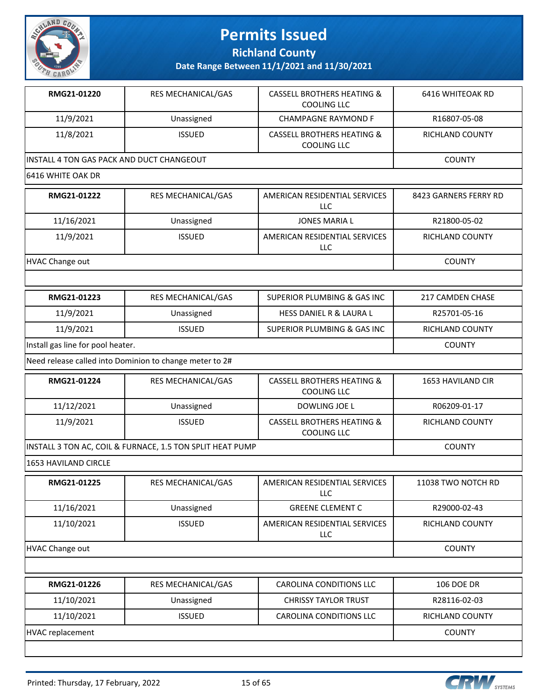

**Richland County**

| RMG21-01220                                               | RES MECHANICAL/GAS                                      | <b>CASSELL BROTHERS HEATING &amp;</b><br>COOLING LLC        | <b>6416 WHITEOAK RD</b>  |  |  |
|-----------------------------------------------------------|---------------------------------------------------------|-------------------------------------------------------------|--------------------------|--|--|
| 11/9/2021                                                 | Unassigned                                              | <b>CHAMPAGNE RAYMOND F</b>                                  | R16807-05-08             |  |  |
| 11/8/2021                                                 | <b>ISSUED</b>                                           | <b>CASSELL BROTHERS HEATING &amp;</b><br><b>COOLING LLC</b> | RICHLAND COUNTY          |  |  |
|                                                           | INSTALL 4 TON GAS PACK AND DUCT CHANGEOUT               |                                                             |                          |  |  |
| 6416 WHITE OAK DR                                         |                                                         |                                                             |                          |  |  |
| RMG21-01222                                               | RES MECHANICAL/GAS                                      | AMERICAN RESIDENTIAL SERVICES<br>LLC                        | 8423 GARNERS FERRY RD    |  |  |
| 11/16/2021                                                | Unassigned                                              | <b>JONES MARIA L</b>                                        | R21800-05-02             |  |  |
| 11/9/2021                                                 | <b>ISSUED</b>                                           | AMERICAN RESIDENTIAL SERVICES<br><b>LLC</b>                 | RICHLAND COUNTY          |  |  |
| <b>HVAC Change out</b>                                    |                                                         |                                                             | <b>COUNTY</b>            |  |  |
|                                                           |                                                         |                                                             |                          |  |  |
| RMG21-01223                                               | RES MECHANICAL/GAS                                      | <b>SUPERIOR PLUMBING &amp; GAS INC</b>                      | 217 CAMDEN CHASE         |  |  |
| 11/9/2021                                                 | Unassigned                                              | <b>HESS DANIEL R &amp; LAURA L</b>                          | R25701-05-16             |  |  |
| 11/9/2021                                                 | <b>ISSUED</b>                                           | SUPERIOR PLUMBING & GAS INC                                 | RICHLAND COUNTY          |  |  |
| Install gas line for pool heater.                         | <b>COUNTY</b>                                           |                                                             |                          |  |  |
|                                                           | Need release called into Dominion to change meter to 2# |                                                             |                          |  |  |
| RMG21-01224                                               | RES MECHANICAL/GAS                                      | <b>CASSELL BROTHERS HEATING &amp;</b><br><b>COOLING LLC</b> | <b>1653 HAVILAND CIR</b> |  |  |
| 11/12/2021                                                | Unassigned                                              | DOWLING JOE L                                               | R06209-01-17             |  |  |
| 11/9/2021                                                 | <b>ISSUED</b>                                           | <b>CASSELL BROTHERS HEATING &amp;</b><br><b>COOLING LLC</b> | RICHLAND COUNTY          |  |  |
| INSTALL 3 TON AC, COIL & FURNACE, 1.5 TON SPLIT HEAT PUMP | <b>COUNTY</b>                                           |                                                             |                          |  |  |
| 1653 HAVILAND CIRCLE                                      |                                                         |                                                             |                          |  |  |
| <b>RMG21-01225</b>                                        | RES MECHANICAL/GAS                                      | AMERICAN RESIDENTIAL SERVICES<br>LLC                        | 11038 TWO NOTCH RD       |  |  |
| 11/16/2021                                                | Unassigned                                              | <b>GREENE CLEMENT C</b>                                     | R29000-02-43             |  |  |
| 11/10/2021                                                | <b>ISSUED</b>                                           | AMERICAN RESIDENTIAL SERVICES<br><b>LLC</b>                 | RICHLAND COUNTY          |  |  |
| <b>HVAC Change out</b>                                    |                                                         |                                                             | <b>COUNTY</b>            |  |  |
|                                                           |                                                         |                                                             |                          |  |  |
| RMG21-01226                                               | RES MECHANICAL/GAS                                      | CAROLINA CONDITIONS LLC                                     | <b>106 DOE DR</b>        |  |  |
| 11/10/2021                                                | Unassigned                                              | <b>CHRISSY TAYLOR TRUST</b>                                 | R28116-02-03             |  |  |
| 11/10/2021                                                | <b>ISSUED</b>                                           | CAROLINA CONDITIONS LLC                                     | RICHLAND COUNTY          |  |  |
| <b>HVAC replacement</b>                                   |                                                         |                                                             | <b>COUNTY</b>            |  |  |
|                                                           |                                                         |                                                             |                          |  |  |

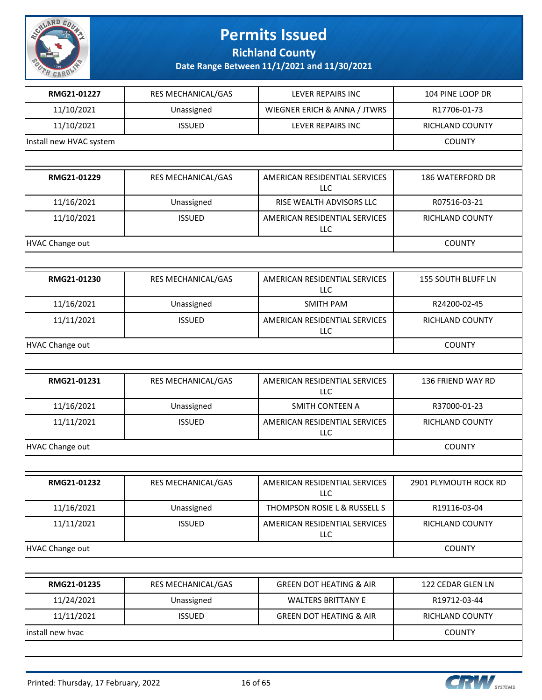

**Richland County**

| RMG21-01227             | RES MECHANICAL/GAS | LEVER REPAIRS INC                           | 104 PINE LOOP DR        |
|-------------------------|--------------------|---------------------------------------------|-------------------------|
| 11/10/2021              | Unassigned         | WIEGNER ERICH & ANNA / JTWRS                | R17706-01-73            |
| 11/10/2021              | <b>ISSUED</b>      | LEVER REPAIRS INC                           | RICHLAND COUNTY         |
| Install new HVAC system |                    |                                             | <b>COUNTY</b>           |
|                         |                    |                                             |                         |
| RMG21-01229             | RES MECHANICAL/GAS | AMERICAN RESIDENTIAL SERVICES<br><b>LLC</b> | <b>186 WATERFORD DR</b> |
| 11/16/2021              | Unassigned         | RISE WEALTH ADVISORS LLC                    | R07516-03-21            |
| 11/10/2021              | <b>ISSUED</b>      | AMERICAN RESIDENTIAL SERVICES<br>LLC        | RICHLAND COUNTY         |
| <b>HVAC Change out</b>  |                    |                                             | <b>COUNTY</b>           |
|                         |                    |                                             |                         |
| RMG21-01230             | RES MECHANICAL/GAS | AMERICAN RESIDENTIAL SERVICES<br><b>LLC</b> | 155 SOUTH BLUFF LN      |
| 11/16/2021              | Unassigned         | <b>SMITH PAM</b>                            | R24200-02-45            |
| 11/11/2021              | <b>ISSUED</b>      | AMERICAN RESIDENTIAL SERVICES<br>LLC        | RICHLAND COUNTY         |
| HVAC Change out         |                    |                                             | <b>COUNTY</b>           |
|                         |                    |                                             |                         |
| RMG21-01231             | RES MECHANICAL/GAS | AMERICAN RESIDENTIAL SERVICES<br>LLC        | 136 FRIEND WAY RD       |
| 11/16/2021              | Unassigned         | SMITH CONTEEN A                             | R37000-01-23            |
| 11/11/2021              | <b>ISSUED</b>      | AMERICAN RESIDENTIAL SERVICES<br><b>LLC</b> | RICHLAND COUNTY         |
| HVAC Change out         |                    |                                             | <b>COUNTY</b>           |
|                         |                    |                                             |                         |
| RMG21-01232             | RES MECHANICAL/GAS | AMERICAN RESIDENTIAL SERVICES<br>LLC        | 2901 PLYMOUTH ROCK RD   |
| 11/16/2021              | Unassigned         | THOMPSON ROSIE L & RUSSELL S                | R19116-03-04            |
| 11/11/2021              | <b>ISSUED</b>      | AMERICAN RESIDENTIAL SERVICES<br>LLC        | RICHLAND COUNTY         |
| <b>HVAC Change out</b>  |                    |                                             | <b>COUNTY</b>           |
|                         |                    |                                             |                         |
| RMG21-01235             | RES MECHANICAL/GAS | <b>GREEN DOT HEATING &amp; AIR</b>          | 122 CEDAR GLEN LN       |
| 11/24/2021              | Unassigned         | <b>WALTERS BRITTANY E</b>                   | R19712-03-44            |
| 11/11/2021              | <b>ISSUED</b>      | <b>GREEN DOT HEATING &amp; AIR</b>          | RICHLAND COUNTY         |
| install new hvac        |                    |                                             | <b>COUNTY</b>           |
|                         |                    |                                             |                         |

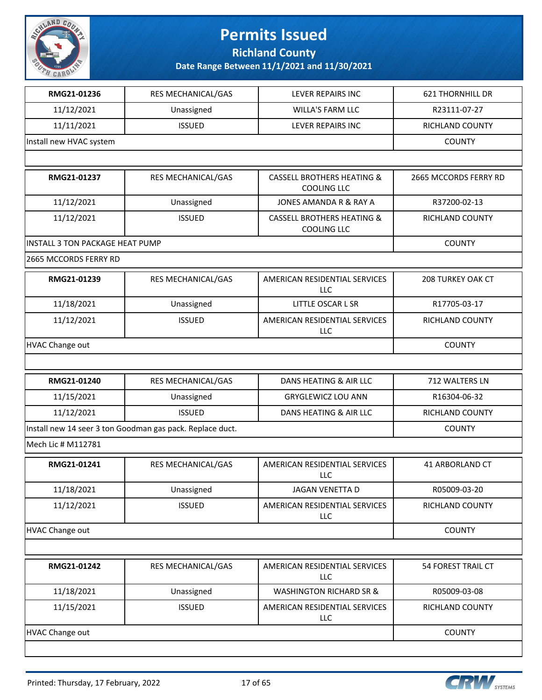

**Richland County**

| RMG21-01236                     | RES MECHANICAL/GAS                                        | LEVER REPAIRS INC                                           | <b>621 THORNHILL DR</b>  |
|---------------------------------|-----------------------------------------------------------|-------------------------------------------------------------|--------------------------|
| 11/12/2021                      | Unassigned                                                | <b>WILLA'S FARM LLC</b>                                     | R23111-07-27             |
| 11/11/2021                      | <b>ISSUED</b>                                             | LEVER REPAIRS INC                                           | RICHLAND COUNTY          |
| Install new HVAC system         |                                                           |                                                             | <b>COUNTY</b>            |
|                                 |                                                           |                                                             |                          |
| RMG21-01237                     | RES MECHANICAL/GAS                                        | <b>CASSELL BROTHERS HEATING &amp;</b><br><b>COOLING LLC</b> | 2665 MCCORDS FERRY RD    |
| 11/12/2021                      | Unassigned                                                | JONES AMANDA R & RAY A                                      | R37200-02-13             |
| 11/12/2021                      | <b>ISSUED</b>                                             | <b>CASSELL BROTHERS HEATING &amp;</b><br><b>COOLING LLC</b> | RICHLAND COUNTY          |
| INSTALL 3 TON PACKAGE HEAT PUMP |                                                           |                                                             | <b>COUNTY</b>            |
| 2665 MCCORDS FERRY RD           |                                                           |                                                             |                          |
| RMG21-01239                     | RES MECHANICAL/GAS                                        | AMERICAN RESIDENTIAL SERVICES<br><b>LLC</b>                 | <b>208 TURKEY OAK CT</b> |
| 11/18/2021                      | Unassigned                                                | LITTLE OSCAR L SR                                           | R17705-03-17             |
| 11/12/2021                      | <b>ISSUED</b>                                             | AMERICAN RESIDENTIAL SERVICES<br>LLC                        | RICHLAND COUNTY          |
| <b>HVAC Change out</b>          | <b>COUNTY</b>                                             |                                                             |                          |
|                                 |                                                           |                                                             |                          |
| RMG21-01240                     | RES MECHANICAL/GAS                                        | DANS HEATING & AIR LLC                                      | 712 WALTERS LN           |
| 11/15/2021                      | Unassigned                                                | <b>GRYGLEWICZ LOU ANN</b>                                   | R16304-06-32             |
| 11/12/2021                      | <b>ISSUED</b>                                             | DANS HEATING & AIR LLC                                      | RICHLAND COUNTY          |
|                                 | Install new 14 seer 3 ton Goodman gas pack. Replace duct. |                                                             | <b>COUNTY</b>            |
| Mech Lic # M112781              |                                                           |                                                             |                          |
| RMG21-01241                     | RES MECHANICAL/GAS                                        | AMERICAN RESIDENTIAL SERVICES<br>LLC                        | 41 ARBORLAND CT          |
| 11/18/2021                      | Unassigned                                                | <b>JAGAN VENETTA D</b>                                      | R05009-03-20             |
| 11/12/2021                      | <b>ISSUED</b>                                             | AMERICAN RESIDENTIAL SERVICES<br><b>LLC</b>                 | <b>RICHLAND COUNTY</b>   |
| <b>HVAC Change out</b>          |                                                           |                                                             | <b>COUNTY</b>            |
|                                 |                                                           |                                                             |                          |
| RMG21-01242                     | RES MECHANICAL/GAS                                        | AMERICAN RESIDENTIAL SERVICES<br><b>LLC</b>                 | 54 FOREST TRAIL CT       |
| 11/18/2021                      | Unassigned                                                | <b>WASHINGTON RICHARD SR &amp;</b>                          | R05009-03-08             |
|                                 |                                                           |                                                             |                          |
| 11/15/2021                      | <b>ISSUED</b>                                             | AMERICAN RESIDENTIAL SERVICES<br>LLC                        | RICHLAND COUNTY          |
| HVAC Change out                 |                                                           |                                                             | <b>COUNTY</b>            |

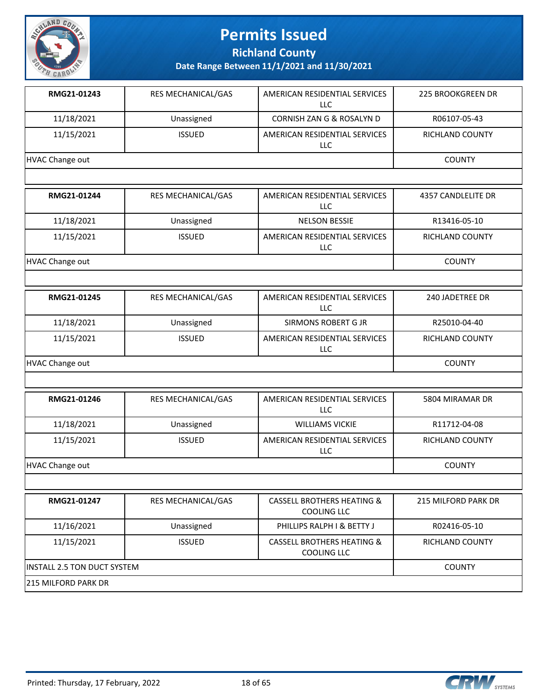

**Richland County**

| RMG21-01243     | <b>RES MECHANICAL/GAS</b> | AMERICAN RESIDENTIAL SERVICES<br>LLC | <b>225 BROOKGREEN DR</b> |
|-----------------|---------------------------|--------------------------------------|--------------------------|
| 11/18/2021      | Unassigned                | CORNISH ZAN G & ROSALYN D            | R06107-05-43             |
| 11/15/2021      | <b>ISSUED</b>             | AMERICAN RESIDENTIAL SERVICES<br>LLC | <b>RICHLAND COUNTY</b>   |
| HVAC Change out |                           |                                      | <b>COUNTY</b>            |
|                 |                           |                                      |                          |

| RMG21-01244     | <b>RES MECHANICAL/GAS</b> | AMERICAN RESIDENTIAL SERVICES<br>LLC | 4357 CANDLELITE DR |
|-----------------|---------------------------|--------------------------------------|--------------------|
| 11/18/2021      | Unassigned                | <b>NELSON BESSIE</b>                 | R13416-05-10       |
| 11/15/2021      | <b>ISSUED</b>             | AMERICAN RESIDENTIAL SERVICES<br>LLC | RICHLAND COUNTY    |
| HVAC Change out |                           |                                      | <b>COUNTY</b>      |

| RMG21-01245     | <b>RES MECHANICAL/GAS</b> | AMERICAN RESIDENTIAL SERVICES<br>LLC | 240 JADETREE DR        |
|-----------------|---------------------------|--------------------------------------|------------------------|
| 11/18/2021      | Unassigned                | SIRMONS ROBERT G JR                  | R25010-04-40           |
| 11/15/2021      | <b>ISSUED</b>             | AMERICAN RESIDENTIAL SERVICES<br>LLC | <b>RICHLAND COUNTY</b> |
| HVAC Change out |                           |                                      | <b>COUNTY</b>          |

| RMG21-01246     | <b>RES MECHANICAL/GAS</b> | AMERICAN RESIDENTIAL SERVICES<br>LLC | 5804 MIRAMAR DR        |
|-----------------|---------------------------|--------------------------------------|------------------------|
| 11/18/2021      | Unassigned                | <b>WILLIAMS VICKIE</b>               | R11712-04-08           |
| 11/15/2021      | <b>ISSUED</b>             | AMERICAN RESIDENTIAL SERVICES<br>LLC | <b>RICHLAND COUNTY</b> |
| HVAC Change out |                           |                                      | <b>COUNTY</b>          |

| RMG21-01247                         | <b>RES MECHANICAL/GAS</b> | CASSELL BROTHERS HEATING &<br>COOLING LLC            | 215 MILFORD PARK DR |
|-------------------------------------|---------------------------|------------------------------------------------------|---------------------|
| 11/16/2021                          | Unassigned                | PHILLIPS RALPH I & BETTY J                           | R02416-05-10        |
| 11/15/2021                          | <b>ISSUED</b>             | <b>CASSELL BROTHERS HEATING &amp;</b><br>COOLING LLC | RICHLAND COUNTY     |
| <b>IINSTALL 2.5 TON DUCT SYSTEM</b> |                           |                                                      | <b>COUNTY</b>       |
| 215 MILFORD PARK DR                 |                           |                                                      |                     |

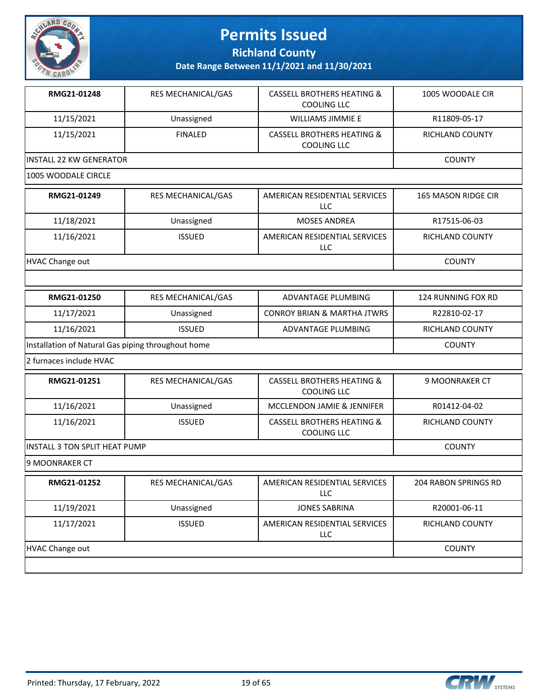

**Richland County**

| RMG21-01248                                        | RES MECHANICAL/GAS | <b>CASSELL BROTHERS HEATING &amp;</b><br><b>COOLING LLC</b> | 1005 WOODALE CIR     |
|----------------------------------------------------|--------------------|-------------------------------------------------------------|----------------------|
| 11/15/2021                                         | Unassigned         | <b>WILLIAMS JIMMIE E</b>                                    | R11809-05-17         |
| 11/15/2021                                         | <b>FINALED</b>     | <b>CASSELL BROTHERS HEATING &amp;</b><br><b>COOLING LLC</b> | RICHLAND COUNTY      |
| <b>INSTALL 22 KW GENERATOR</b>                     |                    |                                                             | <b>COUNTY</b>        |
| 1005 WOODALE CIRCLE                                |                    |                                                             |                      |
| RMG21-01249                                        | RES MECHANICAL/GAS | AMERICAN RESIDENTIAL SERVICES<br><b>LLC</b>                 | 165 MASON RIDGE CIR  |
| 11/18/2021                                         | Unassigned         | <b>MOSES ANDREA</b>                                         | R17515-06-03         |
| 11/16/2021                                         | <b>ISSUED</b>      | AMERICAN RESIDENTIAL SERVICES<br><b>LLC</b>                 | RICHLAND COUNTY      |
| <b>HVAC Change out</b>                             |                    |                                                             | <b>COUNTY</b>        |
|                                                    |                    |                                                             |                      |
| RMG21-01250                                        | RES MECHANICAL/GAS | <b>ADVANTAGE PLUMBING</b>                                   | 124 RUNNING FOX RD   |
| 11/17/2021                                         | Unassigned         | <b>CONROY BRIAN &amp; MARTHA JTWRS</b>                      | R22810-02-17         |
| 11/16/2021                                         | <b>ISSUED</b>      | ADVANTAGE PLUMBING                                          | RICHLAND COUNTY      |
| Installation of Natural Gas piping throughout home | <b>COUNTY</b>      |                                                             |                      |
| 2 furnaces include HVAC                            |                    |                                                             |                      |
| RMG21-01251                                        | RES MECHANICAL/GAS | <b>CASSELL BROTHERS HEATING &amp;</b><br><b>COOLING LLC</b> | 9 MOONRAKER CT       |
| 11/16/2021                                         | Unassigned         | MCCLENDON JAMIE & JENNIFER                                  | R01412-04-02         |
| 11/16/2021                                         | <b>ISSUED</b>      | <b>CASSELL BROTHERS HEATING &amp;</b><br><b>COOLING LLC</b> | RICHLAND COUNTY      |
| <b>INSTALL 3 TON SPLIT HEAT PUMP</b>               |                    |                                                             | <b>COUNTY</b>        |
| 9 MOONRAKER CT                                     |                    |                                                             |                      |
| RMG21-01252                                        | RES MECHANICAL/GAS | AMERICAN RESIDENTIAL SERVICES<br><b>LLC</b>                 | 204 RABON SPRINGS RD |
| 11/19/2021                                         | Unassigned         | <b>JONES SABRINA</b>                                        | R20001-06-11         |
| 11/17/2021                                         | <b>ISSUED</b>      | AMERICAN RESIDENTIAL SERVICES<br>LLC                        | RICHLAND COUNTY      |
| <b>HVAC Change out</b>                             |                    |                                                             | <b>COUNTY</b>        |
|                                                    |                    |                                                             |                      |

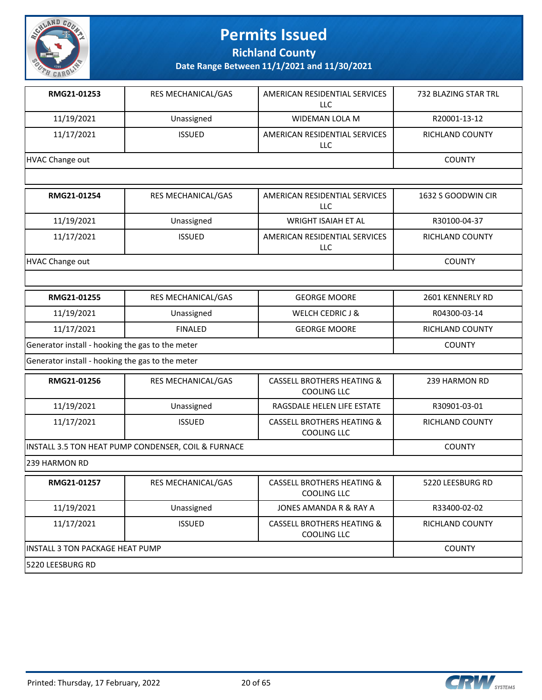

**Richland County**

| RMG21-01253                                      | RES MECHANICAL/GAS                                  | AMERICAN RESIDENTIAL SERVICES<br>LLC                        | 732 BLAZING STAR TRL |
|--------------------------------------------------|-----------------------------------------------------|-------------------------------------------------------------|----------------------|
| 11/19/2021                                       | Unassigned                                          | <b>WIDEMAN LOLA M</b>                                       | R20001-13-12         |
| 11/17/2021                                       | <b>ISSUED</b>                                       | AMERICAN RESIDENTIAL SERVICES<br>LLC                        | RICHLAND COUNTY      |
| HVAC Change out                                  |                                                     |                                                             | <b>COUNTY</b>        |
|                                                  |                                                     |                                                             |                      |
| RMG21-01254                                      | RES MECHANICAL/GAS                                  | AMERICAN RESIDENTIAL SERVICES<br>LLC                        | 1632 S GOODWIN CIR   |
| 11/19/2021                                       | Unassigned                                          | <b>WRIGHT ISAIAH ET AL</b>                                  | R30100-04-37         |
| 11/17/2021                                       | <b>ISSUED</b>                                       | AMERICAN RESIDENTIAL SERVICES<br>LLC                        | RICHLAND COUNTY      |
| <b>HVAC Change out</b>                           |                                                     |                                                             | <b>COUNTY</b>        |
|                                                  |                                                     |                                                             |                      |
| RMG21-01255                                      | RES MECHANICAL/GAS                                  | <b>GEORGE MOORE</b>                                         | 2601 KENNERLY RD     |
| 11/19/2021                                       | Unassigned                                          | <b>WELCH CEDRIC J &amp;</b>                                 | R04300-03-14         |
| 11/17/2021                                       | <b>FINALED</b>                                      | <b>GEORGE MOORE</b>                                         | RICHLAND COUNTY      |
| Generator install - hooking the gas to the meter |                                                     |                                                             | <b>COUNTY</b>        |
| Generator install - hooking the gas to the meter |                                                     |                                                             |                      |
| RMG21-01256                                      | RES MECHANICAL/GAS                                  | <b>CASSELL BROTHERS HEATING &amp;</b><br><b>COOLING LLC</b> | 239 HARMON RD        |
| 11/19/2021                                       | Unassigned                                          | RAGSDALE HELEN LIFE ESTATE                                  | R30901-03-01         |
| 11/17/2021                                       | <b>ISSUED</b>                                       | <b>CASSELL BROTHERS HEATING &amp;</b><br><b>COOLING LLC</b> | RICHLAND COUNTY      |
|                                                  | INSTALL 3.5 TON HEAT PUMP CONDENSER, COIL & FURNACE |                                                             | <b>COUNTY</b>        |
| 239 HARMON RD                                    |                                                     |                                                             |                      |
| RMG21-01257                                      | RES MECHANICAL/GAS                                  | CASSELL BROTHERS HEATING &<br><b>COOLING LLC</b>            | 5220 LEESBURG RD     |
| 11/19/2021                                       | Unassigned                                          | JONES AMANDA R & RAY A                                      | R33400-02-02         |
| 11/17/2021                                       | <b>ISSUED</b>                                       | <b>CASSELL BROTHERS HEATING &amp;</b><br>COOLING LLC        | RICHLAND COUNTY      |
|                                                  | INSTALL 3 TON PACKAGE HEAT PUMP                     |                                                             |                      |
| 5220 LEESBURG RD                                 |                                                     |                                                             |                      |

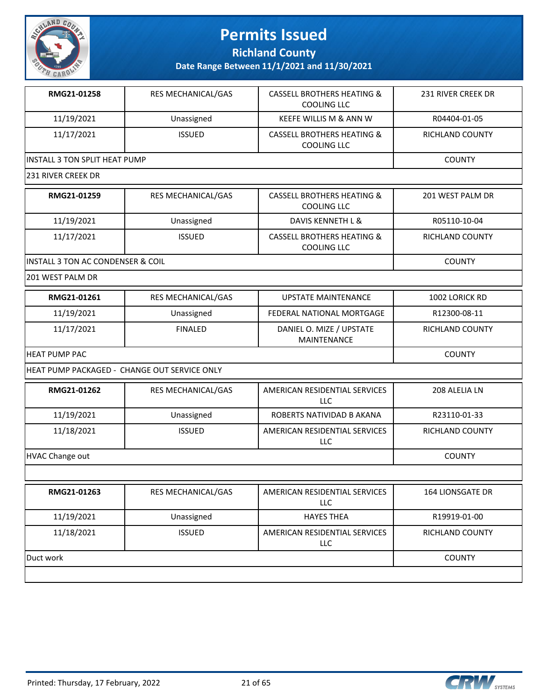

**Richland County**

| RMG21-01258                                  | RES MECHANICAL/GAS | <b>CASSELL BROTHERS HEATING &amp;</b><br>COOLING LLC        | 231 RIVER CREEK DR      |
|----------------------------------------------|--------------------|-------------------------------------------------------------|-------------------------|
| 11/19/2021                                   | Unassigned         | KEEFE WILLIS M & ANN W                                      | R04404-01-05            |
| 11/17/2021                                   | <b>ISSUED</b>      | <b>CASSELL BROTHERS HEATING &amp;</b><br><b>COOLING LLC</b> | RICHLAND COUNTY         |
| INSTALL 3 TON SPLIT HEAT PUMP                |                    |                                                             | <b>COUNTY</b>           |
| 231 RIVER CREEK DR                           |                    |                                                             |                         |
| RMG21-01259                                  | RES MECHANICAL/GAS | <b>CASSELL BROTHERS HEATING &amp;</b><br><b>COOLING LLC</b> | 201 WEST PALM DR        |
| 11/19/2021                                   | Unassigned         | DAVIS KENNETH L &                                           | R05110-10-04            |
| 11/17/2021                                   | <b>ISSUED</b>      | <b>CASSELL BROTHERS HEATING &amp;</b><br>COOLING LLC        | RICHLAND COUNTY         |
| <b>INSTALL 3 TON AC CONDENSER &amp; COIL</b> |                    |                                                             | <b>COUNTY</b>           |
| 201 WEST PALM DR                             |                    |                                                             |                         |
| RMG21-01261                                  | RES MECHANICAL/GAS | <b>UPSTATE MAINTENANCE</b>                                  | 1002 LORICK RD          |
| 11/19/2021                                   | Unassigned         | FEDERAL NATIONAL MORTGAGE                                   | R12300-08-11            |
| 11/17/2021                                   | <b>FINALED</b>     | DANIEL O. MIZE / UPSTATE<br>MAINTENANCE                     | RICHLAND COUNTY         |
| <b>HEAT PUMP PAC</b>                         | <b>COUNTY</b>      |                                                             |                         |
| HEAT PUMP PACKAGED - CHANGE OUT SERVICE ONLY |                    |                                                             |                         |
| RMG21-01262                                  | RES MECHANICAL/GAS | AMERICAN RESIDENTIAL SERVICES<br><b>LLC</b>                 | 208 ALELIA LN           |
| 11/19/2021                                   | Unassigned         | ROBERTS NATIVIDAD B AKANA                                   | R23110-01-33            |
| 11/18/2021                                   | <b>ISSUED</b>      | AMERICAN RESIDENTIAL SERVICES<br>LLC                        | RICHLAND COUNTY         |
| HVAC Change out                              |                    |                                                             | <b>COUNTY</b>           |
|                                              |                    |                                                             |                         |
| RMG21-01263                                  | RES MECHANICAL/GAS | AMERICAN RESIDENTIAL SERVICES<br>LLC                        | <b>164 LIONSGATE DR</b> |
| 11/19/2021                                   | Unassigned         | <b>HAYES THEA</b>                                           | R19919-01-00            |
| 11/18/2021                                   | <b>ISSUED</b>      | AMERICAN RESIDENTIAL SERVICES<br>LLC                        | RICHLAND COUNTY         |
| Duct work                                    |                    |                                                             | <b>COUNTY</b>           |

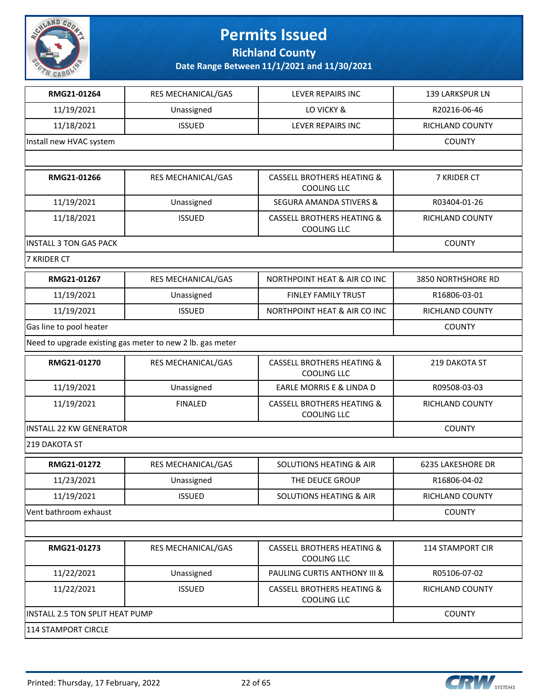

**Richland County**

| RMG21-01264                    | RES MECHANICAL/GAS                                        | <b>LEVER REPAIRS INC</b>                                    | <b>139 LARKSPUR LN</b>  |  |
|--------------------------------|-----------------------------------------------------------|-------------------------------------------------------------|-------------------------|--|
| 11/19/2021                     | Unassigned                                                | LO VICKY &                                                  | R20216-06-46            |  |
| 11/18/2021                     | <b>ISSUED</b>                                             | LEVER REPAIRS INC                                           | RICHLAND COUNTY         |  |
| Install new HVAC system        |                                                           |                                                             | <b>COUNTY</b>           |  |
|                                |                                                           |                                                             |                         |  |
| RMG21-01266                    | RES MECHANICAL/GAS                                        | <b>CASSELL BROTHERS HEATING &amp;</b><br><b>COOLING LLC</b> | 7 KRIDER CT             |  |
| 11/19/2021                     | Unassigned                                                | <b>SEGURA AMANDA STIVERS &amp;</b>                          | R03404-01-26            |  |
| 11/18/2021                     | <b>ISSUED</b>                                             | <b>CASSELL BROTHERS HEATING &amp;</b><br><b>COOLING LLC</b> | RICHLAND COUNTY         |  |
| <b>INSTALL 3 TON GAS PACK</b>  |                                                           |                                                             | <b>COUNTY</b>           |  |
| 7 KRIDER CT                    |                                                           |                                                             |                         |  |
| RMG21-01267                    | RES MECHANICAL/GAS                                        | NORTHPOINT HEAT & AIR CO INC                                | 3850 NORTHSHORE RD      |  |
| 11/19/2021                     | Unassigned                                                | FINLEY FAMILY TRUST                                         | R16806-03-01            |  |
| 11/19/2021                     | <b>ISSUED</b>                                             | <b>NORTHPOINT HEAT &amp; AIR CO INC</b>                     | RICHLAND COUNTY         |  |
| Gas line to pool heater        | <b>COUNTY</b>                                             |                                                             |                         |  |
|                                | Need to upgrade existing gas meter to new 2 lb. gas meter |                                                             |                         |  |
| RMG21-01270                    | RES MECHANICAL/GAS                                        | <b>CASSELL BROTHERS HEATING &amp;</b><br><b>COOLING LLC</b> | 219 DAKOTA ST           |  |
| 11/19/2021                     | Unassigned                                                | EARLE MORRIS E & LINDA D                                    | R09508-03-03            |  |
| 11/19/2021                     | <b>FINALED</b>                                            | <b>CASSELL BROTHERS HEATING &amp;</b><br><b>COOLING LLC</b> | RICHLAND COUNTY         |  |
| <b>INSTALL 22 KW GENERATOR</b> |                                                           |                                                             | <b>COUNTY</b>           |  |
| 219 DAKOTA ST                  |                                                           |                                                             |                         |  |
| RMG21-01272                    | RES MECHANICAL/GAS                                        | <b>SOLUTIONS HEATING &amp; AIR</b>                          | 6235 LAKESHORE DR       |  |
| 11/23/2021                     | Unassigned                                                | THE DEUCE GROUP                                             | R16806-04-02            |  |
| 11/19/2021                     | <b>ISSUED</b>                                             | <b>SOLUTIONS HEATING &amp; AIR</b>                          | RICHLAND COUNTY         |  |
| Vent bathroom exhaust          |                                                           |                                                             | <b>COUNTY</b>           |  |
|                                |                                                           |                                                             |                         |  |
| RMG21-01273                    | RES MECHANICAL/GAS                                        | <b>CASSELL BROTHERS HEATING &amp;</b><br><b>COOLING LLC</b> | <b>114 STAMPORT CIR</b> |  |
| 11/22/2021                     | Unassigned                                                | PAULING CURTIS ANTHONY III &                                | R05106-07-02            |  |
| 11/22/2021                     | <b>ISSUED</b>                                             | <b>CASSELL BROTHERS HEATING &amp;</b><br><b>COOLING LLC</b> | <b>RICHLAND COUNTY</b>  |  |
|                                | INSTALL 2.5 TON SPLIT HEAT PUMP                           |                                                             |                         |  |
| 114 STAMPORT CIRCLE            |                                                           |                                                             |                         |  |

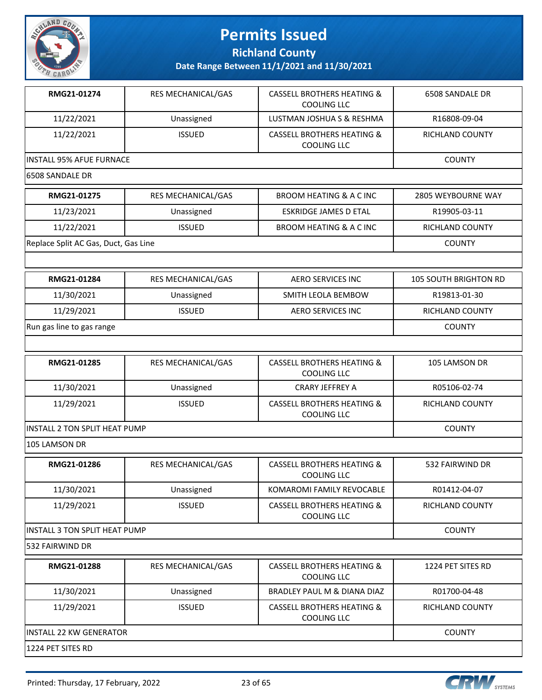

**Richland County**

| RMG21-01274                          | RES MECHANICAL/GAS | <b>CASSELL BROTHERS HEATING &amp;</b><br><b>COOLING LLC</b> | 6508 SANDALE DR              |
|--------------------------------------|--------------------|-------------------------------------------------------------|------------------------------|
| 11/22/2021                           | Unassigned         | LUSTMAN JOSHUA S & RESHMA                                   | R16808-09-04                 |
| 11/22/2021                           | <b>ISSUED</b>      | <b>CASSELL BROTHERS HEATING &amp;</b><br>COOLING LLC        | RICHLAND COUNTY              |
| INSTALL 95% AFUE FURNACE             |                    |                                                             | <b>COUNTY</b>                |
| 6508 SANDALE DR                      |                    |                                                             |                              |
| RMG21-01275                          | RES MECHANICAL/GAS | <b>BROOM HEATING &amp; A C INC</b>                          | 2805 WEYBOURNE WAY           |
| 11/23/2021                           | Unassigned         | <b>ESKRIDGE JAMES D ETAL</b>                                | R19905-03-11                 |
| 11/22/2021                           | <b>ISSUED</b>      | <b>BROOM HEATING &amp; A C INC</b>                          | RICHLAND COUNTY              |
| Replace Split AC Gas, Duct, Gas Line |                    |                                                             | <b>COUNTY</b>                |
|                                      |                    |                                                             |                              |
| RMG21-01284                          | RES MECHANICAL/GAS | <b>AERO SERVICES INC</b>                                    | <b>105 SOUTH BRIGHTON RD</b> |
| 11/30/2021                           | Unassigned         | SMITH LEOLA BEMBOW                                          | R19813-01-30                 |
| 11/29/2021                           | <b>ISSUED</b>      | <b>AERO SERVICES INC</b>                                    | RICHLAND COUNTY              |
| Run gas line to gas range            |                    |                                                             | <b>COUNTY</b>                |
|                                      |                    |                                                             |                              |
| RMG21-01285                          | RES MECHANICAL/GAS | <b>CASSELL BROTHERS HEATING &amp;</b><br><b>COOLING LLC</b> | 105 LAMSON DR                |
| 11/30/2021                           | Unassigned         | CRARY JEFFREY A                                             | R05106-02-74                 |
| 11/29/2021                           | <b>ISSUED</b>      | <b>CASSELL BROTHERS HEATING &amp;</b><br>COOLING LLC        | RICHLAND COUNTY              |
| <b>INSTALL 2 TON SPLIT HEAT PUMP</b> | <b>COUNTY</b>      |                                                             |                              |
| 105 LAMSON DR                        |                    |                                                             |                              |
| RMG21-01286                          | RES MECHANICAL/GAS | <b>CASSELL BROTHERS HEATING &amp;</b><br><b>COOLING LLC</b> | 532 FAIRWIND DR              |
| 11/30/2021                           | Unassigned         | KOMAROMI FAMILY REVOCABLE                                   | R01412-04-07                 |
| 11/29/2021                           | <b>ISSUED</b>      | <b>CASSELL BROTHERS HEATING &amp;</b><br>COOLING LLC        | RICHLAND COUNTY              |
| <b>INSTALL 3 TON SPLIT HEAT PUMP</b> |                    |                                                             | <b>COUNTY</b>                |
| 532 FAIRWIND DR                      |                    |                                                             |                              |
| RMG21-01288                          | RES MECHANICAL/GAS | <b>CASSELL BROTHERS HEATING &amp;</b><br>COOLING LLC        | 1224 PET SITES RD            |
| 11/30/2021                           | Unassigned         | BRADLEY PAUL M & DIANA DIAZ                                 | R01700-04-48                 |
| 11/29/2021                           | <b>ISSUED</b>      | <b>CASSELL BROTHERS HEATING &amp;</b><br>COOLING LLC        | RICHLAND COUNTY              |
| <b>INSTALL 22 KW GENERATOR</b>       |                    |                                                             | <b>COUNTY</b>                |
| 1224 PET SITES RD                    |                    |                                                             |                              |



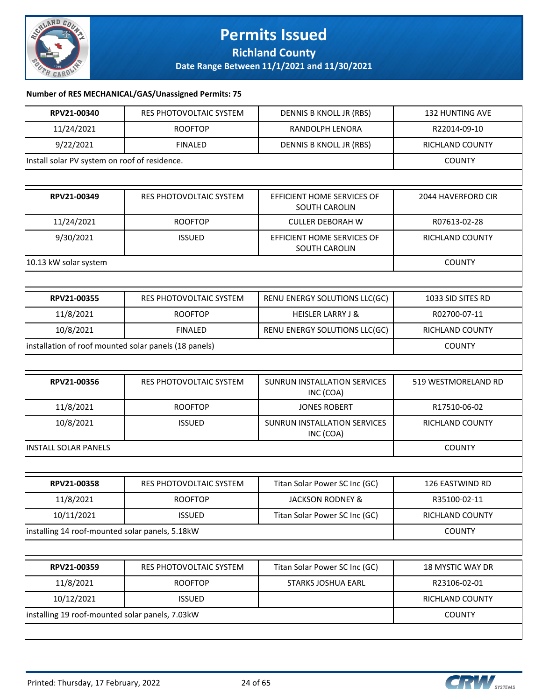

### **Permits Issued Richland County**

**Date Range Between 11/1/2021 and 11/30/2021**

#### **Number of RES MECHANICAL/GAS/Unassigned Permits: 75**

| RPV21-00340                                     | RES PHOTOVOLTAIC SYSTEM                               | DENNIS B KNOLL JR (RBS)                     | <b>132 HUNTING AVE</b>  |  |
|-------------------------------------------------|-------------------------------------------------------|---------------------------------------------|-------------------------|--|
| 11/24/2021                                      | <b>ROOFTOP</b>                                        | RANDOLPH LENORA                             | R22014-09-10            |  |
| 9/22/2021                                       | <b>FINALED</b>                                        | DENNIS B KNOLL JR (RBS)                     | RICHLAND COUNTY         |  |
| Install solar PV system on roof of residence.   |                                                       |                                             | <b>COUNTY</b>           |  |
|                                                 |                                                       |                                             |                         |  |
| RPV21-00349                                     | <b>RES PHOTOVOLTAIC SYSTEM</b>                        | EFFICIENT HOME SERVICES OF<br>SOUTH CAROLIN | 2044 HAVERFORD CIR      |  |
| 11/24/2021                                      | <b>ROOFTOP</b>                                        | <b>CULLER DEBORAH W</b>                     | R07613-02-28            |  |
| 9/30/2021                                       | <b>ISSUED</b>                                         | EFFICIENT HOME SERVICES OF<br>SOUTH CAROLIN | RICHLAND COUNTY         |  |
| 10.13 kW solar system                           |                                                       |                                             | <b>COUNTY</b>           |  |
|                                                 |                                                       |                                             |                         |  |
| RPV21-00355                                     | RES PHOTOVOLTAIC SYSTEM                               | RENU ENERGY SOLUTIONS LLC(GC)               | 1033 SID SITES RD       |  |
| 11/8/2021                                       | <b>ROOFTOP</b>                                        | <b>HEISLER LARRY J &amp;</b>                | R02700-07-11            |  |
| 10/8/2021                                       | <b>FINALED</b>                                        | RENU ENERGY SOLUTIONS LLC(GC)               | <b>RICHLAND COUNTY</b>  |  |
|                                                 | installation of roof mounted solar panels (18 panels) |                                             |                         |  |
|                                                 |                                                       |                                             |                         |  |
| RPV21-00356                                     | <b>RES PHOTOVOLTAIC SYSTEM</b>                        | SUNRUN INSTALLATION SERVICES<br>INC (COA)   | 519 WESTMORELAND RD     |  |
| 11/8/2021                                       | <b>ROOFTOP</b>                                        | <b>JONES ROBERT</b>                         | R17510-06-02            |  |
| 10/8/2021                                       | <b>ISSUED</b>                                         | SUNRUN INSTALLATION SERVICES<br>INC (COA)   | <b>RICHLAND COUNTY</b>  |  |
| <b>INSTALL SOLAR PANELS</b>                     |                                                       |                                             | <b>COUNTY</b>           |  |
|                                                 |                                                       |                                             |                         |  |
| RPV21-00358                                     | RES PHOTOVOLTAIC SYSTEM                               | Titan Solar Power SC Inc (GC)               | 126 EASTWIND RD         |  |
| 11/8/2021                                       | <b>ROOFTOP</b>                                        | JACKSON RODNEY &                            | R35100-02-11            |  |
| 10/11/2021                                      | <b>ISSUED</b>                                         | Titan Solar Power SC Inc (GC)               | RICHLAND COUNTY         |  |
| installing 14 roof-mounted solar panels, 5.18kW |                                                       |                                             | <b>COUNTY</b>           |  |
|                                                 |                                                       |                                             |                         |  |
| RPV21-00359                                     | RES PHOTOVOLTAIC SYSTEM                               | Titan Solar Power SC Inc (GC)               | <b>18 MYSTIC WAY DR</b> |  |
| 11/8/2021                                       | <b>ROOFTOP</b>                                        | <b>STARKS JOSHUA EARL</b>                   | R23106-02-01            |  |
| 10/12/2021                                      | <b>ISSUED</b>                                         |                                             | RICHLAND COUNTY         |  |
| installing 19 roof-mounted solar panels, 7.03kW |                                                       |                                             | <b>COUNTY</b>           |  |
|                                                 |                                                       |                                             |                         |  |

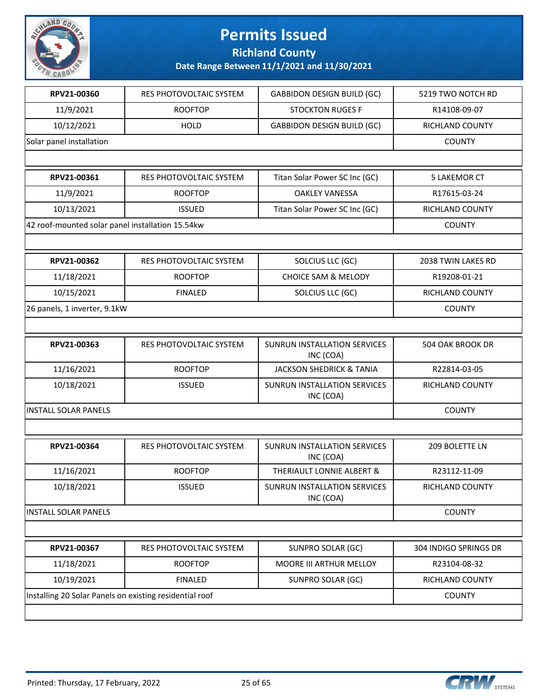

**Richland County**

| RPV21-00360                                             | RES PHOTOVOLTAIC SYSTEM | <b>GABBIDON DESIGN BUILD (GC)</b>                | 5219 TWO NOTCH RD     |
|---------------------------------------------------------|-------------------------|--------------------------------------------------|-----------------------|
| 11/9/2021                                               | <b>ROOFTOP</b>          | <b>STOCKTON RUGES F</b>                          | R14108-09-07          |
| 10/12/2021                                              | <b>HOLD</b>             | <b>GABBIDON DESIGN BUILD (GC)</b>                | RICHLAND COUNTY       |
| Solar panel installation                                |                         |                                                  | <b>COUNTY</b>         |
|                                                         |                         |                                                  |                       |
| RPV21-00361                                             | RES PHOTOVOLTAIC SYSTEM | Titan Solar Power SC Inc (GC)                    | <b>5 LAKEMOR CT</b>   |
| 11/9/2021                                               | <b>ROOFTOP</b>          | <b>OAKLEY VANESSA</b>                            | R17615-03-24          |
| 10/13/2021                                              | <b>ISSUED</b>           | Titan Solar Power SC Inc (GC)                    | RICHLAND COUNTY       |
| 42 roof-mounted solar panel installation 15.54kw        |                         |                                                  | <b>COUNTY</b>         |
|                                                         |                         |                                                  |                       |
| RPV21-00362                                             | RES PHOTOVOLTAIC SYSTEM | SOLCIUS LLC (GC)                                 | 2038 TWIN LAKES RD    |
| 11/18/2021                                              | <b>ROOFTOP</b>          | <b>CHOICE SAM &amp; MELODY</b>                   | R19208-01-21          |
| 10/15/2021                                              | <b>FINALED</b>          | SOLCIUS LLC (GC)                                 | RICHLAND COUNTY       |
| 26 panels, 1 inverter, 9.1kW                            |                         |                                                  | <b>COUNTY</b>         |
|                                                         |                         |                                                  |                       |
| RPV21-00363                                             | RES PHOTOVOLTAIC SYSTEM | SUNRUN INSTALLATION SERVICES<br>INC (COA)        | 504 OAK BROOK DR      |
| 11/16/2021                                              | <b>ROOFTOP</b>          | <b>JACKSON SHEDRICK &amp; TANIA</b>              | R22814-03-05          |
| 10/18/2021                                              | <b>ISSUED</b>           | SUNRUN INSTALLATION SERVICES<br>INC (COA)        | RICHLAND COUNTY       |
| <b>INSTALL SOLAR PANELS</b>                             |                         |                                                  | <b>COUNTY</b>         |
|                                                         |                         |                                                  |                       |
| RPV21-00364                                             | RES PHOTOVOLTAIC SYSTEM | <b>SUNRUN INSTALLATION SERVICES</b><br>INC (COA) | 209 BOLETTE LN        |
| 11/16/2021                                              | <b>ROOFTOP</b>          | THERIAULT LONNIE ALBERT &                        | R23112-11-09          |
| 10/18/2021                                              | <b>ISSUED</b>           | <b>SUNRUN INSTALLATION SERVICES</b><br>INC (COA) | RICHLAND COUNTY       |
| <b>INSTALL SOLAR PANELS</b>                             |                         |                                                  | <b>COUNTY</b>         |
|                                                         |                         |                                                  |                       |
| RPV21-00367                                             | RES PHOTOVOLTAIC SYSTEM | SUNPRO SOLAR (GC)                                | 304 INDIGO SPRINGS DR |
| 11/18/2021                                              | <b>ROOFTOP</b>          | MOORE III ARTHUR MELLOY                          | R23104-08-32          |
| 10/19/2021                                              | <b>FINALED</b>          | SUNPRO SOLAR (GC)                                | RICHLAND COUNTY       |
| Installing 20 Solar Panels on existing residential roof |                         |                                                  | <b>COUNTY</b>         |
|                                                         |                         |                                                  |                       |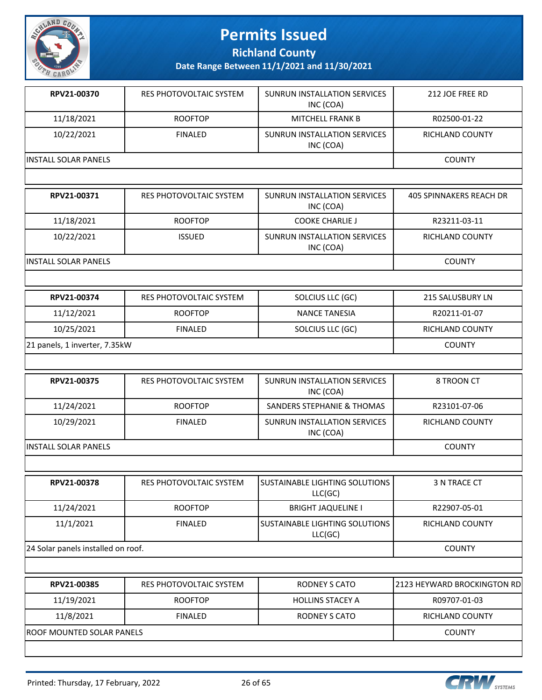

**Richland County**

| RPV21-00370           | RES PHOTOVOLTAIC SYSTEM | SUNRUN INSTALLATION SERVICES<br>INC (COA) | 212 JOE FREE RD |
|-----------------------|-------------------------|-------------------------------------------|-----------------|
| 11/18/2021            | <b>ROOFTOP</b>          | <b>MITCHELL FRANK B</b>                   | R02500-01-22    |
| 10/22/2021            | <b>FINALED</b>          | SUNRUN INSTALLATION SERVICES<br>INC (COA) | RICHLAND COUNTY |
| IINSTALL SOLAR PANELS |                         |                                           | <b>COUNTY</b>   |
|                       |                         |                                           |                 |

| RPV21-00371           | RES PHOTOVOLTAIC SYSTEM | SUNRUN INSTALLATION SERVICES<br>INC (COA) | 405 SPINNAKERS REACH DR |
|-----------------------|-------------------------|-------------------------------------------|-------------------------|
| 11/18/2021            | <b>ROOFTOP</b>          | <b>COOKE CHARLIE J</b>                    | R23211-03-11            |
| 10/22/2021            | <b>ISSUED</b>           | SUNRUN INSTALLATION SERVICES<br>INC (COA) | <b>RICHLAND COUNTY</b>  |
| IINSTALL SOLAR PANELS | <b>COUNTY</b>           |                                           |                         |

| RPV21-00374                   | RES PHOTOVOLTAIC SYSTEM | SOLCIUS LLC (GC) | 215 SALUSBURY LN |
|-------------------------------|-------------------------|------------------|------------------|
| 11/12/2021                    | <b>ROOFTOP</b>          | NANCE TANESIA    | R20211-01-07     |
| 10/25/2021                    | <b>FINALED</b>          | SOLCIUS LLC (GC) | RICHLAND COUNTY  |
| 21 panels, 1 inverter, 7.35kW |                         |                  | <b>COUNTY</b>    |

| RPV21-00375          | RES PHOTOVOLTAIC SYSTEM | SUNRUN INSTALLATION SERVICES<br>INC (COA) | 8 TROON CT      |
|----------------------|-------------------------|-------------------------------------------|-----------------|
| 11/24/2021           | <b>ROOFTOP</b>          | SANDERS STEPHANIE & THOMAS                | R23101-07-06    |
| 10/29/2021           | FINAL FD                | SUNRUN INSTALLATION SERVICES<br>INC (COA) | RICHLAND COUNTY |
| INSTALL SOLAR PANELS |                         |                                           | <b>COUNTY</b>   |

| RPV21-00378                        | RES PHOTOVOLTAIC SYSTEM | ISUSTAINABLE LIGHTING SOLUTIONS<br>LLC(GC) | 3 N TRACE CT           |
|------------------------------------|-------------------------|--------------------------------------------|------------------------|
| 11/24/2021                         | <b>ROOFTOP</b>          | <b>BRIGHT JAQUELINE I</b>                  | R22907-05-01           |
| 11/1/2021                          | FINAL FD                | ISUSTAINABLE LIGHTING SOLUTIONS<br>LLC(GC) | <b>RICHLAND COUNTY</b> |
| 24 Solar panels installed on roof. |                         |                                            | <b>COUNTY</b>          |

| RPV21-00385                | RES PHOTOVOLTAIC SYSTEM | RODNEY S CATO           | 12123 HEYWARD BROCKINGTON RD |
|----------------------------|-------------------------|-------------------------|------------------------------|
| 11/19/2021                 | <b>ROOFTOP</b>          | <b>HOLLINS STACEY A</b> | R09707-01-03                 |
| 11/8/2021                  | FINAL FD                | RODNEY S CATO           | RICHLAND COUNTY              |
| IROOF MOUNTED SOLAR PANELS |                         |                         | <b>COUNTY</b>                |
|                            |                         |                         |                              |

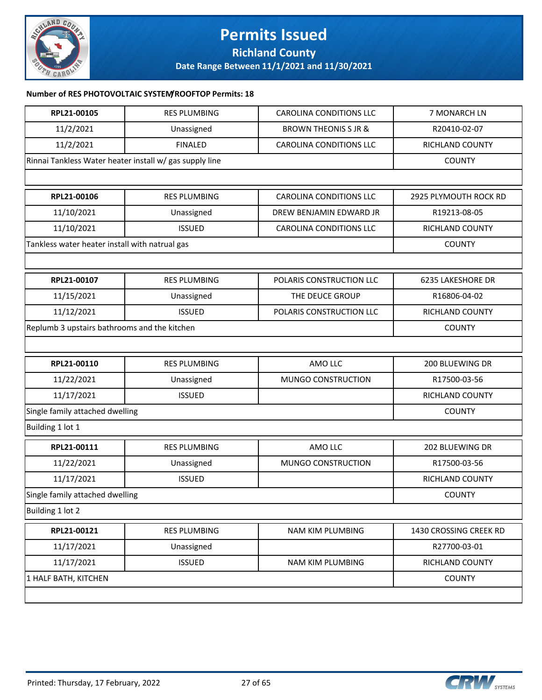

### **Permits Issued Richland County**

**Date Range Between 11/1/2021 and 11/30/2021**

### **Number of RES PHOTOVOLTAIC SYSTEM/ROOFTOP Permits: 18**

| RPL21-00105                                             | <b>RES PLUMBING</b>                            | <b>CAROLINA CONDITIONS LLC</b>  | 7 MONARCH LN           |
|---------------------------------------------------------|------------------------------------------------|---------------------------------|------------------------|
| 11/2/2021                                               | Unassigned                                     | <b>BROWN THEONIS S JR &amp;</b> | R20410-02-07           |
| 11/2/2021                                               | <b>FINALED</b>                                 | <b>CAROLINA CONDITIONS LLC</b>  | RICHLAND COUNTY        |
| Rinnai Tankless Water heater install w/ gas supply line |                                                |                                 | <b>COUNTY</b>          |
|                                                         |                                                |                                 |                        |
| RPL21-00106                                             | <b>RES PLUMBING</b>                            | <b>CAROLINA CONDITIONS LLC</b>  | 2925 PLYMOUTH ROCK RD  |
| 11/10/2021                                              | Unassigned                                     | DREW BENJAMIN EDWARD JR         | R19213-08-05           |
| 11/10/2021                                              | <b>ISSUED</b>                                  | <b>CAROLINA CONDITIONS LLC</b>  | RICHLAND COUNTY        |
|                                                         | Tankless water heater install with natrual gas |                                 | <b>COUNTY</b>          |
|                                                         |                                                |                                 |                        |
| RPL21-00107                                             | <b>RES PLUMBING</b>                            | POLARIS CONSTRUCTION LLC        | 6235 LAKESHORE DR      |
| 11/15/2021                                              | Unassigned                                     | THE DEUCE GROUP                 | R16806-04-02           |
| 11/12/2021                                              | <b>ISSUED</b>                                  | POLARIS CONSTRUCTION LLC        | RICHLAND COUNTY        |
| Replumb 3 upstairs bathrooms and the kitchen            |                                                |                                 | <b>COUNTY</b>          |
|                                                         |                                                |                                 |                        |
| RPL21-00110                                             | <b>RES PLUMBING</b>                            | AMO LLC                         | 200 BLUEWING DR        |
| 11/22/2021                                              | Unassigned                                     | MUNGO CONSTRUCTION              | R17500-03-56           |
| 11/17/2021                                              | <b>ISSUED</b>                                  |                                 | RICHLAND COUNTY        |
| Single family attached dwelling                         |                                                |                                 | <b>COUNTY</b>          |
| Building 1 lot 1                                        |                                                |                                 |                        |
| RPL21-00111                                             | <b>RES PLUMBING</b>                            | AMO LLC                         | 202 BLUEWING DR        |
| 11/22/2021                                              | Unassigned                                     | MUNGO CONSTRUCTION              | R17500-03-56           |
| 11/17/2021                                              | <b>ISSUED</b>                                  |                                 | RICHLAND COUNTY        |
| Single family attached dwelling                         |                                                |                                 | <b>COUNTY</b>          |
| Building 1 lot 2                                        |                                                |                                 |                        |
| RPL21-00121                                             | <b>RES PLUMBING</b>                            | NAM KIM PLUMBING                | 1430 CROSSING CREEK RD |
| 11/17/2021                                              | Unassigned                                     |                                 | R27700-03-01           |
| 11/17/2021                                              | <b>ISSUED</b>                                  | NAM KIM PLUMBING                | RICHLAND COUNTY        |
| 1 HALF BATH, KITCHEN                                    |                                                |                                 | <b>COUNTY</b>          |
|                                                         |                                                |                                 |                        |

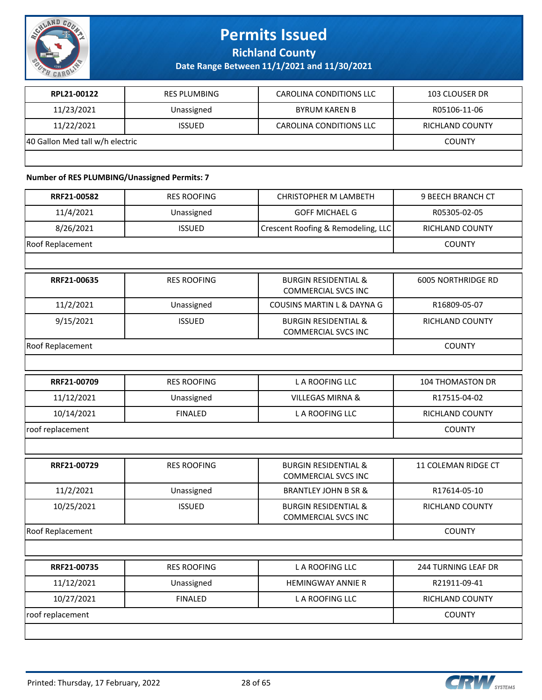

**Richland County**

**Date Range Between 11/1/2021 and 11/30/2021**

| RPL21-00122                     | <b>RES PLUMBING</b> | CAROLINA CONDITIONS LLC | <b>103 CLOUSER DR</b> |
|---------------------------------|---------------------|-------------------------|-----------------------|
| 11/23/2021                      | Unassigned          | BYRUM KAREN B           | R05106-11-06          |
| 11/22/2021                      | <b>ISSUED</b>       | CAROLINA CONDITIONS LLC | RICHLAND COUNTY       |
| 40 Gallon Med tall w/h electric |                     |                         | <b>COUNTY</b>         |
|                                 |                     |                         |                       |

#### **Number of RES PLUMBING/Unassigned Permits: 7**

| <b>RES ROOFING</b> | <b>CHRISTOPHER M LAMBETH</b>                                  | 9 BEECH BRANCH CT         |
|--------------------|---------------------------------------------------------------|---------------------------|
| Unassigned         | <b>GOFF MICHAEL G</b>                                         | R05305-02-05              |
| <b>ISSUED</b>      | Crescent Roofing & Remodeling, LLC                            | RICHLAND COUNTY           |
|                    |                                                               | <b>COUNTY</b>             |
|                    |                                                               |                           |
| <b>RES ROOFING</b> | <b>BURGIN RESIDENTIAL &amp;</b><br><b>COMMERCIAL SVCS INC</b> | <b>6005 NORTHRIDGE RD</b> |
| Unassigned         | COUSINS MARTIN L & DAYNA G                                    | R16809-05-07              |
| <b>ISSUED</b>      | <b>BURGIN RESIDENTIAL &amp;</b><br><b>COMMERCIAL SVCS INC</b> | RICHLAND COUNTY           |
|                    |                                                               | <b>COUNTY</b>             |
|                    |                                                               |                           |
| <b>RES ROOFING</b> | <b>LA ROOFING LLC</b>                                         | <b>104 THOMASTON DR</b>   |
| Unassigned         | <b>VILLEGAS MIRNA &amp;</b>                                   | R17515-04-02              |
| <b>FINALED</b>     | L A ROOFING LLC                                               | RICHLAND COUNTY           |
|                    |                                                               | <b>COUNTY</b>             |
|                    |                                                               |                           |
| <b>RES ROOFING</b> | <b>BURGIN RESIDENTIAL &amp;</b><br><b>COMMERCIAL SVCS INC</b> | 11 COLEMAN RIDGE CT       |
| Unassigned         | <b>BRANTLEY JOHN B SR &amp;</b>                               | R17614-05-10              |
| <b>ISSUED</b>      | <b>BURGIN RESIDENTIAL &amp;</b><br><b>COMMERCIAL SVCS INC</b> | RICHLAND COUNTY           |
|                    |                                                               | <b>COUNTY</b>             |
|                    |                                                               |                           |
| <b>RES ROOFING</b> | <b>LA ROOFING LLC</b>                                         | 244 TURNING LEAF DR       |
| Unassigned         | <b>HEMINGWAY ANNIE R</b>                                      | R21911-09-41              |
| <b>FINALED</b>     | L A ROOFING LLC                                               | RICHLAND COUNTY           |
|                    |                                                               | <b>COUNTY</b>             |
|                    |                                                               |                           |
|                    |                                                               |                           |

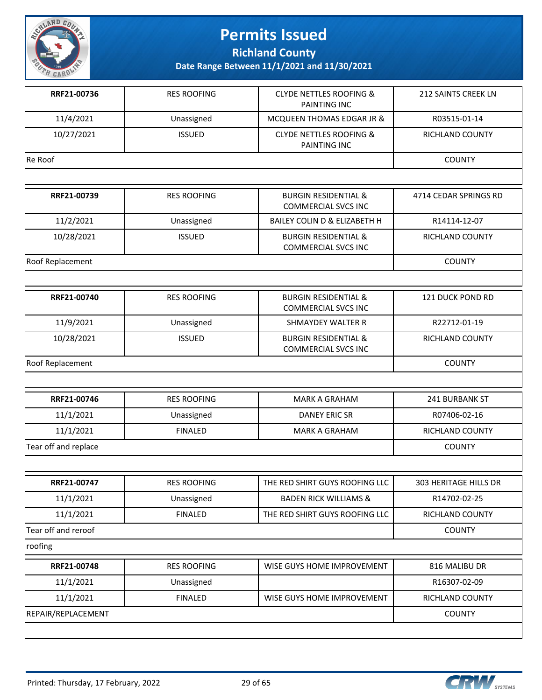

**Richland County**

| RRF21-00736          | <b>RES ROOFING</b> | <b>CLYDE NETTLES ROOFING &amp;</b><br>PAINTING INC            | 212 SAINTS CREEK LN    |
|----------------------|--------------------|---------------------------------------------------------------|------------------------|
| 11/4/2021            | Unassigned         | MCQUEEN THOMAS EDGAR JR &                                     | R03515-01-14           |
| 10/27/2021           | <b>ISSUED</b>      | <b>CLYDE NETTLES ROOFING &amp;</b><br>PAINTING INC            | <b>RICHLAND COUNTY</b> |
| Re Roof              |                    |                                                               | <b>COUNTY</b>          |
|                      |                    |                                                               |                        |
| RRF21-00739          | <b>RES ROOFING</b> | <b>BURGIN RESIDENTIAL &amp;</b><br><b>COMMERCIAL SVCS INC</b> | 4714 CEDAR SPRINGS RD  |
| 11/2/2021            | Unassigned         | BAILEY COLIN D & ELIZABETH H                                  | R14114-12-07           |
| 10/28/2021           | <b>ISSUED</b>      | <b>BURGIN RESIDENTIAL &amp;</b><br><b>COMMERCIAL SVCS INC</b> | RICHLAND COUNTY        |
| Roof Replacement     |                    |                                                               | <b>COUNTY</b>          |
|                      |                    |                                                               |                        |
| RRF21-00740          | <b>RES ROOFING</b> | <b>BURGIN RESIDENTIAL &amp;</b><br><b>COMMERCIAL SVCS INC</b> | 121 DUCK POND RD       |
| 11/9/2021            | Unassigned         | SHMAYDEY WALTER R                                             | R22712-01-19           |
| 10/28/2021           | <b>ISSUED</b>      | <b>BURGIN RESIDENTIAL &amp;</b><br><b>COMMERCIAL SVCS INC</b> | RICHLAND COUNTY        |
| Roof Replacement     |                    |                                                               | <b>COUNTY</b>          |
|                      |                    |                                                               |                        |
| RRF21-00746          | <b>RES ROOFING</b> | <b>MARK A GRAHAM</b>                                          | 241 BURBANK ST         |
| 11/1/2021            | Unassigned         | DANEY ERIC SR                                                 | R07406-02-16           |
| 11/1/2021            | <b>FINALED</b>     | <b>MARK A GRAHAM</b>                                          | RICHLAND COUNTY        |
| Tear off and replace |                    |                                                               | <b>COUNTY</b>          |
|                      |                    |                                                               |                        |
| RRF21-00747          | <b>RES ROOFING</b> | THE RED SHIRT GUYS ROOFING LLC                                | 303 HERITAGE HILLS DR  |
| 11/1/2021            | Unassigned         | <b>BADEN RICK WILLIAMS &amp;</b>                              | R14702-02-25           |
| 11/1/2021            | <b>FINALED</b>     | THE RED SHIRT GUYS ROOFING LLC                                | RICHLAND COUNTY        |
| Tear off and reroof  |                    |                                                               | <b>COUNTY</b>          |
| roofing              |                    |                                                               |                        |
| RRF21-00748          | <b>RES ROOFING</b> | WISE GUYS HOME IMPROVEMENT                                    | 816 MALIBU DR          |
| 11/1/2021            | Unassigned         |                                                               | R16307-02-09           |
| 11/1/2021            | <b>FINALED</b>     | WISE GUYS HOME IMPROVEMENT                                    | RICHLAND COUNTY        |
| REPAIR/REPLACEMENT   |                    |                                                               | <b>COUNTY</b>          |
|                      |                    |                                                               |                        |

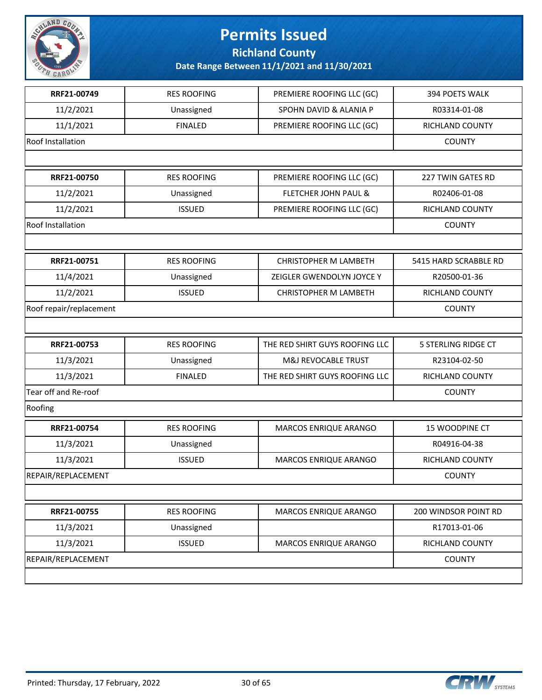

**Richland County**

| <b>RES ROOFING</b> |                                 |                       |
|--------------------|---------------------------------|-----------------------|
|                    | PREMIERE ROOFING LLC (GC)       | 394 POETS WALK        |
| Unassigned         | SPOHN DAVID & ALANIA P          | R03314-01-08          |
| <b>FINALED</b>     | PREMIERE ROOFING LLC (GC)       | RICHLAND COUNTY       |
|                    |                                 | <b>COUNTY</b>         |
|                    |                                 |                       |
| <b>RES ROOFING</b> | PREMIERE ROOFING LLC (GC)       | 227 TWIN GATES RD     |
| Unassigned         | <b>FLETCHER JOHN PAUL &amp;</b> | R02406-01-08          |
| <b>ISSUED</b>      | PREMIERE ROOFING LLC (GC)       | RICHLAND COUNTY       |
|                    |                                 | <b>COUNTY</b>         |
|                    |                                 |                       |
| <b>RES ROOFING</b> | <b>CHRISTOPHER M LAMBETH</b>    | 5415 HARD SCRABBLE RD |
| Unassigned         | ZEIGLER GWENDOLYN JOYCE Y       | R20500-01-36          |
| <b>ISSUED</b>      | <b>CHRISTOPHER M LAMBETH</b>    | RICHLAND COUNTY       |
|                    |                                 | <b>COUNTY</b>         |
|                    |                                 |                       |
| <b>RES ROOFING</b> | THE RED SHIRT GUYS ROOFING LLC  | 5 STERLING RIDGE CT   |
| Unassigned         | M&J REVOCABLE TRUST             | R23104-02-50          |
|                    |                                 |                       |
| <b>FINALED</b>     | THE RED SHIRT GUYS ROOFING LLC  | RICHLAND COUNTY       |
|                    |                                 | <b>COUNTY</b>         |
|                    |                                 |                       |
| <b>RES ROOFING</b> | MARCOS ENRIQUE ARANGO           | 15 WOODPINE CT        |
| Unassigned         |                                 | R04916-04-38          |
| <b>ISSUED</b>      | MARCOS ENRIQUE ARANGO           | RICHLAND COUNTY       |
|                    |                                 | <b>COUNTY</b>         |
|                    |                                 |                       |
| <b>RES ROOFING</b> | MARCOS ENRIQUE ARANGO           | 200 WINDSOR POINT RD  |
| Unassigned         |                                 | R17013-01-06          |
| <b>ISSUED</b>      | MARCOS ENRIQUE ARANGO           | RICHLAND COUNTY       |
|                    |                                 | <b>COUNTY</b>         |
|                    |                                 |                       |

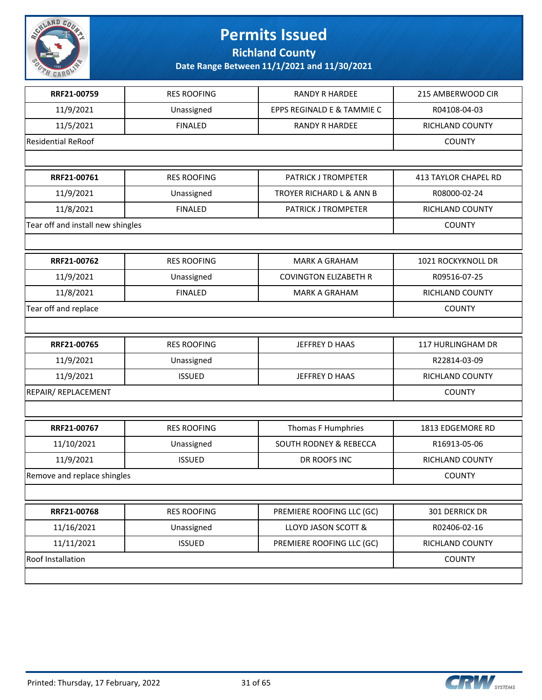

**Richland County**

| RRF21-00759                       | <b>RES ROOFING</b> | <b>RANDY R HARDEE</b>        | 215 AMBERWOOD CIR           |
|-----------------------------------|--------------------|------------------------------|-----------------------------|
| 11/9/2021                         | Unassigned         | EPPS REGINALD E & TAMMIE C   | R04108-04-03                |
| 11/5/2021                         | <b>FINALED</b>     | <b>RANDY R HARDEE</b>        | RICHLAND COUNTY             |
| <b>Residential ReRoof</b>         |                    |                              | <b>COUNTY</b>               |
|                                   |                    |                              |                             |
| RRF21-00761                       | <b>RES ROOFING</b> | <b>PATRICK J TROMPETER</b>   | <b>413 TAYLOR CHAPEL RD</b> |
| 11/9/2021                         | Unassigned         | TROYER RICHARD L & ANN B     | R08000-02-24                |
| 11/8/2021                         | <b>FINALED</b>     | PATRICK J TROMPETER          | RICHLAND COUNTY             |
| Tear off and install new shingles |                    |                              | <b>COUNTY</b>               |
|                                   |                    |                              |                             |
| RRF21-00762                       | <b>RES ROOFING</b> | <b>MARK A GRAHAM</b>         | 1021 ROCKYKNOLL DR          |
| 11/9/2021                         | Unassigned         | <b>COVINGTON ELIZABETH R</b> | R09516-07-25                |
| 11/8/2021                         | <b>FINALED</b>     | <b>MARK A GRAHAM</b>         | RICHLAND COUNTY             |
| Tear off and replace              |                    |                              | <b>COUNTY</b>               |
|                                   |                    |                              |                             |
| RRF21-00765                       | <b>RES ROOFING</b> | JEFFREY D HAAS               | 117 HURLINGHAM DR           |
| 11/9/2021                         | Unassigned         |                              | R22814-03-09                |
| 11/9/2021                         | <b>ISSUED</b>      | JEFFREY D HAAS               | RICHLAND COUNTY             |
| REPAIR/ REPLACEMENT               |                    |                              | <b>COUNTY</b>               |
|                                   |                    |                              |                             |
| RRF21-00767                       | <b>RES ROOFING</b> | Thomas F Humphries           | 1813 EDGEMORE RD            |
| 11/10/2021                        | Unassigned         | SOUTH RODNEY & REBECCA       | R16913-05-06                |
| 11/9/2021                         | <b>ISSUED</b>      | DR ROOFS INC                 | RICHLAND COUNTY             |
| Remove and replace shingles       |                    |                              | <b>COUNTY</b>               |
|                                   |                    |                              |                             |
| RRF21-00768                       | <b>RES ROOFING</b> | PREMIERE ROOFING LLC (GC)    | 301 DERRICK DR              |
| 11/16/2021                        | Unassigned         | LLOYD JASON SCOTT &          | R02406-02-16                |
| 11/11/2021                        | <b>ISSUED</b>      | PREMIERE ROOFING LLC (GC)    | RICHLAND COUNTY             |
| Roof Installation                 |                    |                              | <b>COUNTY</b>               |
|                                   |                    |                              |                             |

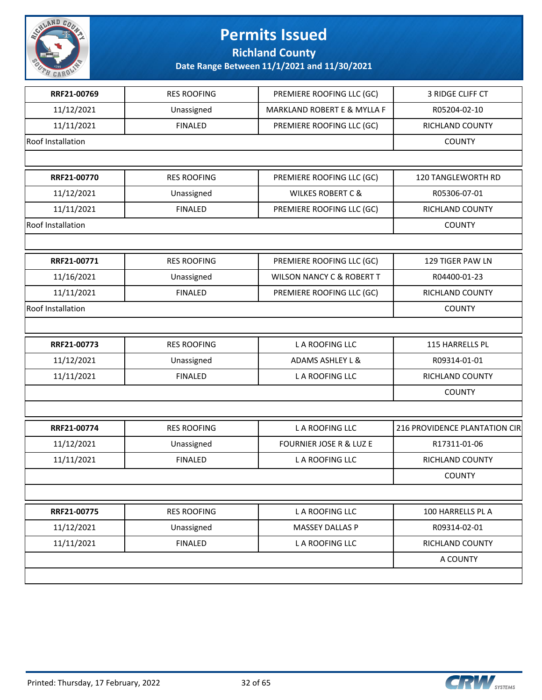

**Richland County**

| RRF21-00769       | <b>RES ROOFING</b> | PREMIERE ROOFING LLC (GC)              | 3 RIDGE CLIFF CT              |
|-------------------|--------------------|----------------------------------------|-------------------------------|
| 11/12/2021        | Unassigned         | <b>MARKLAND ROBERT E &amp; MYLLA F</b> | R05204-02-10                  |
| 11/11/2021        | <b>FINALED</b>     | PREMIERE ROOFING LLC (GC)              | RICHLAND COUNTY               |
| Roof Installation |                    |                                        | <b>COUNTY</b>                 |
|                   |                    |                                        |                               |
| RRF21-00770       | <b>RES ROOFING</b> | PREMIERE ROOFING LLC (GC)              | 120 TANGLEWORTH RD            |
| 11/12/2021        | Unassigned         | <b>WILKES ROBERT C &amp;</b>           | R05306-07-01                  |
| 11/11/2021        | <b>FINALED</b>     | PREMIERE ROOFING LLC (GC)              | RICHLAND COUNTY               |
| Roof Installation |                    |                                        | <b>COUNTY</b>                 |
|                   |                    |                                        |                               |
| RRF21-00771       | <b>RES ROOFING</b> | PREMIERE ROOFING LLC (GC)              | 129 TIGER PAW LN              |
| 11/16/2021        | Unassigned         | <b>WILSON NANCY C &amp; ROBERT T</b>   | R04400-01-23                  |
| 11/11/2021        | <b>FINALED</b>     | PREMIERE ROOFING LLC (GC)              | <b>RICHLAND COUNTY</b>        |
| Roof Installation |                    |                                        | <b>COUNTY</b>                 |
|                   |                    |                                        |                               |
| RRF21-00773       | <b>RES ROOFING</b> | L A ROOFING LLC                        | 115 HARRELLS PL               |
| 11/12/2021        | Unassigned         | <b>ADAMS ASHLEY L &amp;</b>            | R09314-01-01                  |
| 11/11/2021        | <b>FINALED</b>     | L A ROOFING LLC                        | RICHLAND COUNTY               |
|                   |                    |                                        | <b>COUNTY</b>                 |
|                   |                    |                                        |                               |
| RRF21-00774       | <b>RES ROOFING</b> | L A ROOFING LLC                        | 216 PROVIDENCE PLANTATION CIR |
| 11/12/2021        | Unassigned         | <b>FOURNIER JOSE R &amp; LUZ E</b>     | R17311-01-06                  |
| 11/11/2021        | <b>FINALED</b>     | L A ROOFING LLC                        | RICHLAND COUNTY               |
|                   |                    |                                        | <b>COUNTY</b>                 |
|                   |                    |                                        |                               |
| RRF21-00775       | <b>RES ROOFING</b> | L A ROOFING LLC                        | 100 HARRELLS PL A             |
| 11/12/2021        | Unassigned         | MASSEY DALLAS P                        | R09314-02-01                  |
| 11/11/2021        | <b>FINALED</b>     | L A ROOFING LLC                        | RICHLAND COUNTY               |
|                   |                    |                                        | A COUNTY                      |
|                   |                    |                                        |                               |

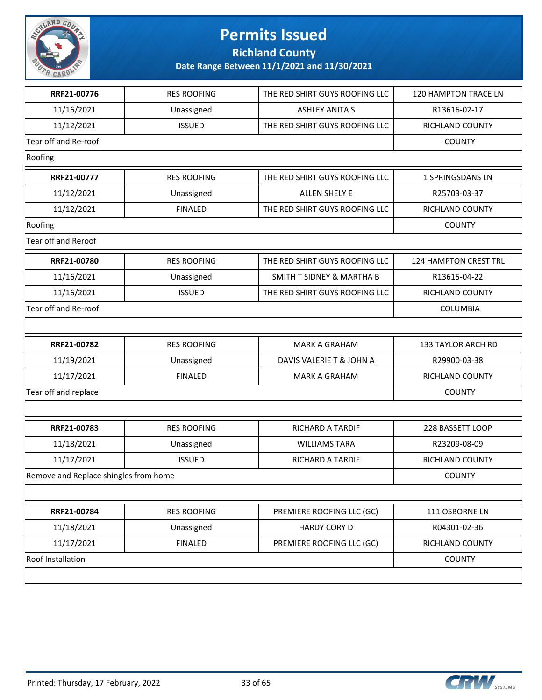

**Richland County**

| RRF21-00776                           | <b>RES ROOFING</b> | THE RED SHIRT GUYS ROOFING LLC       | 120 HAMPTON TRACE LN   |
|---------------------------------------|--------------------|--------------------------------------|------------------------|
| 11/16/2021                            | Unassigned         | <b>ASHLEY ANITA S</b>                | R13616-02-17           |
| 11/12/2021                            | <b>ISSUED</b>      | THE RED SHIRT GUYS ROOFING LLC       | RICHLAND COUNTY        |
| Tear off and Re-roof                  |                    |                                      | <b>COUNTY</b>          |
| Roofing                               |                    |                                      |                        |
| RRF21-00777                           | <b>RES ROOFING</b> | THE RED SHIRT GUYS ROOFING LLC       | 1 SPRINGSDANS LN       |
| 11/12/2021                            | Unassigned         | ALLEN SHELY E                        | R25703-03-37           |
| 11/12/2021                            | <b>FINALED</b>     | THE RED SHIRT GUYS ROOFING LLC       | RICHLAND COUNTY        |
| Roofing                               |                    |                                      | <b>COUNTY</b>          |
| Tear off and Reroof                   |                    |                                      |                        |
| RRF21-00780                           | <b>RES ROOFING</b> | THE RED SHIRT GUYS ROOFING LLC       | 124 HAMPTON CREST TRL  |
| 11/16/2021                            | Unassigned         | <b>SMITH T SIDNEY &amp; MARTHA B</b> | R13615-04-22           |
| 11/16/2021                            | <b>ISSUED</b>      | THE RED SHIRT GUYS ROOFING LLC       | <b>RICHLAND COUNTY</b> |
| Tear off and Re-roof                  |                    |                                      | COLUMBIA               |
|                                       |                    |                                      |                        |
| RRF21-00782                           | <b>RES ROOFING</b> | <b>MARK A GRAHAM</b>                 | 133 TAYLOR ARCH RD     |
| 11/19/2021                            | Unassigned         | DAVIS VALERIE T & JOHN A             | R29900-03-38           |
| 11/17/2021                            | <b>FINALED</b>     | <b>MARK A GRAHAM</b>                 | RICHLAND COUNTY        |
| Tear off and replace                  |                    |                                      | <b>COUNTY</b>          |
|                                       |                    |                                      |                        |
| RRF21-00783                           | <b>RES ROOFING</b> | <b>RICHARD A TARDIF</b>              | 228 BASSETT LOOP       |
| 11/18/2021                            | Unassigned         | <b>WILLIAMS TARA</b>                 | R23209-08-09           |
| 11/17/2021                            | <b>ISSUED</b>      | RICHARD A TARDIF                     | RICHLAND COUNTY        |
| Remove and Replace shingles from home |                    |                                      | <b>COUNTY</b>          |
|                                       |                    |                                      |                        |
| RRF21-00784                           | <b>RES ROOFING</b> | PREMIERE ROOFING LLC (GC)            | 111 OSBORNE LN         |
| 11/18/2021                            | Unassigned         | <b>HARDY CORY D</b>                  | R04301-02-36           |
| 11/17/2021                            | <b>FINALED</b>     | PREMIERE ROOFING LLC (GC)            | RICHLAND COUNTY        |
| Roof Installation                     |                    |                                      | <b>COUNTY</b>          |
|                                       |                    |                                      |                        |

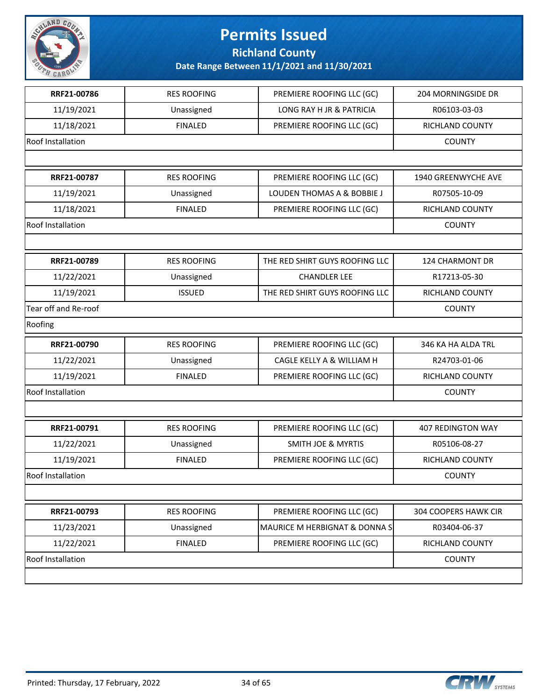

**Richland County**

| RRF21-00786              | <b>RES ROOFING</b> | PREMIERE ROOFING LLC (GC)      | <b>204 MORNINGSIDE DR</b> |
|--------------------------|--------------------|--------------------------------|---------------------------|
| 11/19/2021               | Unassigned         | LONG RAY H JR & PATRICIA       | R06103-03-03              |
| 11/18/2021               | <b>FINALED</b>     | PREMIERE ROOFING LLC (GC)      | RICHLAND COUNTY           |
| <b>Roof Installation</b> |                    |                                | <b>COUNTY</b>             |
|                          |                    |                                |                           |
| RRF21-00787              | <b>RES ROOFING</b> | PREMIERE ROOFING LLC (GC)      | 1940 GREENWYCHE AVE       |
| 11/19/2021               | Unassigned         | LOUDEN THOMAS A & BOBBIE J     | R07505-10-09              |
| 11/18/2021               | <b>FINALED</b>     | PREMIERE ROOFING LLC (GC)      | RICHLAND COUNTY           |
| <b>Roof Installation</b> |                    |                                | <b>COUNTY</b>             |
|                          |                    |                                |                           |
| RRF21-00789              | <b>RES ROOFING</b> | THE RED SHIRT GUYS ROOFING LLC | 124 CHARMONT DR           |
| 11/22/2021               | Unassigned         | <b>CHANDLER LEE</b>            | R17213-05-30              |
| 11/19/2021               | <b>ISSUED</b>      | THE RED SHIRT GUYS ROOFING LLC | RICHLAND COUNTY           |
| Tear off and Re-roof     |                    |                                | <b>COUNTY</b>             |
| Roofing                  |                    |                                |                           |
| RRF21-00790              | <b>RES ROOFING</b> | PREMIERE ROOFING LLC (GC)      | 346 KA HA ALDA TRL        |
| 11/22/2021               | Unassigned         | CAGLE KELLY A & WILLIAM H      | R24703-01-06              |
| 11/19/2021               | <b>FINALED</b>     | PREMIERE ROOFING LLC (GC)      | RICHLAND COUNTY           |
| <b>Roof Installation</b> |                    |                                | <b>COUNTY</b>             |
|                          |                    |                                |                           |
| RRF21-00791              | <b>RES ROOFING</b> | PREMIERE ROOFING LLC (GC)      | <b>407 REDINGTON WAY</b>  |
| 11/22/2021               | Unassigned         | <b>SMITH JOE &amp; MYRTIS</b>  | R05106-08-27              |
| 11/19/2021               | <b>FINALED</b>     | PREMIERE ROOFING LLC (GC)      | RICHLAND COUNTY           |
| <b>Roof Installation</b> |                    |                                | <b>COUNTY</b>             |
|                          |                    |                                |                           |
| RRF21-00793              | <b>RES ROOFING</b> | PREMIERE ROOFING LLC (GC)      | 304 COOPERS HAWK CIR      |
| 11/23/2021               | Unassigned         | MAURICE M HERBIGNAT & DONNA S  | R03404-06-37              |
| 11/22/2021               | <b>FINALED</b>     | PREMIERE ROOFING LLC (GC)      | RICHLAND COUNTY           |
| <b>Roof Installation</b> |                    |                                | <b>COUNTY</b>             |
|                          |                    |                                |                           |

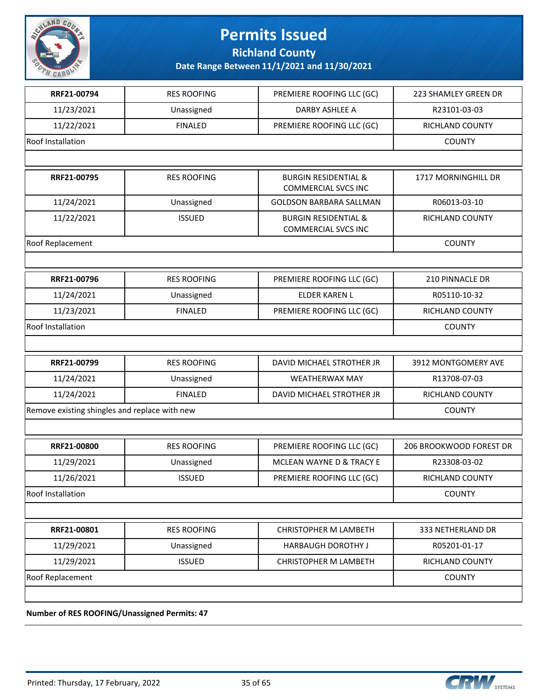

**Richland County**

**Date Range Between 11/1/2021 and 11/30/2021**

| RRF21-00794                                   | <b>RES ROOFING</b> | PREMIERE ROOFING LLC (GC)                                     | 223 SHAMLEY GREEN DR    |
|-----------------------------------------------|--------------------|---------------------------------------------------------------|-------------------------|
| 11/23/2021                                    | Unassigned         | DARBY ASHLEE A                                                | R23101-03-03            |
| 11/22/2021                                    | <b>FINALED</b>     | PREMIERE ROOFING LLC (GC)                                     | <b>RICHLAND COUNTY</b>  |
| Roof Installation                             |                    |                                                               | <b>COUNTY</b>           |
|                                               |                    |                                                               |                         |
| RRF21-00795                                   | <b>RES ROOFING</b> | <b>BURGIN RESIDENTIAL &amp;</b><br><b>COMMERCIAL SVCS INC</b> | 1717 MORNINGHILL DR     |
| 11/24/2021                                    | Unassigned         | <b>GOLDSON BARBARA SALLMAN</b>                                | R06013-03-10            |
| 11/22/2021                                    | <b>ISSUED</b>      | <b>BURGIN RESIDENTIAL &amp;</b><br><b>COMMERCIAL SVCS INC</b> | RICHLAND COUNTY         |
| Roof Replacement                              |                    |                                                               | <b>COUNTY</b>           |
|                                               |                    |                                                               |                         |
| RRF21-00796                                   | <b>RES ROOFING</b> | PREMIERE ROOFING LLC (GC)                                     | 210 PINNACLE DR         |
| 11/24/2021                                    | Unassigned         | <b>ELDER KAREN L</b>                                          | R05110-10-32            |
| 11/23/2021                                    | <b>FINALED</b>     | PREMIERE ROOFING LLC (GC)                                     | RICHLAND COUNTY         |
| <b>Roof Installation</b>                      |                    |                                                               | <b>COUNTY</b>           |
|                                               |                    |                                                               |                         |
| RRF21-00799                                   | <b>RES ROOFING</b> | DAVID MICHAEL STROTHER JR                                     | 3912 MONTGOMERY AVE     |
| 11/24/2021                                    | Unassigned         | <b>WEATHERWAX MAY</b>                                         | R13708-07-03            |
| 11/24/2021                                    | <b>FINALED</b>     | DAVID MICHAEL STROTHER JR                                     | RICHLAND COUNTY         |
| Remove existing shingles and replace with new |                    |                                                               | <b>COUNTY</b>           |
|                                               |                    |                                                               |                         |
| RRF21-00800                                   | <b>RES ROOFING</b> | PREMIERE ROOFING LLC (GC)                                     | 206 BROOKWOOD FOREST DR |
| 11/29/2021                                    | Unassigned         | MCLEAN WAYNE D & TRACY E                                      | R23308-03-02            |
| 11/26/2021                                    | <b>ISSUED</b>      | PREMIERE ROOFING LLC (GC)                                     | RICHLAND COUNTY         |
| Roof Installation                             |                    |                                                               | <b>COUNTY</b>           |
|                                               |                    |                                                               |                         |
| RRF21-00801                                   | <b>RES ROOFING</b> | CHRISTOPHER M LAMBETH                                         | 333 NETHERLAND DR       |
| 11/29/2021                                    | Unassigned         | HARBAUGH DOROTHY J                                            | R05201-01-17            |
| 11/29/2021                                    | <b>ISSUED</b>      | CHRISTOPHER M LAMBETH                                         | RICHLAND COUNTY         |
| Roof Replacement                              |                    |                                                               | <b>COUNTY</b>           |
|                                               |                    |                                                               |                         |

**Number of RES ROOFING/Unassigned Permits: 47**

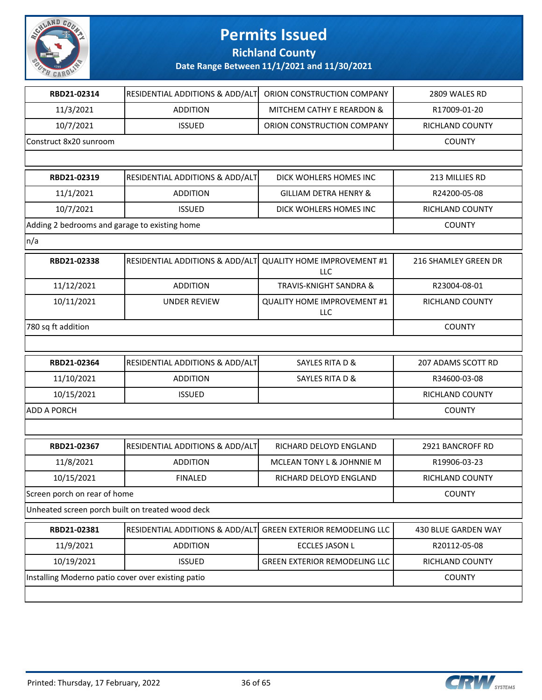

**Richland County**

| RBD21-02314                                        | RESIDENTIAL ADDITIONS & ADD/ALT            | ORION CONSTRUCTION COMPANY                | 2809 WALES RD               |
|----------------------------------------------------|--------------------------------------------|-------------------------------------------|-----------------------------|
| 11/3/2021                                          | <b>ADDITION</b>                            | MITCHEM CATHY E REARDON &                 | R17009-01-20                |
| 10/7/2021                                          | <b>ISSUED</b>                              | ORION CONSTRUCTION COMPANY                | RICHLAND COUNTY             |
| Construct 8x20 sunroom                             |                                            |                                           | <b>COUNTY</b>               |
|                                                    |                                            |                                           |                             |
| RBD21-02319                                        | RESIDENTIAL ADDITIONS & ADD/ALT            | DICK WOHLERS HOMES INC                    | 213 MILLIES RD              |
| 11/1/2021                                          | <b>ADDITION</b>                            | <b>GILLIAM DETRA HENRY &amp;</b>          | R24200-05-08                |
| 10/7/2021                                          | <b>ISSUED</b>                              | DICK WOHLERS HOMES INC                    | RICHLAND COUNTY             |
| Adding 2 bedrooms and garage to existing home      |                                            |                                           | <b>COUNTY</b>               |
| n/a                                                |                                            |                                           |                             |
| RBD21-02338                                        | <b>RESIDENTIAL ADDITIONS &amp; ADD/ALT</b> | <b>QUALITY HOME IMPROVEMENT #1</b><br>LLC | <b>216 SHAMLEY GREEN DR</b> |
| 11/12/2021                                         | <b>ADDITION</b>                            | <b>TRAVIS-KNIGHT SANDRA &amp;</b>         | R23004-08-01                |
| 10/11/2021                                         | <b>UNDER REVIEW</b>                        | <b>QUALITY HOME IMPROVEMENT #1</b><br>LLC | RICHLAND COUNTY             |
| 780 sq ft addition                                 |                                            |                                           | <b>COUNTY</b>               |
|                                                    |                                            |                                           |                             |
| RBD21-02364                                        | RESIDENTIAL ADDITIONS & ADD/ALT            | <b>SAYLES RITA D &amp;</b>                | 207 ADAMS SCOTT RD          |
| 11/10/2021                                         | <b>ADDITION</b>                            | SAYLES RITA D &                           | R34600-03-08                |
| 10/15/2021                                         | <b>ISSUED</b>                              |                                           | RICHLAND COUNTY             |
| <b>ADD A PORCH</b>                                 |                                            |                                           | <b>COUNTY</b>               |
|                                                    |                                            |                                           |                             |
| RBD21-02367                                        | RESIDENTIAL ADDITIONS & ADD/ALT            | RICHARD DELOYD ENGLAND                    | 2921 BANCROFF RD            |
| 11/8/2021                                          | <b>ADDITION</b>                            | MCLEAN TONY L & JOHNNIE M                 | R19906-03-23                |
| 10/15/2021                                         | <b>FINALED</b>                             | RICHARD DELOYD ENGLAND                    | RICHLAND COUNTY             |
| Screen porch on rear of home                       |                                            |                                           | <b>COUNTY</b>               |
| Unheated screen porch built on treated wood deck   |                                            |                                           |                             |
| RBD21-02381                                        | RESIDENTIAL ADDITIONS & ADD/ALT            | <b>GREEN EXTERIOR REMODELING LLC</b>      | 430 BLUE GARDEN WAY         |
| 11/9/2021                                          | <b>ADDITION</b>                            | <b>ECCLES JASON L</b>                     | R20112-05-08                |
| 10/19/2021                                         | <b>ISSUED</b>                              | <b>GREEN EXTERIOR REMODELING LLC</b>      | RICHLAND COUNTY             |
| Installing Moderno patio cover over existing patio |                                            |                                           | <b>COUNTY</b>               |
|                                                    |                                            |                                           |                             |

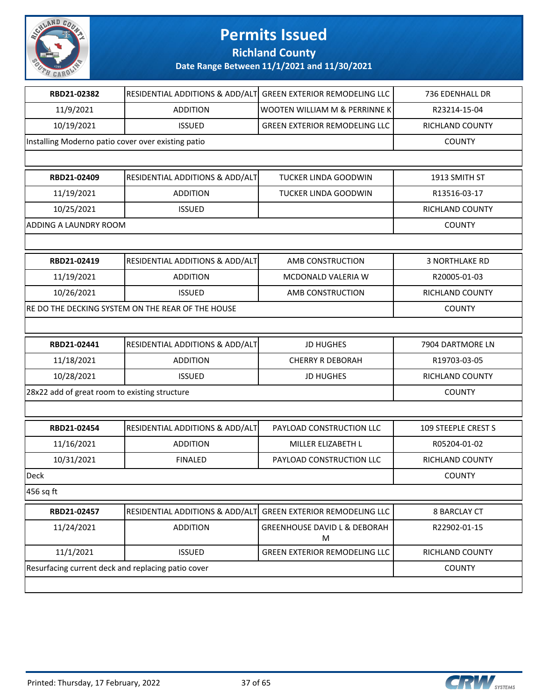

**Richland County**

| RBD21-02382                                        | <b>RESIDENTIAL ADDITIONS &amp; ADD/ALT</b>        | <b>GREEN EXTERIOR REMODELING LLC</b>         | 736 EDENHALL DR       |
|----------------------------------------------------|---------------------------------------------------|----------------------------------------------|-----------------------|
| 11/9/2021                                          | <b>ADDITION</b>                                   | WOOTEN WILLIAM M & PERRINNE K                | R23214-15-04          |
| 10/19/2021                                         | <b>ISSUED</b>                                     | <b>GREEN EXTERIOR REMODELING LLC</b>         | RICHLAND COUNTY       |
| Installing Moderno patio cover over existing patio |                                                   |                                              | <b>COUNTY</b>         |
|                                                    |                                                   |                                              |                       |
| RBD21-02409                                        | RESIDENTIAL ADDITIONS & ADD/ALT                   | TUCKER LINDA GOODWIN                         | 1913 SMITH ST         |
| 11/19/2021                                         | <b>ADDITION</b>                                   | TUCKER LINDA GOODWIN                         | R13516-03-17          |
| 10/25/2021                                         | <b>ISSUED</b>                                     |                                              | RICHLAND COUNTY       |
| <b>ADDING A LAUNDRY ROOM</b>                       |                                                   |                                              | <b>COUNTY</b>         |
|                                                    |                                                   |                                              |                       |
| RBD21-02419                                        | RESIDENTIAL ADDITIONS & ADD/ALT                   | AMB CONSTRUCTION                             | <b>3 NORTHLAKE RD</b> |
| 11/19/2021                                         | <b>ADDITION</b>                                   | MCDONALD VALERIA W                           | R20005-01-03          |
| 10/26/2021                                         | <b>ISSUED</b>                                     | AMB CONSTRUCTION                             | RICHLAND COUNTY       |
|                                                    | RE DO THE DECKING SYSTEM ON THE REAR OF THE HOUSE |                                              | <b>COUNTY</b>         |
|                                                    |                                                   |                                              |                       |
| RBD21-02441                                        | RESIDENTIAL ADDITIONS & ADD/ALT                   | <b>JD HUGHES</b>                             | 7904 DARTMORE LN      |
| 11/18/2021                                         | <b>ADDITION</b>                                   | <b>CHERRY R DEBORAH</b>                      | R19703-03-05          |
| 10/28/2021                                         | <b>ISSUED</b>                                     | <b>JD HUGHES</b>                             | RICHLAND COUNTY       |
| 28x22 add of great room to existing structure      |                                                   |                                              | <b>COUNTY</b>         |
|                                                    |                                                   |                                              |                       |
| RBD21-02454                                        | <b>RESIDENTIAL ADDITIONS &amp; ADD/ALT</b>        | PAYLOAD CONSTRUCTION LLC                     | 109 STEEPLE CREST S   |
| 11/16/2021                                         | <b>ADDITION</b>                                   | MILLER ELIZABETH L                           | R05204-01-02          |
| 10/31/2021                                         | <b>FINALED</b>                                    | PAYLOAD CONSTRUCTION LLC                     | RICHLAND COUNTY       |
| Deck                                               |                                                   |                                              | <b>COUNTY</b>         |
| 456 sq ft                                          |                                                   |                                              |                       |
| RBD21-02457                                        | RESIDENTIAL ADDITIONS & ADD/ALT                   | <b>GREEN EXTERIOR REMODELING LLC</b>         | <b>8 BARCLAY CT</b>   |
| 11/24/2021                                         | <b>ADDITION</b>                                   | <b>GREENHOUSE DAVID L &amp; DEBORAH</b><br>M | R22902-01-15          |
| 11/1/2021                                          | <b>ISSUED</b>                                     | <b>GREEN EXTERIOR REMODELING LLC</b>         | RICHLAND COUNTY       |
| Resurfacing current deck and replacing patio cover |                                                   |                                              | <b>COUNTY</b>         |
|                                                    |                                                   |                                              |                       |

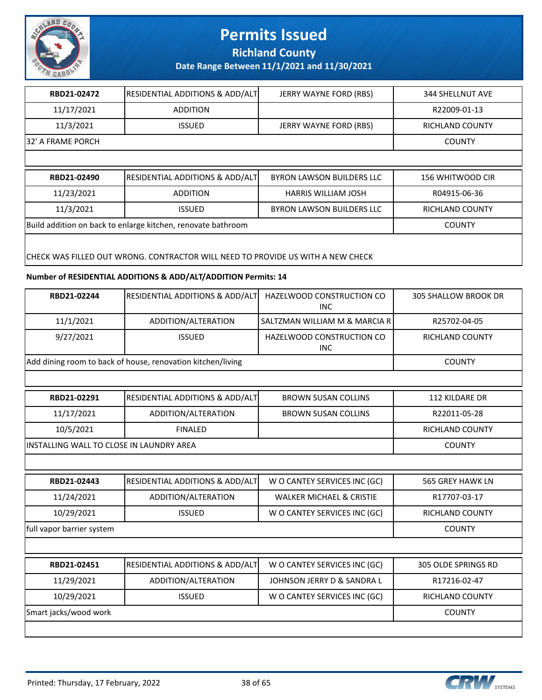

**Richland County**

**Date Range Between 11/1/2021 and 11/30/2021**

| RBD21-02472                                                                     | <b>RESIDENTIAL ADDITIONS &amp; ADD/ALT</b> | JERRY WAYNE FORD (RBS)           | 344 SHELLNUT AVE       |  |
|---------------------------------------------------------------------------------|--------------------------------------------|----------------------------------|------------------------|--|
| 11/17/2021                                                                      | <b>ADDITION</b>                            |                                  | R22009-01-13           |  |
| 11/3/2021                                                                       | <b>ISSUED</b>                              | JERRY WAYNE FORD (RBS)           | RICHLAND COUNTY        |  |
| 32' A FRAME PORCH                                                               |                                            |                                  | <b>COUNTY</b>          |  |
|                                                                                 |                                            |                                  |                        |  |
| RBD21-02490                                                                     | <b>RESIDENTIAL ADDITIONS &amp; ADD/ALT</b> | <b>BYRON LAWSON BUILDERS LLC</b> | 156 WHITWOOD CIR       |  |
| 11/23/2021                                                                      | <b>ADDITION</b>                            | <b>HARRIS WILLIAM JOSH</b>       | R04915-06-36           |  |
| 11/3/2021                                                                       | <b>ISSUED</b>                              | <b>BYRON LAWSON BUILDERS LLC</b> | <b>RICHLAND COUNTY</b> |  |
| Build addition on back to enlarge kitchen, renovate bathroom                    | <b>COUNTY</b>                              |                                  |                        |  |
| CHECK WAS FILLED OUT WRONG. CONTRACTOR WILL NEED TO PROVIDE US WITH A NEW CHECK |                                            |                                  |                        |  |

#### **Number of RESIDENTIAL ADDITIONS & ADD/ALT/ADDITION Permits: 14**

| RBD21-02244               | RESIDENTIAL ADDITIONS & ADD/ALT                             | HAZELWOOD CONSTRUCTION CO<br><b>INC</b> | <b>305 SHALLOW BROOK DR</b> |
|---------------------------|-------------------------------------------------------------|-----------------------------------------|-----------------------------|
| 11/1/2021                 | ADDITION/ALTERATION                                         | SALTZMAN WILLIAM M & MARCIA R           | R25702-04-05                |
| 9/27/2021                 | <b>ISSUED</b>                                               | HAZELWOOD CONSTRUCTION CO<br><b>INC</b> | <b>RICHLAND COUNTY</b>      |
|                           | Add dining room to back of house, renovation kitchen/living |                                         | <b>COUNTY</b>               |
|                           |                                                             |                                         |                             |
| RBD21-02291               | RESIDENTIAL ADDITIONS & ADD/ALT                             | <b>BROWN SUSAN COLLINS</b>              | <b>112 KILDARE DR</b>       |
| 11/17/2021                | ADDITION/ALTERATION                                         | <b>BROWN SUSAN COLLINS</b>              | R22011-05-28                |
| 10/5/2021                 | <b>FINALED</b>                                              |                                         | <b>RICHLAND COUNTY</b>      |
|                           | INSTALLING WALL TO CLOSE IN LAUNDRY AREA                    |                                         |                             |
|                           |                                                             |                                         |                             |
| RBD21-02443               | RESIDENTIAL ADDITIONS & ADD/ALT                             | W O CANTEY SERVICES INC (GC)            | <b>565 GREY HAWK LN</b>     |
| 11/24/2021                | ADDITION/ALTERATION                                         | <b>WALKER MICHAEL &amp; CRISTIE</b>     | R17707-03-17                |
| 10/29/2021                | <b>ISSUED</b>                                               | W O CANTEY SERVICES INC (GC)            | <b>RICHLAND COUNTY</b>      |
| full vapor barrier system |                                                             |                                         | <b>COUNTY</b>               |
|                           |                                                             |                                         |                             |
| RBD21-02451               | RESIDENTIAL ADDITIONS & ADD/ALT                             | W O CANTEY SERVICES INC (GC)            | 305 OLDE SPRINGS RD         |
| 11/29/2021                | ADDITION/ALTERATION                                         | JOHNSON JERRY D & SANDRA L              | R17216-02-47                |
| 10/29/2021                | <b>ISSUED</b>                                               | W O CANTEY SERVICES INC (GC)            | RICHLAND COUNTY             |
| Smart jacks/wood work     |                                                             |                                         | <b>COUNTY</b>               |
|                           |                                                             |                                         |                             |

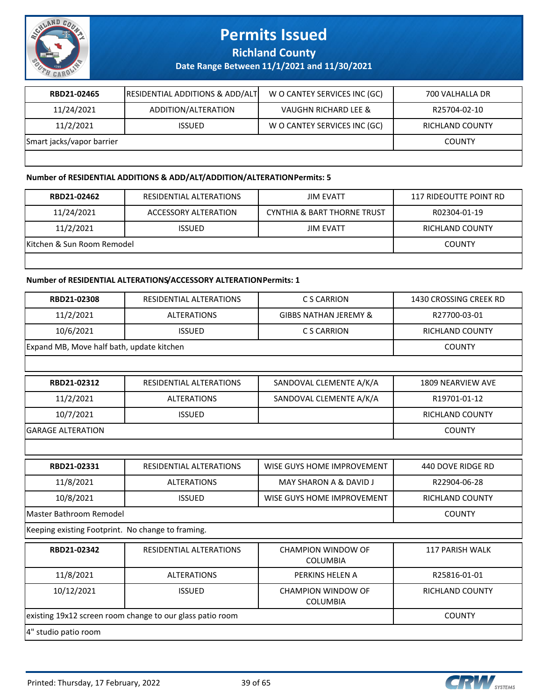

**Richland County**

**Date Range Between 11/1/2021 and 11/30/2021**

| RBD21-02465               | <b>RESIDENTIAL ADDITIONS &amp; ADD/ALT</b> | W O CANTEY SERVICES INC (GC) | 700 VALHALLA DR        |
|---------------------------|--------------------------------------------|------------------------------|------------------------|
| 11/24/2021                | ADDITION/ALTERATION                        | VAUGHN RICHARD LEE &         | R25704-02-10           |
| 11/2/2021                 | <b>ISSUED</b>                              | W O CANTEY SERVICES INC (GC) | <b>RICHLAND COUNTY</b> |
| Smart jacks/vapor barrier | <b>COUNTY</b>                              |                              |                        |
|                           |                                            |                              |                        |

#### **Number of RESIDENTIAL ADDITIONS & ADD/ALT/ADDITION/ALTERATION Permits: 5**

| RBD21-02462                | RESIDENTIAL ALTERATIONS | JIM EVATT                              | 117 RIDEOUTTE POINT RD |
|----------------------------|-------------------------|----------------------------------------|------------------------|
| 11/24/2021                 | ACCESSORY ALTERATION    | <b>CYNTHIA &amp; BART THORNE TRUST</b> | R02304-01-19           |
| 11/2/2021                  | <b>ISSUED</b>           | <b>JIM EVATT</b>                       | RICHLAND COUNTY        |
| Kitchen & Sun Room Remodel | <b>COUNTY</b>           |                                        |                        |
|                            |                         |                                        |                        |

#### **Number of RESIDENTIAL ALTERATIONS/ACCESSORY ALTERATION Permits: 1**

| RBD21-02308                                       | RESIDENTIAL ALTERATIONS                                   | C S CARRION                                  | 1430 CROSSING CREEK RD |
|---------------------------------------------------|-----------------------------------------------------------|----------------------------------------------|------------------------|
| 11/2/2021                                         | <b>ALTERATIONS</b>                                        | <b>GIBBS NATHAN JEREMY &amp;</b>             | R27700-03-01           |
| 10/6/2021                                         | <b>ISSUED</b>                                             | C S CARRION                                  | <b>RICHLAND COUNTY</b> |
| Expand MB, Move half bath, update kitchen         |                                                           |                                              | <b>COUNTY</b>          |
|                                                   |                                                           |                                              |                        |
| RBD21-02312                                       | RESIDENTIAL ALTERATIONS                                   | SANDOVAL CLEMENTE A/K/A                      | 1809 NEARVIEW AVE      |
| 11/2/2021                                         | <b>ALTERATIONS</b>                                        | SANDOVAL CLEMENTE A/K/A                      | R19701-01-12           |
| 10/7/2021                                         | <b>ISSUED</b>                                             |                                              | RICHLAND COUNTY        |
| <b>GARAGE ALTERATION</b>                          |                                                           |                                              | <b>COUNTY</b>          |
|                                                   |                                                           |                                              |                        |
| RBD21-02331                                       | RESIDENTIAL ALTERATIONS                                   | WISE GUYS HOME IMPROVEMENT                   | 440 DOVE RIDGE RD      |
| 11/8/2021                                         | <b>ALTERATIONS</b>                                        | <b>MAY SHARON A &amp; DAVID J</b>            | R22904-06-28           |
| 10/8/2021                                         | <b>ISSUED</b>                                             | WISE GUYS HOME IMPROVEMENT                   | RICHLAND COUNTY        |
| Master Bathroom Remodel                           |                                                           |                                              | <b>COUNTY</b>          |
| Keeping existing Footprint. No change to framing. |                                                           |                                              |                        |
| RBD21-02342                                       | RESIDENTIAL ALTERATIONS                                   | CHAMPION WINDOW OF<br><b>COLUMBIA</b>        | <b>117 PARISH WALK</b> |
| 11/8/2021                                         | <b>ALTERATIONS</b>                                        | PERKINS HELEN A                              | R25816-01-01           |
| 10/12/2021                                        | <b>ISSUED</b>                                             | <b>CHAMPION WINDOW OF</b><br><b>COLUMBIA</b> | <b>RICHLAND COUNTY</b> |
|                                                   | existing 19x12 screen room change to our glass patio room |                                              | <b>COUNTY</b>          |
| 4" studio patio room                              |                                                           |                                              |                        |

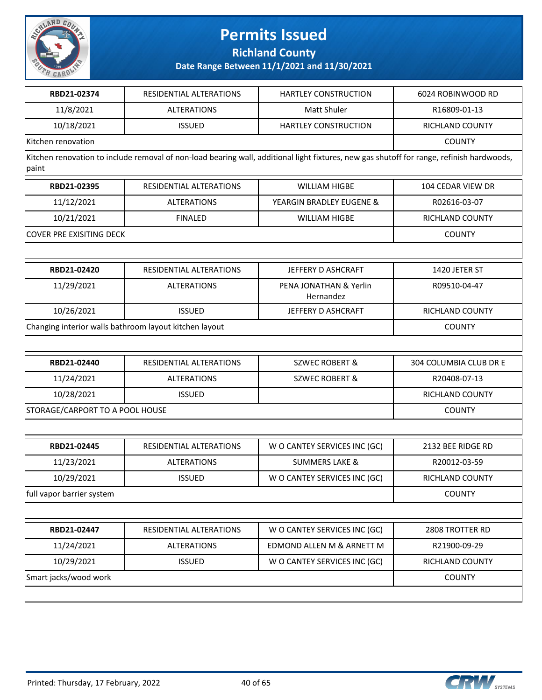

**Richland County**

**Date Range Between 11/1/2021 and 11/30/2021**

| RBD21-02374        | RESIDENTIAL ALTERATIONS | <b>HARTLEY CONSTRUCTION</b> | 6024 ROBINWOOD RD |
|--------------------|-------------------------|-----------------------------|-------------------|
| 11/8/2021          | <b>ALTERATIONS</b>      | Matt Shuler                 | R16809-01-13      |
| 10/18/2021         | <b>ISSUED</b>           | <b>HARTLEY CONSTRUCTION</b> | RICHLAND COUNTY   |
| Kitchen renovation |                         |                             | <b>COUNTY</b>     |

Kitchen renovation to include removal of non-load bearing wall, additional light fixtures, new gas shutoff for range, refinish hardwoods, paint

| RBD21-02395               | RESIDENTIAL ALTERATIONS | WILLIAM HIGBE            | 104 CEDAR VIEW DR |
|---------------------------|-------------------------|--------------------------|-------------------|
| 11/12/2021                | ALTERATIONS             | YEARGIN BRADLEY EUGENE & | R02616-03-07      |
| 10/21/2021                | <b>FINALED</b>          | WILLIAM HIGBE            | RICHLAND COUNTY   |
| ICOVER PRE EXISITING DECK |                         |                          | <b>COUNTY</b>     |

| RBD21-02420                                            | RESIDENTIAL ALTERATIONS | JEFFERY D ASHCRAFT                  | 1420 JETER ST   |
|--------------------------------------------------------|-------------------------|-------------------------------------|-----------------|
| 11/29/2021                                             | <b>ALTERATIONS</b>      | PENA JONATHAN & Yerlin<br>Hernandez | R09510-04-47    |
| 10/26/2021                                             | <b>ISSUED</b>           | JEFFERY D ASHCRAFT                  | RICHLAND COUNTY |
| Changing interior walls bathroom layout kitchen layout |                         |                                     | <b>COUNTY</b>   |

| RBD21-02440                     | RESIDENTIAL ALTERATIONS | SZWEC ROBERT & | 304 COLUMBIA CLUB DR E |
|---------------------------------|-------------------------|----------------|------------------------|
| 11/24/2021                      | ALTERATIONS             | SZWEC ROBERT & | R20408-07-13           |
| 10/28/2021                      | <b>ISSUED</b>           |                | RICHLAND COUNTY        |
| STORAGE/CARPORT TO A POOL HOUSE |                         |                | <b>COUNTY</b>          |

| RBD21-02445               | RESIDENTIAL ALTERATIONS | W O CANTEY SERVICES INC (GC) | 2132 BEE RIDGE RD |
|---------------------------|-------------------------|------------------------------|-------------------|
| 11/23/2021                | <b>ALTERATIONS</b>      | <b>SUMMERS LAKE &amp;</b>    | R20012-03-59      |
| 10/29/2021                | <b>ISSUED</b>           | W O CANTEY SERVICES INC (GC) | RICHLAND COUNTY   |
| full vapor barrier system | <b>COUNTY</b>           |                              |                   |
|                           |                         |                              |                   |

| RBD21-02447           | RESIDENTIAL ALTERATIONS | W O CANTEY SERVICES INC (GC) | 2808 TROTTER RD |
|-----------------------|-------------------------|------------------------------|-----------------|
| 11/24/2021            | <b>ALTERATIONS</b>      | EDMOND ALLEN M & ARNETT M    | R21900-09-29    |
| 10/29/2021            | <b>ISSUED</b>           | W O CANTEY SERVICES INC (GC) | RICHLAND COUNTY |
| Smart jacks/wood work |                         |                              | <b>COUNTY</b>   |

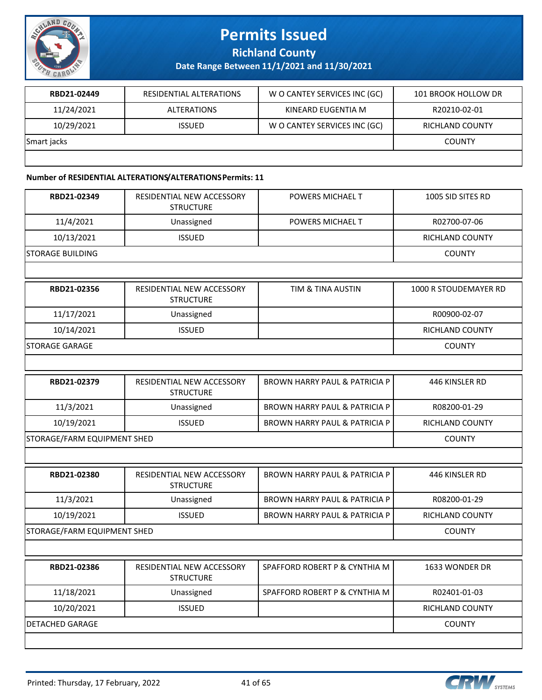

**Richland County**

**Date Range Between 11/1/2021 and 11/30/2021**

| RBD21-02449 | RESIDENTIAL ALTERATIONS | W O CANTEY SERVICES INC (GC) | 101 BROOK HOLLOW DR    |
|-------------|-------------------------|------------------------------|------------------------|
| 11/24/2021  | <b>ALTERATIONS</b>      | KINEARD EUGENTIA M           | R20210-02-01           |
| 10/29/2021  | <b>ISSUED</b>           | W O CANTEY SERVICES INC (GC) | <b>RICHLAND COUNTY</b> |
| Smart jacks |                         |                              | <b>COUNTY</b>          |
|             |                         |                              |                        |

#### **Number of RESIDENTIAL ALTERATIONS/ALTERATIONS Permits: 11**

| RESIDENTIAL NEW ACCESSORY<br><b>STRUCTURE</b> | POWERS MICHAEL T                         | 1005 SID SITES RD      |
|-----------------------------------------------|------------------------------------------|------------------------|
| Unassigned                                    | POWERS MICHAEL T                         | R02700-07-06           |
| <b>ISSUED</b>                                 |                                          | RICHLAND COUNTY        |
|                                               |                                          | <b>COUNTY</b>          |
|                                               |                                          |                        |
| RESIDENTIAL NEW ACCESSORY<br><b>STRUCTURE</b> | <b>TIM &amp; TINA AUSTIN</b>             | 1000 R STOUDEMAYER RD  |
| Unassigned                                    |                                          | R00900-02-07           |
| <b>ISSUED</b>                                 |                                          | <b>RICHLAND COUNTY</b> |
|                                               |                                          | <b>COUNTY</b>          |
|                                               |                                          |                        |
| RESIDENTIAL NEW ACCESSORY<br><b>STRUCTURE</b> | <b>BROWN HARRY PAUL &amp; PATRICIA P</b> | 446 KINSLER RD         |
| Unassigned                                    | <b>BROWN HARRY PAUL &amp; PATRICIA P</b> | R08200-01-29           |
| <b>ISSUED</b>                                 | <b>BROWN HARRY PAUL &amp; PATRICIA P</b> | RICHLAND COUNTY        |
| STORAGE/FARM EQUIPMENT SHED                   |                                          | <b>COUNTY</b>          |
|                                               |                                          |                        |
| RESIDENTIAL NEW ACCESSORY<br><b>STRUCTURE</b> | <b>BROWN HARRY PAUL &amp; PATRICIA P</b> | 446 KINSLER RD         |
| Unassigned                                    | <b>BROWN HARRY PAUL &amp; PATRICIA P</b> | R08200-01-29           |
| <b>ISSUED</b>                                 | <b>BROWN HARRY PAUL &amp; PATRICIA P</b> | RICHLAND COUNTY        |
| STORAGE/FARM EQUIPMENT SHED                   |                                          | <b>COUNTY</b>          |
|                                               |                                          |                        |
| RESIDENTIAL NEW ACCESSORY<br><b>STRUCTURE</b> | SPAFFORD ROBERT P & CYNTHIA M            | 1633 WONDER DR         |
|                                               | SPAFFORD ROBERT P & CYNTHIA M            | R02401-01-03           |
| Unassigned                                    |                                          |                        |
| <b>ISSUED</b>                                 |                                          | RICHLAND COUNTY        |
|                                               |                                          |                        |

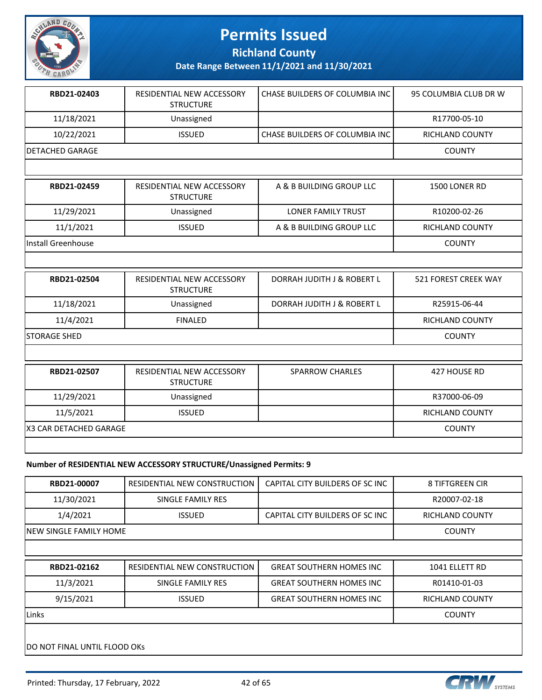

**Richland County**

**Date Range Between 11/1/2021 and 11/30/2021**

| RBD21-02403     | RESIDENTIAL NEW ACCESSORY<br><b>STRUCTURE</b> | l CHASE BUILDERS OF COLUMBIA INC l | 95 COLUMBIA CLUB DR W |
|-----------------|-----------------------------------------------|------------------------------------|-----------------------|
| 11/18/2021      | Unassigned                                    |                                    | R17700-05-10          |
| 10/22/2021      | <b>ISSUED</b>                                 | l CHASE BUILDERS OF COLUMBIA INC l | RICHLAND COUNTY       |
| DETACHED GARAGE |                                               |                                    | <b>COUNTY</b>         |
|                 |                                               |                                    |                       |

| RBD21-02459        | RESIDENTIAL NEW ACCESSORY<br><b>STRUCTURE</b> | A & B BUILDING GROUP LLC  | 1500 LONER RD   |
|--------------------|-----------------------------------------------|---------------------------|-----------------|
| 11/29/2021         | Unassigned                                    | <b>LONER FAMILY TRUST</b> | R10200-02-26    |
| 11/1/2021          | <b>ISSUED</b>                                 | A & B BUILDING GROUP LLC  | RICHLAND COUNTY |
| Install Greenhouse |                                               |                           | <b>COUNTY</b>   |

| RBD21-02504   | RESIDENTIAL NEW ACCESSORY<br><b>STRUCTURE</b> | DORRAH JUDITH J & ROBERT L | 521 FOREST CREEK WAY |
|---------------|-----------------------------------------------|----------------------------|----------------------|
| 11/18/2021    | Unassigned                                    | DORRAH JUDITH J & ROBERT L | R25915-06-44         |
| 11/4/2021     | FINAL FD                                      |                            | RICHLAND COUNTY      |
| ISTORAGE SHED |                                               |                            | <b>COUNTY</b>        |

| RBD21-02507             | RESIDENTIAL NEW ACCESSORY<br><b>STRUCTURE</b> | <b>SPARROW CHARLES</b> | 427 HOUSE RD    |
|-------------------------|-----------------------------------------------|------------------------|-----------------|
| 11/29/2021              | Unassigned                                    |                        | R37000-06-09    |
| 11/5/2021               | <b>ISSUED</b>                                 |                        | RICHLAND COUNTY |
| IX3 CAR DETACHED GARAGE |                                               |                        | <b>COUNTY</b>   |
|                         |                                               |                        |                 |

#### **Number of RESIDENTIAL NEW ACCESSORY STRUCTURE/Unassigned Permits: 9**

| RBD21-00007                          | RESIDENTIAL NEW CONSTRUCTION | CAPITAL CITY BUILDERS OF SC INC | 8 TIFTGREEN CIR |
|--------------------------------------|------------------------------|---------------------------------|-----------------|
| 11/30/2021                           | SINGLE FAMILY RES            |                                 | R20007-02-18    |
| 1/4/2021                             | <b>ISSUED</b>                | CAPITAL CITY BUILDERS OF SC INC | RICHLAND COUNTY |
| INEW SINGLE FAMILY HOME              |                              |                                 | <b>COUNTY</b>   |
|                                      |                              |                                 |                 |
| RBD21-02162                          | RESIDENTIAL NEW CONSTRUCTION | <b>GREAT SOUTHERN HOMES INC</b> | 1041 ELLETT RD  |
| 11/3/2021                            | SINGLE FAMILY RES            | <b>GREAT SOUTHERN HOMES INC</b> | R01410-01-03    |
| 9/15/2021                            | <b>ISSUED</b>                | <b>GREAT SOUTHERN HOMES INC</b> | RICHLAND COUNTY |
| <b>Links</b>                         |                              |                                 | <b>COUNTY</b>   |
|                                      |                              |                                 |                 |
| <b>IDO NOT FINAL UNTIL FLOOD OKS</b> |                              |                                 |                 |

Printed: Thursday, 17 February, 2022 42 665

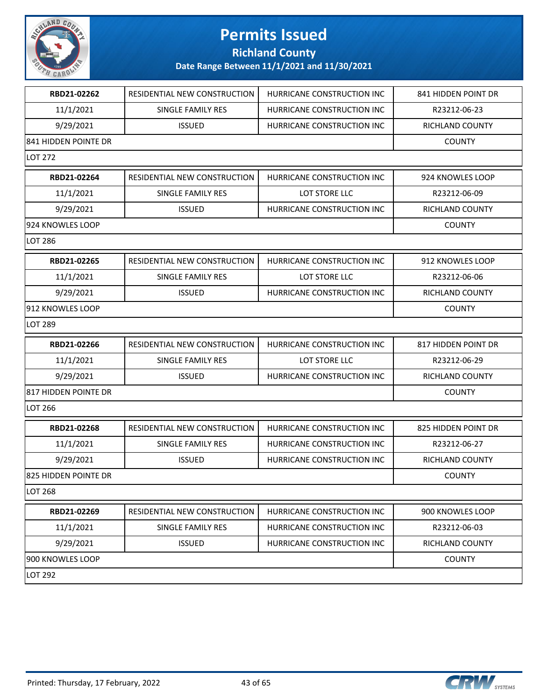

**Richland County**

| RBD21-02262          | <b>RESIDENTIAL NEW CONSTRUCTION</b> | HURRICANE CONSTRUCTION INC | 841 HIDDEN POINT DR |
|----------------------|-------------------------------------|----------------------------|---------------------|
| 11/1/2021            | SINGLE FAMILY RES                   | HURRICANE CONSTRUCTION INC | R23212-06-23        |
| 9/29/2021            | <b>ISSUED</b>                       | HURRICANE CONSTRUCTION INC | RICHLAND COUNTY     |
| 841 HIDDEN POINTE DR |                                     |                            | <b>COUNTY</b>       |
| LOT 272              |                                     |                            |                     |
| RBD21-02264          | RESIDENTIAL NEW CONSTRUCTION        | HURRICANE CONSTRUCTION INC | 924 KNOWLES LOOP    |
| 11/1/2021            | SINGLE FAMILY RES                   | LOT STORE LLC              | R23212-06-09        |
| 9/29/2021            | <b>ISSUED</b>                       | HURRICANE CONSTRUCTION INC | RICHLAND COUNTY     |
| 924 KNOWLES LOOP     |                                     |                            | <b>COUNTY</b>       |
| LOT 286              |                                     |                            |                     |
| RBD21-02265          | <b>RESIDENTIAL NEW CONSTRUCTION</b> | HURRICANE CONSTRUCTION INC | 912 KNOWLES LOOP    |
| 11/1/2021            | <b>SINGLE FAMILY RES</b>            | LOT STORE LLC              | R23212-06-06        |
| 9/29/2021            | <b>ISSUED</b>                       | HURRICANE CONSTRUCTION INC | RICHLAND COUNTY     |
| 912 KNOWLES LOOP     |                                     |                            | <b>COUNTY</b>       |
| LOT 289              |                                     |                            |                     |
| RBD21-02266          | RESIDENTIAL NEW CONSTRUCTION        | HURRICANE CONSTRUCTION INC | 817 HIDDEN POINT DR |
| 11/1/2021            | SINGLE FAMILY RES                   | LOT STORE LLC              | R23212-06-29        |
| 9/29/2021            | <b>ISSUED</b>                       | HURRICANE CONSTRUCTION INC | RICHLAND COUNTY     |
| 817 HIDDEN POINTE DR |                                     |                            | <b>COUNTY</b>       |
| LOT 266              |                                     |                            |                     |
| RBD21-02268          | RESIDENTIAL NEW CONSTRUCTION        | HURRICANE CONSTRUCTION INC | 825 HIDDEN POINT DR |
| 11/1/2021            | <b>SINGLE FAMILY RES</b>            | HURRICANE CONSTRUCTION INC | R23212-06-27        |
| 9/29/2021            | <b>ISSUED</b>                       | HURRICANE CONSTRUCTION INC | RICHLAND COUNTY     |
| 825 HIDDEN POINTE DR |                                     |                            | <b>COUNTY</b>       |
| LOT 268              |                                     |                            |                     |
| RBD21-02269          | RESIDENTIAL NEW CONSTRUCTION        | HURRICANE CONSTRUCTION INC | 900 KNOWLES LOOP    |
| 11/1/2021            | SINGLE FAMILY RES                   | HURRICANE CONSTRUCTION INC | R23212-06-03        |
| 9/29/2021            | <b>ISSUED</b>                       | HURRICANE CONSTRUCTION INC | RICHLAND COUNTY     |
| 900 KNOWLES LOOP     |                                     |                            |                     |
| LOT 292              |                                     |                            |                     |
|                      |                                     |                            |                     |

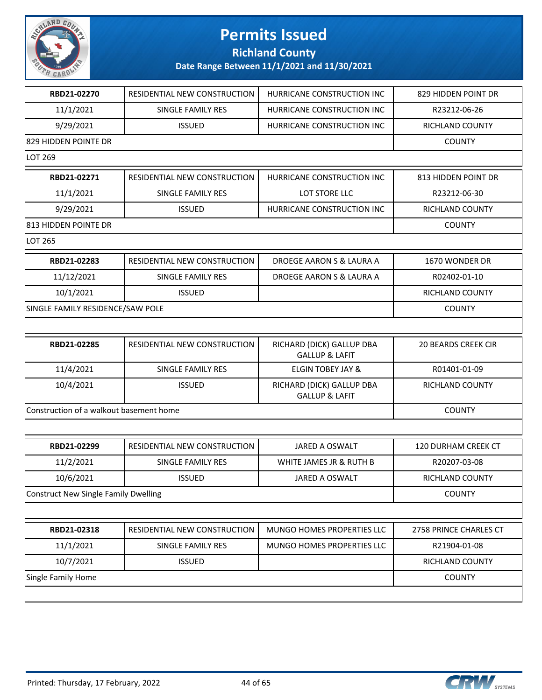

**Richland County**

| RBD21-02270                                 | RESIDENTIAL NEW CONSTRUCTION | HURRICANE CONSTRUCTION INC                             | 829 HIDDEN POINT DR        |
|---------------------------------------------|------------------------------|--------------------------------------------------------|----------------------------|
| 11/1/2021                                   | SINGLE FAMILY RES            | HURRICANE CONSTRUCTION INC                             | R23212-06-26               |
| 9/29/2021                                   | <b>ISSUED</b>                | HURRICANE CONSTRUCTION INC                             | RICHLAND COUNTY            |
| 829 HIDDEN POINTE DR                        |                              |                                                        | <b>COUNTY</b>              |
| LOT 269                                     |                              |                                                        |                            |
| RBD21-02271                                 | RESIDENTIAL NEW CONSTRUCTION | HURRICANE CONSTRUCTION INC                             | 813 HIDDEN POINT DR        |
| 11/1/2021                                   | SINGLE FAMILY RES            | LOT STORE LLC                                          | R23212-06-30               |
| 9/29/2021                                   | <b>ISSUED</b>                | HURRICANE CONSTRUCTION INC                             | RICHLAND COUNTY            |
| 813 HIDDEN POINTE DR                        |                              |                                                        | <b>COUNTY</b>              |
| <b>LOT 265</b>                              |                              |                                                        |                            |
| RBD21-02283                                 | RESIDENTIAL NEW CONSTRUCTION | DROEGE AARON S & LAURA A                               | 1670 WONDER DR             |
| 11/12/2021                                  | SINGLE FAMILY RES            | DROEGE AARON S & LAURA A                               | R02402-01-10               |
| 10/1/2021                                   | <b>ISSUED</b>                |                                                        | <b>RICHLAND COUNTY</b>     |
| SINGLE FAMILY RESIDENCE/SAW POLE            |                              |                                                        | <b>COUNTY</b>              |
|                                             |                              |                                                        |                            |
| RBD21-02285                                 | RESIDENTIAL NEW CONSTRUCTION | RICHARD (DICK) GALLUP DBA<br><b>GALLUP &amp; LAFIT</b> | <b>20 BEARDS CREEK CIR</b> |
| 11/4/2021                                   | SINGLE FAMILY RES            | <b>ELGIN TOBEY JAY &amp;</b>                           | R01401-01-09               |
| 10/4/2021                                   | <b>ISSUED</b>                | RICHARD (DICK) GALLUP DBA<br><b>GALLUP &amp; LAFIT</b> | RICHLAND COUNTY            |
| Construction of a walkout basement home     |                              |                                                        | <b>COUNTY</b>              |
|                                             |                              |                                                        |                            |
| RBD21-02299                                 | RESIDENTIAL NEW CONSTRUCTION | JARED A OSWALT                                         | 120 DURHAM CREEK CT        |
| 11/2/2021                                   | SINGLE FAMILY RES            | WHITE JAMES JR & RUTH B                                | R20207-03-08               |
| 10/6/2021                                   | <b>ISSUED</b>                | JARED A OSWALT                                         | <b>RICHLAND COUNTY</b>     |
| <b>Construct New Single Family Dwelling</b> |                              |                                                        | <b>COUNTY</b>              |
|                                             |                              |                                                        |                            |
| RBD21-02318                                 | RESIDENTIAL NEW CONSTRUCTION | MUNGO HOMES PROPERTIES LLC                             | 2758 PRINCE CHARLES CT     |
| 11/1/2021                                   | SINGLE FAMILY RES            | MUNGO HOMES PROPERTIES LLC                             | R21904-01-08               |
| 10/7/2021                                   | <b>ISSUED</b>                |                                                        | RICHLAND COUNTY            |
| Single Family Home                          |                              |                                                        | <b>COUNTY</b>              |
|                                             |                              |                                                        |                            |

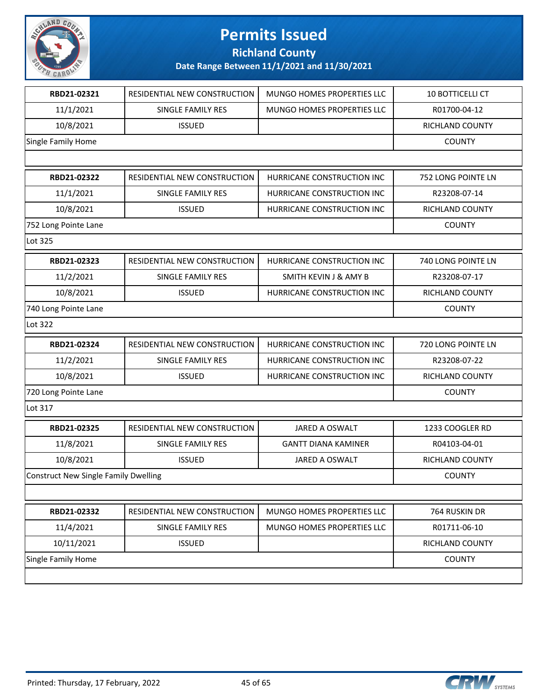

**Richland County**

| RBD21-02321                          | RESIDENTIAL NEW CONSTRUCTION | MUNGO HOMES PROPERTIES LLC       | 10 BOTTICELLI CT   |
|--------------------------------------|------------------------------|----------------------------------|--------------------|
| 11/1/2021                            | SINGLE FAMILY RES            | MUNGO HOMES PROPERTIES LLC       | R01700-04-12       |
| 10/8/2021                            | <b>ISSUED</b>                |                                  | RICHLAND COUNTY    |
| Single Family Home                   |                              |                                  | <b>COUNTY</b>      |
|                                      |                              |                                  |                    |
| RBD21-02322                          | RESIDENTIAL NEW CONSTRUCTION | HURRICANE CONSTRUCTION INC       | 752 LONG POINTE LN |
| 11/1/2021                            | SINGLE FAMILY RES            | HURRICANE CONSTRUCTION INC       | R23208-07-14       |
| 10/8/2021                            | <b>ISSUED</b>                | HURRICANE CONSTRUCTION INC       | RICHLAND COUNTY    |
| 752 Long Pointe Lane                 |                              |                                  | <b>COUNTY</b>      |
| Lot 325                              |                              |                                  |                    |
| RBD21-02323                          | RESIDENTIAL NEW CONSTRUCTION | HURRICANE CONSTRUCTION INC       | 740 LONG POINTE LN |
| 11/2/2021                            | SINGLE FAMILY RES            | <b>SMITH KEVIN J &amp; AMY B</b> | R23208-07-17       |
| 10/8/2021                            | <b>ISSUED</b>                | HURRICANE CONSTRUCTION INC       | RICHLAND COUNTY    |
| 740 Long Pointe Lane                 |                              |                                  | <b>COUNTY</b>      |
| Lot 322                              |                              |                                  |                    |
| RBD21-02324                          | RESIDENTIAL NEW CONSTRUCTION | HURRICANE CONSTRUCTION INC       | 720 LONG POINTE LN |
| 11/2/2021                            | SINGLE FAMILY RES            | HURRICANE CONSTRUCTION INC       | R23208-07-22       |
| 10/8/2021                            | <b>ISSUED</b>                | HURRICANE CONSTRUCTION INC       | RICHLAND COUNTY    |
| 720 Long Pointe Lane                 |                              |                                  | <b>COUNTY</b>      |
| Lot 317                              |                              |                                  |                    |
| RBD21-02325                          | RESIDENTIAL NEW CONSTRUCTION | JARED A OSWALT                   | 1233 COOGLER RD    |
| 11/8/2021                            | SINGLE FAMILY RES            | <b>GANTT DIANA KAMINER</b>       | R04103-04-01       |
| 10/8/2021                            | <b>ISSUED</b>                | JARED A OSWALT                   | RICHLAND COUNTY    |
| Construct New Single Family Dwelling |                              |                                  | <b>COUNTY</b>      |
|                                      |                              |                                  |                    |
| RBD21-02332                          | RESIDENTIAL NEW CONSTRUCTION | MUNGO HOMES PROPERTIES LLC       | 764 RUSKIN DR      |
| 11/4/2021                            | SINGLE FAMILY RES            | MUNGO HOMES PROPERTIES LLC       | R01711-06-10       |
| 10/11/2021                           | <b>ISSUED</b>                |                                  | RICHLAND COUNTY    |
| Single Family Home                   |                              |                                  | <b>COUNTY</b>      |
|                                      |                              |                                  |                    |

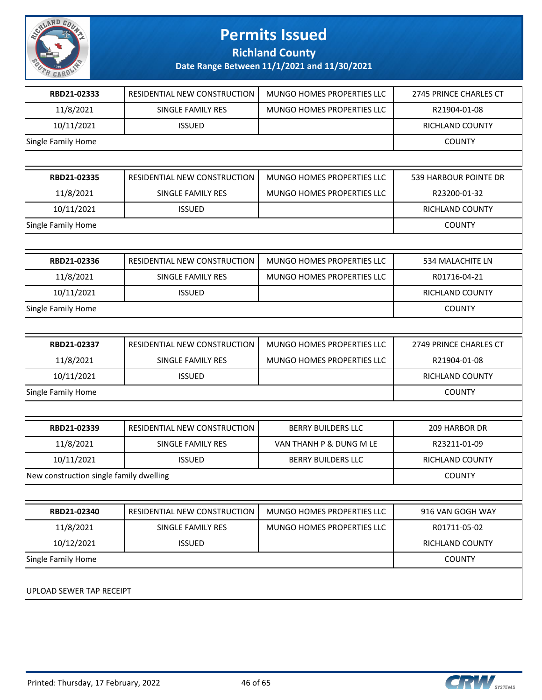

**Richland County**

| RBD21-02333                             | RESIDENTIAL NEW CONSTRUCTION | MUNGO HOMES PROPERTIES LLC | 2745 PRINCE CHARLES CT |
|-----------------------------------------|------------------------------|----------------------------|------------------------|
| 11/8/2021                               | SINGLE FAMILY RES            | MUNGO HOMES PROPERTIES LLC | R21904-01-08           |
| 10/11/2021                              | <b>ISSUED</b>                |                            | RICHLAND COUNTY        |
| Single Family Home                      |                              |                            | <b>COUNTY</b>          |
|                                         |                              |                            |                        |
| RBD21-02335                             | RESIDENTIAL NEW CONSTRUCTION | MUNGO HOMES PROPERTIES LLC | 539 HARBOUR POINTE DR  |
| 11/8/2021                               | SINGLE FAMILY RES            | MUNGO HOMES PROPERTIES LLC | R23200-01-32           |
| 10/11/2021                              | <b>ISSUED</b>                |                            | <b>RICHLAND COUNTY</b> |
| Single Family Home                      |                              |                            | <b>COUNTY</b>          |
|                                         |                              |                            |                        |
| RBD21-02336                             | RESIDENTIAL NEW CONSTRUCTION | MUNGO HOMES PROPERTIES LLC | 534 MALACHITE LN       |
| 11/8/2021                               | SINGLE FAMILY RES            | MUNGO HOMES PROPERTIES LLC | R01716-04-21           |
| 10/11/2021                              | <b>ISSUED</b>                |                            | RICHLAND COUNTY        |
| Single Family Home                      |                              |                            | <b>COUNTY</b>          |
|                                         |                              |                            |                        |
| RBD21-02337                             | RESIDENTIAL NEW CONSTRUCTION | MUNGO HOMES PROPERTIES LLC | 2749 PRINCE CHARLES CT |
| 11/8/2021                               | SINGLE FAMILY RES            | MUNGO HOMES PROPERTIES LLC | R21904-01-08           |
| 10/11/2021                              | <b>ISSUED</b>                |                            | RICHLAND COUNTY        |
| Single Family Home                      |                              |                            | <b>COUNTY</b>          |
|                                         |                              |                            |                        |
| RBD21-02339                             | RESIDENTIAL NEW CONSTRUCTION | <b>BERRY BUILDERS LLC</b>  | 209 HARBOR DR          |
| 11/8/2021                               | SINGLE FAMILY RES            | VAN THANH P & DUNG M LE    | R23211-01-09           |
| 10/11/2021                              | <b>ISSUED</b>                | <b>BERRY BUILDERS LLC</b>  | RICHLAND COUNTY        |
| New construction single family dwelling |                              |                            | <b>COUNTY</b>          |
|                                         |                              |                            |                        |
| RBD21-02340                             | RESIDENTIAL NEW CONSTRUCTION | MUNGO HOMES PROPERTIES LLC | 916 VAN GOGH WAY       |
| 11/8/2021                               | <b>SINGLE FAMILY RES</b>     | MUNGO HOMES PROPERTIES LLC | R01711-05-02           |
| 10/12/2021                              | <b>ISSUED</b>                |                            | RICHLAND COUNTY        |
| Single Family Home                      |                              |                            | <b>COUNTY</b>          |
| UPLOAD SEWER TAP RECEIPT                |                              |                            |                        |

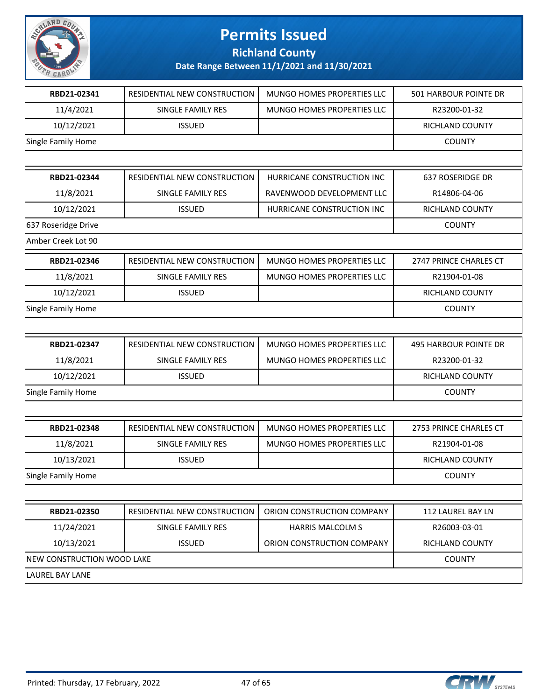

**Richland County**

| RBD21-02341                | RESIDENTIAL NEW CONSTRUCTION | MUNGO HOMES PROPERTIES LLC | 501 HARBOUR POINTE DR  |
|----------------------------|------------------------------|----------------------------|------------------------|
| 11/4/2021                  | SINGLE FAMILY RES            | MUNGO HOMES PROPERTIES LLC | R23200-01-32           |
| 10/12/2021                 | <b>ISSUED</b>                |                            | RICHLAND COUNTY        |
| Single Family Home         |                              |                            | <b>COUNTY</b>          |
|                            |                              |                            |                        |
| RBD21-02344                | RESIDENTIAL NEW CONSTRUCTION | HURRICANE CONSTRUCTION INC | 637 ROSERIDGE DR       |
| 11/8/2021                  | SINGLE FAMILY RES            | RAVENWOOD DEVELOPMENT LLC  | R14806-04-06           |
| 10/12/2021                 | <b>ISSUED</b>                | HURRICANE CONSTRUCTION INC | <b>RICHLAND COUNTY</b> |
| 637 Roseridge Drive        |                              |                            | <b>COUNTY</b>          |
| Amber Creek Lot 90         |                              |                            |                        |
| RBD21-02346                | RESIDENTIAL NEW CONSTRUCTION | MUNGO HOMES PROPERTIES LLC | 2747 PRINCE CHARLES CT |
| 11/8/2021                  | SINGLE FAMILY RES            | MUNGO HOMES PROPERTIES LLC | R21904-01-08           |
| 10/12/2021                 | <b>ISSUED</b>                |                            | <b>RICHLAND COUNTY</b> |
| Single Family Home         |                              |                            | <b>COUNTY</b>          |
|                            |                              |                            |                        |
| RBD21-02347                | RESIDENTIAL NEW CONSTRUCTION | MUNGO HOMES PROPERTIES LLC | 495 HARBOUR POINTE DR  |
| 11/8/2021                  | SINGLE FAMILY RES            | MUNGO HOMES PROPERTIES LLC | R23200-01-32           |
| 10/12/2021                 | <b>ISSUED</b>                |                            | RICHLAND COUNTY        |
| Single Family Home         |                              |                            | <b>COUNTY</b>          |
|                            |                              |                            |                        |
| RBD21-02348                | RESIDENTIAL NEW CONSTRUCTION | MUNGO HOMES PROPERTIES LLC | 2753 PRINCE CHARLES CT |
| 11/8/2021                  | <b>SINGLE FAMILY RES</b>     | MUNGO HOMES PROPERTIES LLC | R21904-01-08           |
| 10/13/2021                 | <b>ISSUED</b>                |                            | RICHLAND COUNTY        |
| Single Family Home         |                              |                            | <b>COUNTY</b>          |
|                            |                              |                            |                        |
| RBD21-02350                | RESIDENTIAL NEW CONSTRUCTION | ORION CONSTRUCTION COMPANY | 112 LAUREL BAY LN      |
| 11/24/2021                 | SINGLE FAMILY RES            | <b>HARRIS MALCOLM S</b>    | R26003-03-01           |
| 10/13/2021                 | <b>ISSUED</b>                | ORION CONSTRUCTION COMPANY | RICHLAND COUNTY        |
| NEW CONSTRUCTION WOOD LAKE |                              |                            | <b>COUNTY</b>          |
| <b>LAUREL BAY LANE</b>     |                              |                            |                        |

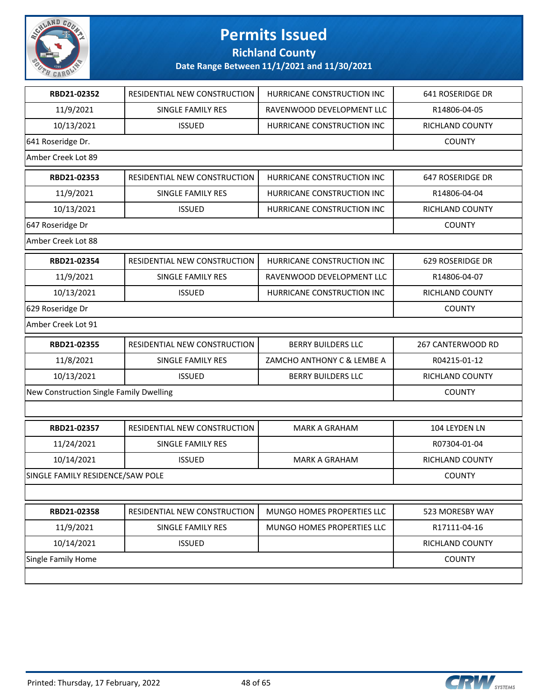

### **Richland County**

| RBD21-02352                             | RESIDENTIAL NEW CONSTRUCTION | HURRICANE CONSTRUCTION INC | 641 ROSERIDGE DR  |
|-----------------------------------------|------------------------------|----------------------------|-------------------|
| 11/9/2021                               | SINGLE FAMILY RES            | RAVENWOOD DEVELOPMENT LLC  | R14806-04-05      |
| 10/13/2021                              | <b>ISSUED</b>                | HURRICANE CONSTRUCTION INC | RICHLAND COUNTY   |
| 641 Roseridge Dr.                       |                              |                            | <b>COUNTY</b>     |
| Amber Creek Lot 89                      |                              |                            |                   |
| RBD21-02353                             | RESIDENTIAL NEW CONSTRUCTION | HURRICANE CONSTRUCTION INC | 647 ROSERIDGE DR  |
| 11/9/2021                               | SINGLE FAMILY RES            | HURRICANE CONSTRUCTION INC | R14806-04-04      |
| 10/13/2021                              | <b>ISSUED</b>                | HURRICANE CONSTRUCTION INC | RICHLAND COUNTY   |
| 647 Roseridge Dr                        |                              |                            | <b>COUNTY</b>     |
| Amber Creek Lot 88                      |                              |                            |                   |
| RBD21-02354                             | RESIDENTIAL NEW CONSTRUCTION | HURRICANE CONSTRUCTION INC | 629 ROSERIDGE DR  |
| 11/9/2021                               | SINGLE FAMILY RES            | RAVENWOOD DEVELOPMENT LLC  | R14806-04-07      |
| 10/13/2021                              | <b>ISSUED</b>                | HURRICANE CONSTRUCTION INC | RICHLAND COUNTY   |
| 629 Roseridge Dr                        |                              |                            | <b>COUNTY</b>     |
| Amber Creek Lot 91                      |                              |                            |                   |
|                                         |                              |                            |                   |
| RBD21-02355                             | RESIDENTIAL NEW CONSTRUCTION | <b>BERRY BUILDERS LLC</b>  | 267 CANTERWOOD RD |
| 11/8/2021                               | SINGLE FAMILY RES            | ZAMCHO ANTHONY C & LEMBE A | R04215-01-12      |
| 10/13/2021                              | <b>ISSUED</b>                | <b>BERRY BUILDERS LLC</b>  | RICHLAND COUNTY   |
| New Construction Single Family Dwelling |                              |                            | <b>COUNTY</b>     |
|                                         |                              |                            |                   |
| RBD21-02357                             | RESIDENTIAL NEW CONSTRUCTION | <b>MARK A GRAHAM</b>       | 104 LEYDEN LN     |
| 11/24/2021                              | SINGLE FAMILY RES            |                            | R07304-01-04      |
| 10/14/2021                              | <b>ISSUED</b>                | <b>MARK A GRAHAM</b>       | RICHLAND COUNTY   |
| SINGLE FAMILY RESIDENCE/SAW POLE        |                              |                            | <b>COUNTY</b>     |
|                                         |                              |                            |                   |
| RBD21-02358                             | RESIDENTIAL NEW CONSTRUCTION | MUNGO HOMES PROPERTIES LLC | 523 MORESBY WAY   |
| 11/9/2021                               | <b>SINGLE FAMILY RES</b>     | MUNGO HOMES PROPERTIES LLC | R17111-04-16      |
| 10/14/2021                              | <b>ISSUED</b>                |                            | RICHLAND COUNTY   |
| <b>Single Family Home</b>               |                              |                            | <b>COUNTY</b>     |

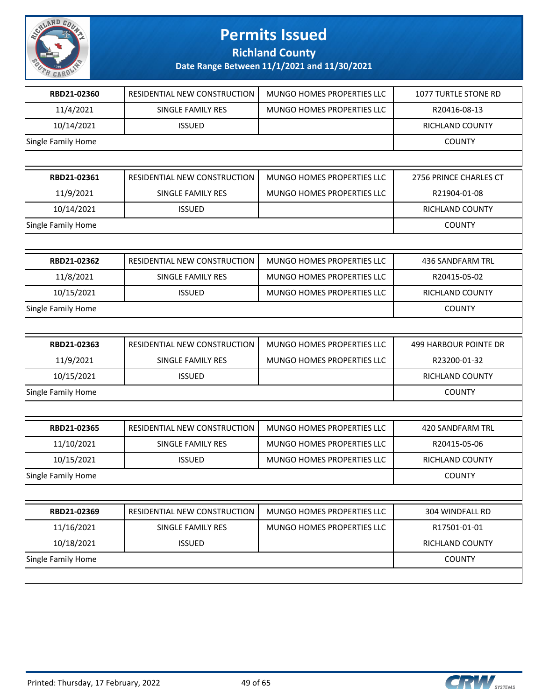

**Richland County**

| RBD21-02360        | RESIDENTIAL NEW CONSTRUCTION | MUNGO HOMES PROPERTIES LLC | 1077 TURTLE STONE RD         |
|--------------------|------------------------------|----------------------------|------------------------------|
| 11/4/2021          | SINGLE FAMILY RES            | MUNGO HOMES PROPERTIES LLC | R20416-08-13                 |
| 10/14/2021         | <b>ISSUED</b>                |                            | RICHLAND COUNTY              |
| Single Family Home |                              |                            | <b>COUNTY</b>                |
|                    |                              |                            |                              |
| RBD21-02361        | RESIDENTIAL NEW CONSTRUCTION | MUNGO HOMES PROPERTIES LLC | 2756 PRINCE CHARLES CT       |
| 11/9/2021          | SINGLE FAMILY RES            | MUNGO HOMES PROPERTIES LLC | R21904-01-08                 |
| 10/14/2021         | <b>ISSUED</b>                |                            | <b>RICHLAND COUNTY</b>       |
| Single Family Home |                              |                            | <b>COUNTY</b>                |
|                    |                              |                            |                              |
| RBD21-02362        | RESIDENTIAL NEW CONSTRUCTION | MUNGO HOMES PROPERTIES LLC | 436 SANDFARM TRL             |
| 11/8/2021          | SINGLE FAMILY RES            | MUNGO HOMES PROPERTIES LLC | R20415-05-02                 |
| 10/15/2021         | <b>ISSUED</b>                | MUNGO HOMES PROPERTIES LLC | RICHLAND COUNTY              |
| Single Family Home |                              |                            | <b>COUNTY</b>                |
|                    |                              |                            |                              |
|                    |                              |                            |                              |
| RBD21-02363        | RESIDENTIAL NEW CONSTRUCTION | MUNGO HOMES PROPERTIES LLC | <b>499 HARBOUR POINTE DR</b> |
| 11/9/2021          | SINGLE FAMILY RES            | MUNGO HOMES PROPERTIES LLC | R23200-01-32                 |
| 10/15/2021         | <b>ISSUED</b>                |                            | RICHLAND COUNTY              |
| Single Family Home |                              |                            | <b>COUNTY</b>                |
|                    |                              |                            |                              |
| RBD21-02365        | RESIDENTIAL NEW CONSTRUCTION | MUNGO HOMES PROPERTIES LLC | 420 SANDFARM TRL             |
| 11/10/2021         | SINGLE FAMILY RES            | MUNGO HOMES PROPERTIES LLC | R20415-05-06                 |
| 10/15/2021         | <b>ISSUED</b>                | MUNGO HOMES PROPERTIES LLC | RICHLAND COUNTY              |
| Single Family Home |                              |                            | <b>COUNTY</b>                |
|                    |                              |                            |                              |
| RBD21-02369        | RESIDENTIAL NEW CONSTRUCTION | MUNGO HOMES PROPERTIES LLC | 304 WINDFALL RD              |
| 11/16/2021         | SINGLE FAMILY RES            | MUNGO HOMES PROPERTIES LLC | R17501-01-01                 |
| 10/18/2021         | <b>ISSUED</b>                |                            | RICHLAND COUNTY              |
| Single Family Home |                              |                            | <b>COUNTY</b>                |

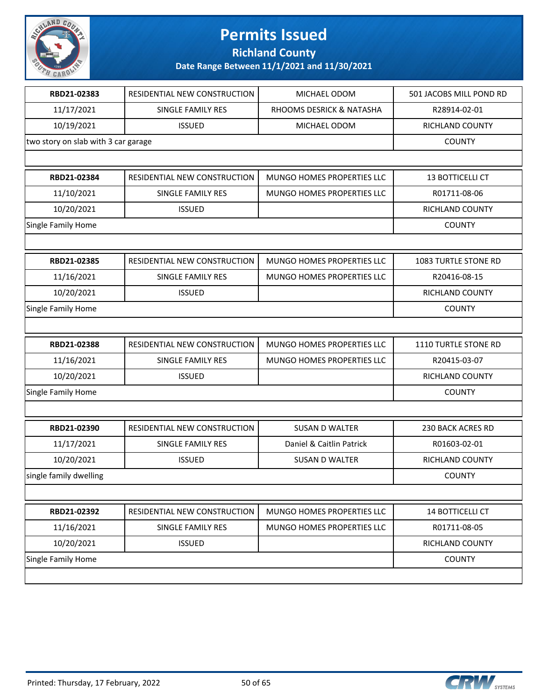

**Richland County**

| RBD21-02383                         | RESIDENTIAL NEW CONSTRUCTION | MICHAEL ODOM               | 501 JACOBS MILL POND RD |
|-------------------------------------|------------------------------|----------------------------|-------------------------|
| 11/17/2021                          | SINGLE FAMILY RES            | RHOOMS DESRICK & NATASHA   | R28914-02-01            |
| 10/19/2021                          | <b>ISSUED</b>                | MICHAEL ODOM               | RICHLAND COUNTY         |
| two story on slab with 3 car garage |                              |                            | <b>COUNTY</b>           |
|                                     |                              |                            |                         |
| RBD21-02384                         | RESIDENTIAL NEW CONSTRUCTION | MUNGO HOMES PROPERTIES LLC | 13 BOTTICELLI CT        |
| 11/10/2021                          | SINGLE FAMILY RES            | MUNGO HOMES PROPERTIES LLC | R01711-08-06            |
| 10/20/2021                          | <b>ISSUED</b>                |                            | RICHLAND COUNTY         |
| Single Family Home                  |                              |                            | <b>COUNTY</b>           |
|                                     |                              |                            |                         |
| RBD21-02385                         | RESIDENTIAL NEW CONSTRUCTION | MUNGO HOMES PROPERTIES LLC | 1083 TURTLE STONE RD    |
| 11/16/2021                          | SINGLE FAMILY RES            | MUNGO HOMES PROPERTIES LLC | R20416-08-15            |
| 10/20/2021                          | <b>ISSUED</b>                |                            | RICHLAND COUNTY         |
| Single Family Home                  |                              |                            | <b>COUNTY</b>           |
|                                     |                              |                            |                         |
| RBD21-02388                         | RESIDENTIAL NEW CONSTRUCTION | MUNGO HOMES PROPERTIES LLC | 1110 TURTLE STONE RD    |
| 11/16/2021                          | SINGLE FAMILY RES            | MUNGO HOMES PROPERTIES LLC | R20415-03-07            |
| 10/20/2021                          | <b>ISSUED</b>                |                            | RICHLAND COUNTY         |
| Single Family Home                  |                              |                            | <b>COUNTY</b>           |
|                                     |                              |                            |                         |
| RBD21-02390                         | RESIDENTIAL NEW CONSTRUCTION | <b>SUSAN D WALTER</b>      | 230 BACK ACRES RD       |
| 11/17/2021                          | SINGLE FAMILY RES            | Daniel & Caitlin Patrick   | R01603-02-01            |
| 10/20/2021                          | <b>ISSUED</b>                | <b>SUSAN D WALTER</b>      | RICHLAND COUNTY         |
| single family dwelling              |                              |                            | <b>COUNTY</b>           |
|                                     |                              |                            |                         |
| RBD21-02392                         | RESIDENTIAL NEW CONSTRUCTION | MUNGO HOMES PROPERTIES LLC | 14 BOTTICELLI CT        |
| 11/16/2021                          | SINGLE FAMILY RES            | MUNGO HOMES PROPERTIES LLC | R01711-08-05            |
| 10/20/2021                          | <b>ISSUED</b>                |                            | RICHLAND COUNTY         |
| Single Family Home                  |                              |                            | <b>COUNTY</b>           |
|                                     |                              |                            |                         |

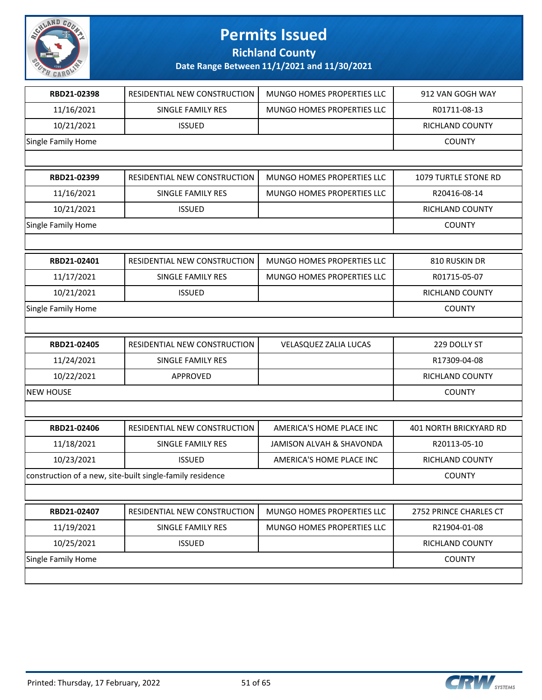

**Richland County**

| RBD21-02398        | RESIDENTIAL NEW CONSTRUCTION                              | MUNGO HOMES PROPERTIES LLC | 912 VAN GOGH WAY       |
|--------------------|-----------------------------------------------------------|----------------------------|------------------------|
| 11/16/2021         | SINGLE FAMILY RES                                         | MUNGO HOMES PROPERTIES LLC | R01711-08-13           |
| 10/21/2021         | <b>ISSUED</b>                                             |                            | RICHLAND COUNTY        |
| Single Family Home |                                                           |                            | <b>COUNTY</b>          |
|                    |                                                           |                            |                        |
| RBD21-02399        | RESIDENTIAL NEW CONSTRUCTION                              | MUNGO HOMES PROPERTIES LLC | 1079 TURTLE STONE RD   |
| 11/16/2021         | SINGLE FAMILY RES                                         | MUNGO HOMES PROPERTIES LLC | R20416-08-14           |
| 10/21/2021         | <b>ISSUED</b>                                             |                            | RICHLAND COUNTY        |
| Single Family Home |                                                           |                            | <b>COUNTY</b>          |
|                    |                                                           |                            |                        |
| RBD21-02401        | RESIDENTIAL NEW CONSTRUCTION                              | MUNGO HOMES PROPERTIES LLC | 810 RUSKIN DR          |
| 11/17/2021         | SINGLE FAMILY RES                                         | MUNGO HOMES PROPERTIES LLC | R01715-05-07           |
| 10/21/2021         | <b>ISSUED</b>                                             |                            | RICHLAND COUNTY        |
| Single Family Home |                                                           |                            | <b>COUNTY</b>          |
|                    |                                                           |                            |                        |
| RBD21-02405        | RESIDENTIAL NEW CONSTRUCTION                              | VELASQUEZ ZALIA LUCAS      | 229 DOLLY ST           |
| 11/24/2021         | SINGLE FAMILY RES                                         |                            | R17309-04-08           |
| 10/22/2021         | APPROVED                                                  |                            | RICHLAND COUNTY        |
| <b>NEW HOUSE</b>   |                                                           |                            | <b>COUNTY</b>          |
|                    |                                                           |                            |                        |
| RBD21-02406        | RESIDENTIAL NEW CONSTRUCTION                              | AMERICA'S HOME PLACE INC   | 401 NORTH BRICKYARD RD |
| 11/18/2021         | SINGLE FAMILY RES                                         | JAMISON ALVAH & SHAVONDA   | R20113-05-10           |
| 10/23/2021         | <b>ISSUED</b>                                             | AMERICA'S HOME PLACE INC   | <b>RICHLAND COUNTY</b> |
|                    | construction of a new, site-built single-family residence |                            | <b>COUNTY</b>          |
|                    |                                                           |                            |                        |
| RBD21-02407        | RESIDENTIAL NEW CONSTRUCTION                              | MUNGO HOMES PROPERTIES LLC | 2752 PRINCE CHARLES CT |
| 11/19/2021         | SINGLE FAMILY RES                                         | MUNGO HOMES PROPERTIES LLC | R21904-01-08           |
| 10/25/2021         | <b>ISSUED</b>                                             |                            | RICHLAND COUNTY        |
| Single Family Home |                                                           |                            | <b>COUNTY</b>          |
|                    |                                                           |                            |                        |

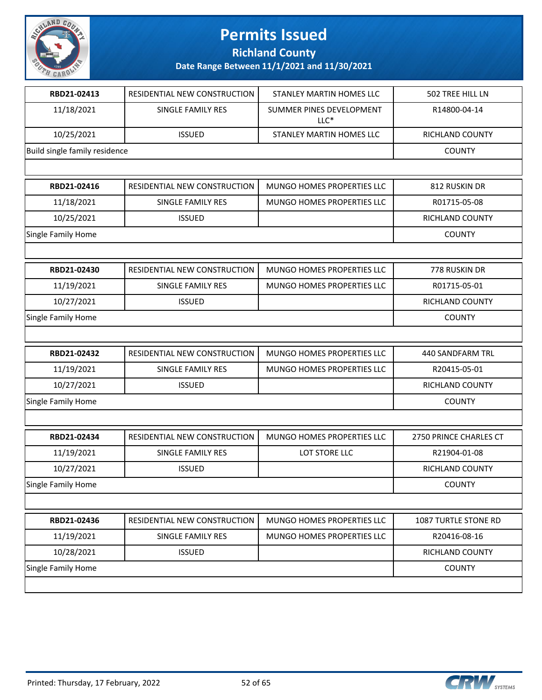

**Richland County**

| RBD21-02413                   | RESIDENTIAL NEW CONSTRUCTION | <b>STANLEY MARTIN HOMES LLC</b>    | 502 TREE HILL LN       |
|-------------------------------|------------------------------|------------------------------------|------------------------|
| 11/18/2021                    | SINGLE FAMILY RES            | SUMMER PINES DEVELOPMENT<br>$LLC*$ | R14800-04-14           |
| 10/25/2021                    | <b>ISSUED</b>                | STANLEY MARTIN HOMES LLC           | RICHLAND COUNTY        |
| Build single family residence |                              |                                    | <b>COUNTY</b>          |
|                               |                              |                                    |                        |
| RBD21-02416                   | RESIDENTIAL NEW CONSTRUCTION | MUNGO HOMES PROPERTIES LLC         | 812 RUSKIN DR          |
| 11/18/2021                    | SINGLE FAMILY RES            | MUNGO HOMES PROPERTIES LLC         | R01715-05-08           |
| 10/25/2021                    | <b>ISSUED</b>                |                                    | RICHLAND COUNTY        |
| Single Family Home            |                              |                                    | <b>COUNTY</b>          |
|                               |                              |                                    |                        |
| RBD21-02430                   | RESIDENTIAL NEW CONSTRUCTION | MUNGO HOMES PROPERTIES LLC         | 778 RUSKIN DR          |
| 11/19/2021                    | SINGLE FAMILY RES            | MUNGO HOMES PROPERTIES LLC         | R01715-05-01           |
| 10/27/2021                    | <b>ISSUED</b>                |                                    | <b>RICHLAND COUNTY</b> |
| Single Family Home            |                              |                                    | <b>COUNTY</b>          |
|                               |                              |                                    |                        |
| RBD21-02432                   | RESIDENTIAL NEW CONSTRUCTION | MUNGO HOMES PROPERTIES LLC         | 440 SANDFARM TRL       |
| 11/19/2021                    | SINGLE FAMILY RES            | MUNGO HOMES PROPERTIES LLC         | R20415-05-01           |
| 10/27/2021                    | <b>ISSUED</b>                |                                    | RICHLAND COUNTY        |
| Single Family Home            |                              |                                    | <b>COUNTY</b>          |
|                               |                              |                                    |                        |
| RBD21-02434                   | RESIDENTIAL NEW CONSTRUCTION | <b>MUNGO HOMES PROPERTIES LLC</b>  | 2750 PRINCE CHARLES CT |
| 11/19/2021                    | SINGLE FAMILY RES            | LOT STORE LLC                      | R21904-01-08           |
| 10/27/2021                    | <b>ISSUED</b>                |                                    | RICHLAND COUNTY        |
| Single Family Home            |                              |                                    | <b>COUNTY</b>          |
|                               |                              |                                    |                        |
| RBD21-02436                   | RESIDENTIAL NEW CONSTRUCTION | MUNGO HOMES PROPERTIES LLC         | 1087 TURTLE STONE RD   |
| 11/19/2021                    | SINGLE FAMILY RES            | MUNGO HOMES PROPERTIES LLC         | R20416-08-16           |
| 10/28/2021                    | <b>ISSUED</b>                |                                    | RICHLAND COUNTY        |
| Single Family Home            |                              |                                    | <b>COUNTY</b>          |
|                               |                              |                                    |                        |

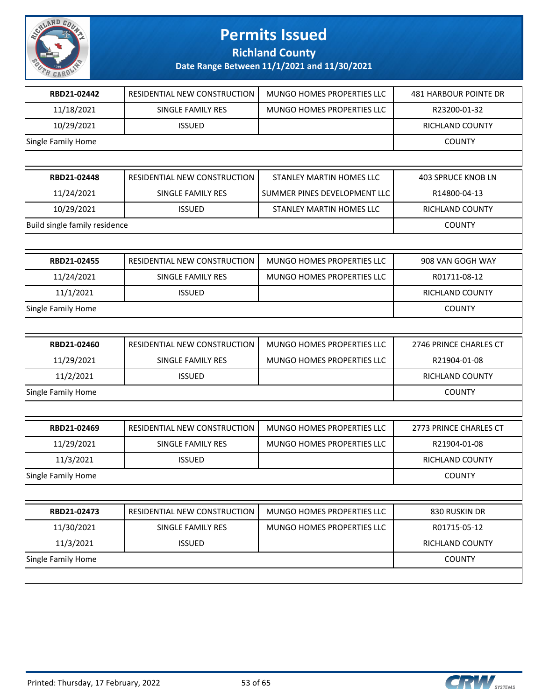

**Richland County**

| RBD21-02442                   | RESIDENTIAL NEW CONSTRUCTION | MUNGO HOMES PROPERTIES LLC   | 481 HARBOUR POINTE DR     |
|-------------------------------|------------------------------|------------------------------|---------------------------|
| 11/18/2021                    | SINGLE FAMILY RES            | MUNGO HOMES PROPERTIES LLC   | R23200-01-32              |
| 10/29/2021                    | <b>ISSUED</b>                |                              | RICHLAND COUNTY           |
| Single Family Home            |                              |                              | <b>COUNTY</b>             |
|                               |                              |                              |                           |
| RBD21-02448                   | RESIDENTIAL NEW CONSTRUCTION | STANLEY MARTIN HOMES LLC     | <b>403 SPRUCE KNOB LN</b> |
| 11/24/2021                    | SINGLE FAMILY RES            | SUMMER PINES DEVELOPMENT LLC | R14800-04-13              |
| 10/29/2021                    | <b>ISSUED</b>                | STANLEY MARTIN HOMES LLC     | RICHLAND COUNTY           |
| Build single family residence |                              |                              | <b>COUNTY</b>             |
|                               |                              |                              |                           |
| RBD21-02455                   | RESIDENTIAL NEW CONSTRUCTION | MUNGO HOMES PROPERTIES LLC   | 908 VAN GOGH WAY          |
| 11/24/2021                    | <b>SINGLE FAMILY RES</b>     | MUNGO HOMES PROPERTIES LLC   | R01711-08-12              |
| 11/1/2021                     | <b>ISSUED</b>                |                              | RICHLAND COUNTY           |
| Single Family Home            |                              |                              | <b>COUNTY</b>             |
|                               |                              |                              |                           |
| RBD21-02460                   | RESIDENTIAL NEW CONSTRUCTION | MUNGO HOMES PROPERTIES LLC   | 2746 PRINCE CHARLES CT    |
| 11/29/2021                    | SINGLE FAMILY RES            | MUNGO HOMES PROPERTIES LLC   | R21904-01-08              |
| 11/2/2021                     | <b>ISSUED</b>                |                              | RICHLAND COUNTY           |
| Single Family Home            |                              |                              | <b>COUNTY</b>             |
|                               |                              |                              |                           |
| RBD21-02469                   | RESIDENTIAL NEW CONSTRUCTION | MUNGO HOMES PROPERTIES LLC   | 2773 PRINCE CHARLES CT    |
| 11/29/2021                    | SINGLE FAMILY RES            | MUNGO HOMES PROPERTIES LLC   | R21904-01-08              |
| 11/3/2021                     | <b>ISSUED</b>                |                              | RICHLAND COUNTY           |
| Single Family Home            |                              |                              | <b>COUNTY</b>             |
|                               |                              |                              |                           |
| RBD21-02473                   | RESIDENTIAL NEW CONSTRUCTION | MUNGO HOMES PROPERTIES LLC   | 830 RUSKIN DR             |
| 11/30/2021                    | SINGLE FAMILY RES            | MUNGO HOMES PROPERTIES LLC   | R01715-05-12              |
| 11/3/2021                     | <b>ISSUED</b>                |                              | RICHLAND COUNTY           |
| Single Family Home            |                              |                              | <b>COUNTY</b>             |
|                               |                              |                              |                           |
|                               |                              |                              |                           |

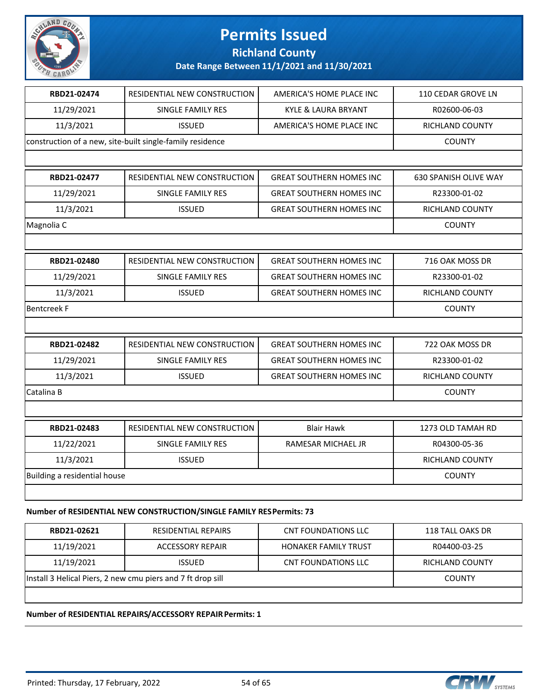

### **Richland County**

**Date Range Between 11/1/2021 and 11/30/2021**

| RBD21-02474                  | RESIDENTIAL NEW CONSTRUCTION                              | AMERICA'S HOME PLACE INC        | 110 CEDAR GROVE LN           |
|------------------------------|-----------------------------------------------------------|---------------------------------|------------------------------|
| 11/29/2021                   | SINGLE FAMILY RES                                         | <b>KYLE &amp; LAURA BRYANT</b>  | R02600-06-03                 |
| 11/3/2021                    | <b>ISSUED</b>                                             | AMERICA'S HOME PLACE INC        | RICHLAND COUNTY              |
|                              | construction of a new, site-built single-family residence |                                 | <b>COUNTY</b>                |
|                              |                                                           |                                 |                              |
| RBD21-02477                  | RESIDENTIAL NEW CONSTRUCTION                              | <b>GREAT SOUTHERN HOMES INC</b> | <b>630 SPANISH OLIVE WAY</b> |
| 11/29/2021                   | <b>SINGLE FAMILY RES</b>                                  | <b>GREAT SOUTHERN HOMES INC</b> | R23300-01-02                 |
| 11/3/2021                    | <b>ISSUED</b>                                             | <b>GREAT SOUTHERN HOMES INC</b> | RICHLAND COUNTY              |
| Magnolia C                   |                                                           |                                 | <b>COUNTY</b>                |
|                              |                                                           |                                 |                              |
| RBD21-02480                  | RESIDENTIAL NEW CONSTRUCTION                              | <b>GREAT SOUTHERN HOMES INC</b> | 716 OAK MOSS DR              |
| 11/29/2021                   | SINGLE FAMILY RES                                         | <b>GREAT SOUTHERN HOMES INC</b> | R23300-01-02                 |
| 11/3/2021                    | <b>ISSUED</b>                                             | <b>GREAT SOUTHERN HOMES INC</b> | RICHLAND COUNTY              |
| <b>Bentcreek F</b>           |                                                           |                                 | <b>COUNTY</b>                |
|                              |                                                           |                                 |                              |
| RBD21-02482                  | RESIDENTIAL NEW CONSTRUCTION                              | <b>GREAT SOUTHERN HOMES INC</b> | 722 OAK MOSS DR              |
| 11/29/2021                   | SINGLE FAMILY RES                                         | <b>GREAT SOUTHERN HOMES INC</b> | R23300-01-02                 |
| 11/3/2021                    | <b>ISSUED</b>                                             | <b>GREAT SOUTHERN HOMES INC</b> | RICHLAND COUNTY              |
| Catalina B                   |                                                           |                                 | <b>COUNTY</b>                |
|                              |                                                           |                                 |                              |
| RBD21-02483                  | RESIDENTIAL NEW CONSTRUCTION                              | <b>Blair Hawk</b>               | 1273 OLD TAMAH RD            |
| 11/22/2021                   | SINGLE FAMILY RES                                         | RAMESAR MICHAEL JR              | R04300-05-36                 |
| 11/3/2021                    | <b>ISSUED</b>                                             |                                 | RICHLAND COUNTY              |
| Building a residential house |                                                           |                                 | <b>COUNTY</b>                |
|                              |                                                           |                                 |                              |
|                              |                                                           |                                 |                              |

#### **Number of RESIDENTIAL NEW CONSTRUCTION/SINGLE FAMILY RES Permits: 73**

| RBD21-02621                                                 | RESIDENTIAL REPAIRS | CNT FOUNDATIONS LLC         | 118 TALL OAKS DR |
|-------------------------------------------------------------|---------------------|-----------------------------|------------------|
| 11/19/2021                                                  | ACCESSORY REPAIR    | <b>HONAKER FAMILY TRUST</b> | R04400-03-25     |
| 11/19/2021                                                  | <b>ISSUED</b>       | CNT FOUNDATIONS LLC         | RICHLAND COUNTY  |
| Install 3 Helical Piers, 2 new cmu piers and 7 ft drop sill |                     |                             | <b>COUNTY</b>    |
|                                                             |                     |                             |                  |

#### **Number of RESIDENTIAL REPAIRS/ACCESSORY REPAIR Permits: 1**

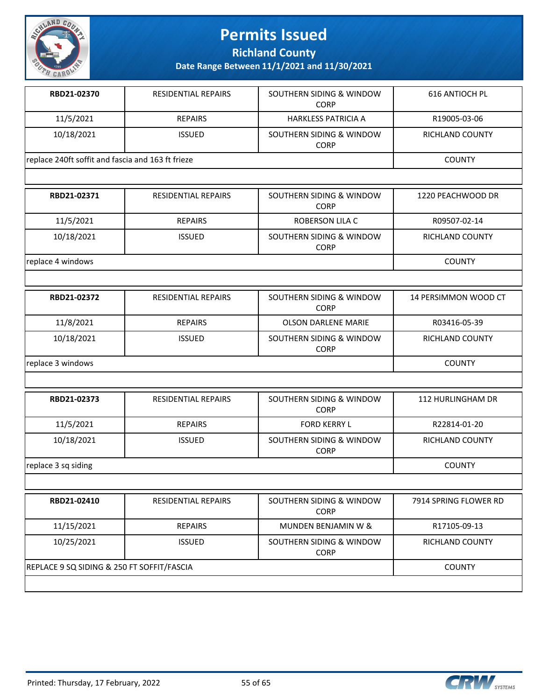

**Richland County**

| <b>RESIDENTIAL REPAIRS</b>                        | SOUTHERN SIDING & WINDOW<br><b>CORP</b> | 616 ANTIOCH PL  |
|---------------------------------------------------|-----------------------------------------|-----------------|
| <b>REPAIRS</b>                                    | <b>HARKLESS PATRICIA A</b>              | R19005-03-06    |
| <b>ISSUED</b>                                     | SOUTHERN SIDING & WINDOW<br>CORP        | RICHLAND COUNTY |
| replace 240ft soffit and fascia and 163 ft frieze |                                         | COUNTY          |
|                                                   |                                         |                 |

| RBD21-02371       | <b>RESIDENTIAL REPAIRS</b> | SOUTHERN SIDING & WINDOW<br><b>CORP</b> | 1220 PEACHWOOD DR |
|-------------------|----------------------------|-----------------------------------------|-------------------|
| 11/5/2021         | <b>REPAIRS</b>             | ROBERSON LILA C                         | R09507-02-14      |
| 10/18/2021        | <b>ISSUED</b>              | SOUTHERN SIDING & WINDOW<br><b>CORP</b> | RICHLAND COUNTY   |
| replace 4 windows | <b>COUNTY</b>              |                                         |                   |

| RBD21-02372       | <b>RESIDENTIAL REPAIRS</b> | SOUTHERN SIDING & WINDOW<br><b>CORP</b> | 14 PERSIMMON WOOD CT |
|-------------------|----------------------------|-----------------------------------------|----------------------|
| 11/8/2021         | REPAIRS                    | <b>OLSON DARLENE MARIE</b>              | R03416-05-39         |
| 10/18/2021        | <b>ISSUED</b>              | SOUTHERN SIDING & WINDOW<br><b>CORP</b> | RICHLAND COUNTY      |
| replace 3 windows |                            |                                         | <b>COUNTY</b>        |

| RBD21-02373         | <b>RESIDENTIAL REPAIRS</b> | SOUTHERN SIDING & WINDOW<br><b>CORP</b> | 112 HURLINGHAM DR      |
|---------------------|----------------------------|-----------------------------------------|------------------------|
| 11/5/2021           | <b>REPAIRS</b>             | <b>FORD KERRY L</b>                     | R22814-01-20           |
| 10/18/2021          | <b>ISSUED</b>              | SOUTHERN SIDING & WINDOW<br><b>CORP</b> | <b>RICHLAND COUNTY</b> |
| replace 3 sq siding |                            |                                         | <b>COUNTY</b>          |

| RBD21-02410                                | <b>RESIDENTIAL REPAIRS</b> | SOUTHERN SIDING & WINDOW<br><b>CORP</b> | 7914 SPRING FLOWER RD  |
|--------------------------------------------|----------------------------|-----------------------------------------|------------------------|
| 11/15/2021                                 | <b>REPAIRS</b>             | MUNDEN BENJAMIN W &                     | R17105-09-13           |
| 10/25/2021                                 | <b>ISSUED</b>              | SOUTHERN SIDING & WINDOW<br><b>CORP</b> | <b>RICHLAND COUNTY</b> |
| REPLACE 9 SQ SIDING & 250 FT SOFFIT/FASCIA |                            |                                         | <b>COUNTY</b>          |
|                                            |                            |                                         |                        |

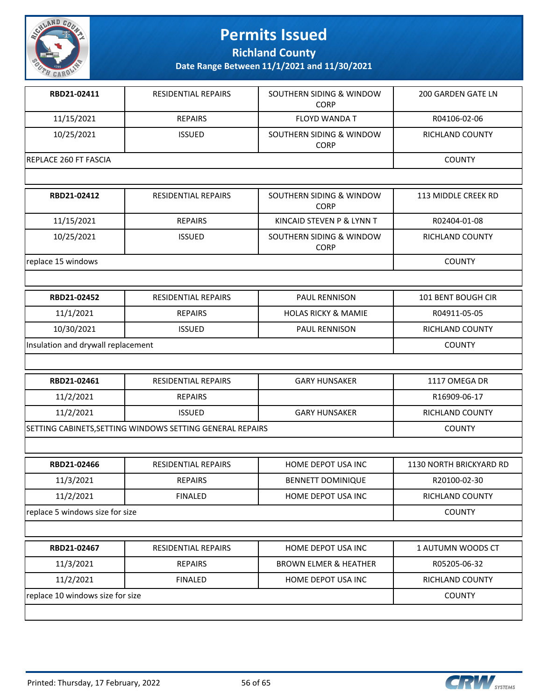

**Richland County**

| RBD21-02411                        | <b>RESIDENTIAL REPAIRS</b>                                | SOUTHERN SIDING & WINDOW<br><b>CORP</b> | <b>200 GARDEN GATE LN</b> |
|------------------------------------|-----------------------------------------------------------|-----------------------------------------|---------------------------|
| 11/15/2021                         | <b>REPAIRS</b>                                            | <b>FLOYD WANDA T</b>                    | R04106-02-06              |
| 10/25/2021                         | <b>ISSUED</b>                                             | SOUTHERN SIDING & WINDOW<br><b>CORP</b> | RICHLAND COUNTY           |
| REPLACE 260 FT FASCIA              |                                                           |                                         | <b>COUNTY</b>             |
|                                    |                                                           |                                         |                           |
| RBD21-02412                        | RESIDENTIAL REPAIRS                                       | SOUTHERN SIDING & WINDOW<br><b>CORP</b> | 113 MIDDLE CREEK RD       |
| 11/15/2021                         | <b>REPAIRS</b>                                            | KINCAID STEVEN P & LYNN T               | R02404-01-08              |
| 10/25/2021                         | <b>ISSUED</b>                                             | SOUTHERN SIDING & WINDOW<br><b>CORP</b> | RICHLAND COUNTY           |
| replace 15 windows                 |                                                           |                                         | <b>COUNTY</b>             |
|                                    |                                                           |                                         |                           |
| RBD21-02452                        | <b>RESIDENTIAL REPAIRS</b>                                | PAUL RENNISON                           | 101 BENT BOUGH CIR        |
| 11/1/2021                          | <b>REPAIRS</b>                                            | <b>HOLAS RICKY &amp; MAMIE</b>          | R04911-05-05              |
| 10/30/2021                         | <b>ISSUED</b>                                             | PAUL RENNISON                           | RICHLAND COUNTY           |
| Insulation and drywall replacement | <b>COUNTY</b>                                             |                                         |                           |
|                                    |                                                           |                                         |                           |
| RBD21-02461                        | RESIDENTIAL REPAIRS                                       | <b>GARY HUNSAKER</b>                    | 1117 OMEGA DR             |
| 11/2/2021                          | <b>REPAIRS</b>                                            |                                         | R16909-06-17              |
| 11/2/2021                          | <b>ISSUED</b>                                             | <b>GARY HUNSAKER</b>                    | RICHLAND COUNTY           |
|                                    | SETTING CABINETS, SETTING WINDOWS SETTING GENERAL REPAIRS |                                         | <b>COUNTY</b>             |
|                                    |                                                           |                                         |                           |
| RBD21-02466                        | <b>RESIDENTIAL REPAIRS</b>                                | HOME DEPOT USA INC                      | 1130 NORTH BRICKYARD RD   |
| 11/3/2021                          | <b>REPAIRS</b>                                            | <b>BENNETT DOMINIQUE</b>                | R20100-02-30              |
| 11/2/2021                          | <b>FINALED</b>                                            | HOME DEPOT USA INC                      | RICHLAND COUNTY           |
| replace 5 windows size for size    |                                                           |                                         | <b>COUNTY</b>             |
|                                    |                                                           |                                         |                           |
| RBD21-02467                        | <b>RESIDENTIAL REPAIRS</b>                                | HOME DEPOT USA INC                      | 1 AUTUMN WOODS CT         |
| 11/3/2021                          | <b>REPAIRS</b>                                            | <b>BROWN ELMER &amp; HEATHER</b>        | R05205-06-32              |
| 11/2/2021                          | <b>FINALED</b>                                            | HOME DEPOT USA INC                      | RICHLAND COUNTY           |
| replace 10 windows size for size   |                                                           |                                         | <b>COUNTY</b>             |

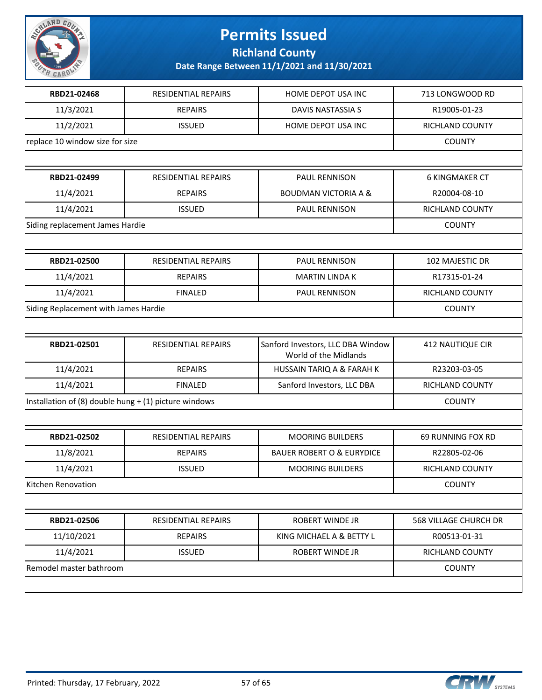

**Richland County**

| RBD21-02468                                             | <b>RESIDENTIAL REPAIRS</b> | HOME DEPOT USA INC                                         | 713 LONGWOOD RD          |
|---------------------------------------------------------|----------------------------|------------------------------------------------------------|--------------------------|
| 11/3/2021                                               | <b>REPAIRS</b>             | DAVIS NASTASSIA S                                          | R19005-01-23             |
| 11/2/2021                                               | <b>ISSUED</b>              | HOME DEPOT USA INC                                         | RICHLAND COUNTY          |
| replace 10 window size for size                         |                            |                                                            | <b>COUNTY</b>            |
|                                                         |                            |                                                            |                          |
| RBD21-02499                                             | RESIDENTIAL REPAIRS        | PAUL RENNISON                                              | <b>6 KINGMAKER CT</b>    |
| 11/4/2021                                               | <b>REPAIRS</b>             | <b>BOUDMAN VICTORIA A &amp;</b>                            | R20004-08-10             |
| 11/4/2021                                               | <b>ISSUED</b>              | PAUL RENNISON                                              | RICHLAND COUNTY          |
| Siding replacement James Hardie                         |                            |                                                            | <b>COUNTY</b>            |
|                                                         |                            |                                                            |                          |
| RBD21-02500                                             | <b>RESIDENTIAL REPAIRS</b> | PAUL RENNISON                                              | 102 MAJESTIC DR          |
| 11/4/2021                                               | <b>REPAIRS</b>             | <b>MARTIN LINDA K</b>                                      | R17315-01-24             |
| 11/4/2021                                               | <b>FINALED</b>             | PAUL RENNISON                                              | RICHLAND COUNTY          |
| Siding Replacement with James Hardie                    |                            |                                                            | <b>COUNTY</b>            |
|                                                         |                            |                                                            |                          |
| RBD21-02501                                             | RESIDENTIAL REPAIRS        | Sanford Investors, LLC DBA Window<br>World of the Midlands | <b>412 NAUTIQUE CIR</b>  |
| 11/4/2021                                               | <b>REPAIRS</b>             | HUSSAIN TARIQ A & FARAH K                                  | R23203-03-05             |
| 11/4/2021                                               | <b>FINALED</b>             | Sanford Investors, LLC DBA                                 | RICHLAND COUNTY          |
| Installation of (8) double hung $+$ (1) picture windows | <b>COUNTY</b>              |                                                            |                          |
|                                                         |                            |                                                            |                          |
| RBD21-02502                                             | RESIDENTIAL REPAIRS        | <b>MOORING BUILDERS</b>                                    | <b>69 RUNNING FOX RD</b> |
| 11/8/2021                                               | <b>REPAIRS</b>             | <b>BAUER ROBERT O &amp; EURYDICE</b>                       | R22805-02-06             |
| 11/4/2021                                               | <b>ISSUED</b>              | <b>MOORING BUILDERS</b>                                    | <b>RICHLAND COUNTY</b>   |
| Kitchen Renovation                                      |                            |                                                            | <b>COUNTY</b>            |
|                                                         |                            |                                                            |                          |
| RBD21-02506                                             | <b>RESIDENTIAL REPAIRS</b> | ROBERT WINDE JR                                            | 568 VILLAGE CHURCH DR    |
| 11/10/2021                                              | <b>REPAIRS</b>             | KING MICHAEL A & BETTY L                                   | R00513-01-31             |
| 11/4/2021                                               | <b>ISSUED</b>              | ROBERT WINDE JR                                            | RICHLAND COUNTY          |
| Remodel master bathroom                                 |                            |                                                            | <b>COUNTY</b>            |
|                                                         |                            |                                                            |                          |

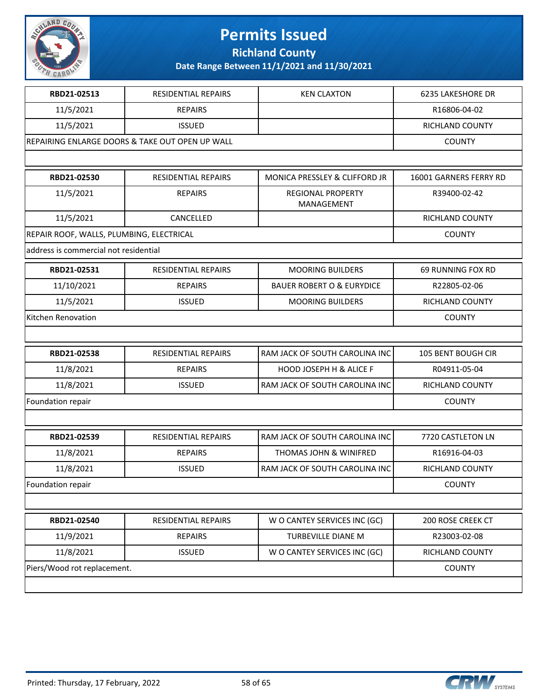

**Richland County**

| RBD21-02513                              | <b>RESIDENTIAL REPAIRS</b>                      | <b>KEN CLAXTON</b>                     | 6235 LAKESHORE DR      |
|------------------------------------------|-------------------------------------------------|----------------------------------------|------------------------|
| 11/5/2021                                | <b>REPAIRS</b>                                  |                                        | R16806-04-02           |
| 11/5/2021                                | <b>ISSUED</b>                                   |                                        | RICHLAND COUNTY        |
|                                          | REPAIRING ENLARGE DOORS & TAKE OUT OPEN UP WALL |                                        | <b>COUNTY</b>          |
|                                          |                                                 |                                        |                        |
| RBD21-02530                              | <b>RESIDENTIAL REPAIRS</b>                      | MONICA PRESSLEY & CLIFFORD JR          | 16001 GARNERS FERRY RD |
| 11/5/2021                                | <b>REPAIRS</b>                                  | <b>REGIONAL PROPERTY</b><br>MANAGEMENT | R39400-02-42           |
| 11/5/2021                                | CANCELLED                                       |                                        | RICHLAND COUNTY        |
| REPAIR ROOF, WALLS, PLUMBING, ELECTRICAL |                                                 |                                        | <b>COUNTY</b>          |
| address is commercial not residential    |                                                 |                                        |                        |
| RBD21-02531                              | <b>RESIDENTIAL REPAIRS</b>                      | <b>MOORING BUILDERS</b>                | 69 RUNNING FOX RD      |
| 11/10/2021                               | <b>REPAIRS</b>                                  | <b>BAUER ROBERT O &amp; EURYDICE</b>   | R22805-02-06           |
| 11/5/2021                                | <b>ISSUED</b>                                   | <b>MOORING BUILDERS</b>                | <b>RICHLAND COUNTY</b> |
| Kitchen Renovation                       | <b>COUNTY</b>                                   |                                        |                        |
|                                          |                                                 |                                        |                        |
| RBD21-02538                              | RESIDENTIAL REPAIRS                             | RAM JACK OF SOUTH CAROLINA INC         | 105 BENT BOUGH CIR     |
| 11/8/2021                                | <b>REPAIRS</b>                                  | <b>HOOD JOSEPH H &amp; ALICE F</b>     | R04911-05-04           |
| 11/8/2021                                | <b>ISSUED</b>                                   | RAM JACK OF SOUTH CAROLINA INC         | RICHLAND COUNTY        |
| Foundation repair                        |                                                 |                                        | <b>COUNTY</b>          |
|                                          |                                                 |                                        |                        |
| RBD21-02539                              | <b>RESIDENTIAL REPAIRS</b>                      | RAM JACK OF SOUTH CAROLINA INC         | 7720 CASTLETON LN      |
| 11/8/2021                                | <b>REPAIRS</b>                                  | <b>THOMAS JOHN &amp; WINIFRED</b>      | R16916-04-03           |
| 11/8/2021                                | <b>ISSUED</b>                                   | RAM JACK OF SOUTH CAROLINA INC         | RICHLAND COUNTY        |
| Foundation repair                        |                                                 |                                        | <b>COUNTY</b>          |
|                                          |                                                 |                                        |                        |
| RBD21-02540                              | RESIDENTIAL REPAIRS                             | W O CANTEY SERVICES INC (GC)           | 200 ROSE CREEK CT      |
| 11/9/2021                                | <b>REPAIRS</b>                                  | TURBEVILLE DIANE M                     | R23003-02-08           |
| 11/8/2021                                | <b>ISSUED</b>                                   | W O CANTEY SERVICES INC (GC)           | RICHLAND COUNTY        |
| Piers/Wood rot replacement.              |                                                 |                                        | <b>COUNTY</b>          |
|                                          |                                                 |                                        |                        |

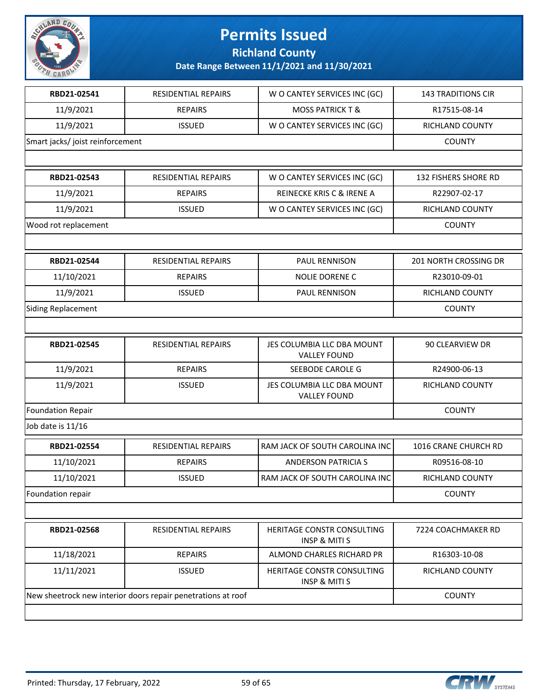

**Richland County**

| RBD21-02541                      | <b>RESIDENTIAL REPAIRS</b>                                   | W O CANTEY SERVICES INC (GC)                           | 143 TRADITIONS CIR    |
|----------------------------------|--------------------------------------------------------------|--------------------------------------------------------|-----------------------|
| 11/9/2021                        | <b>REPAIRS</b>                                               | <b>MOSS PATRICK T &amp;</b>                            | R17515-08-14          |
| 11/9/2021                        | <b>ISSUED</b>                                                | W O CANTEY SERVICES INC (GC)                           | RICHLAND COUNTY       |
| Smart jacks/ joist reinforcement |                                                              |                                                        | <b>COUNTY</b>         |
|                                  |                                                              |                                                        |                       |
| RBD21-02543                      | RESIDENTIAL REPAIRS                                          | W O CANTEY SERVICES INC (GC)                           | 132 FISHERS SHORE RD  |
| 11/9/2021                        | <b>REPAIRS</b>                                               | <b>REINECKE KRIS C &amp; IRENE A</b>                   | R22907-02-17          |
| 11/9/2021                        | <b>ISSUED</b>                                                | W O CANTEY SERVICES INC (GC)                           | RICHLAND COUNTY       |
| Wood rot replacement             |                                                              |                                                        | <b>COUNTY</b>         |
|                                  |                                                              |                                                        |                       |
| RBD21-02544                      | <b>RESIDENTIAL REPAIRS</b>                                   | PAUL RENNISON                                          | 201 NORTH CROSSING DR |
| 11/10/2021                       | <b>REPAIRS</b>                                               | NOLIE DORENE C                                         | R23010-09-01          |
| 11/9/2021                        | <b>ISSUED</b>                                                | PAUL RENNISON                                          | RICHLAND COUNTY       |
| <b>Siding Replacement</b>        |                                                              |                                                        | <b>COUNTY</b>         |
|                                  |                                                              |                                                        |                       |
| RBD21-02545                      | RESIDENTIAL REPAIRS                                          | JES COLUMBIA LLC DBA MOUNT<br><b>VALLEY FOUND</b>      | 90 CLEARVIEW DR       |
| 11/9/2021                        | <b>REPAIRS</b>                                               | SEEBODE CAROLE G                                       | R24900-06-13          |
| 11/9/2021                        | <b>ISSUED</b>                                                | JES COLUMBIA LLC DBA MOUNT<br><b>VALLEY FOUND</b>      | RICHLAND COUNTY       |
| <b>Foundation Repair</b>         |                                                              |                                                        | <b>COUNTY</b>         |
| Job date is 11/16                |                                                              |                                                        |                       |
| RBD21-02554                      | <b>RESIDENTIAL REPAIRS</b>                                   | RAM JACK OF SOUTH CAROLINA INC                         | 1016 CRANE CHURCH RD  |
| 11/10/2021                       | <b>REPAIRS</b>                                               | <b>ANDERSON PATRICIA S</b>                             | R09516-08-10          |
| 11/10/2021                       | <b>ISSUED</b>                                                | RAM JACK OF SOUTH CAROLINA INC                         | RICHLAND COUNTY       |
| Foundation repair                |                                                              |                                                        | <b>COUNTY</b>         |
|                                  |                                                              |                                                        |                       |
| RBD21-02568                      | RESIDENTIAL REPAIRS                                          | HERITAGE CONSTR CONSULTING<br><b>INSP &amp; MITI S</b> | 7224 COACHMAKER RD    |
| 11/18/2021                       | <b>REPAIRS</b>                                               | ALMOND CHARLES RICHARD PR                              | R16303-10-08          |
| 11/11/2021                       | <b>ISSUED</b>                                                | HERITAGE CONSTR CONSULTING<br><b>INSP &amp; MITI S</b> | RICHLAND COUNTY       |
|                                  | New sheetrock new interior doors repair penetrations at roof |                                                        | <b>COUNTY</b>         |
|                                  |                                                              |                                                        |                       |

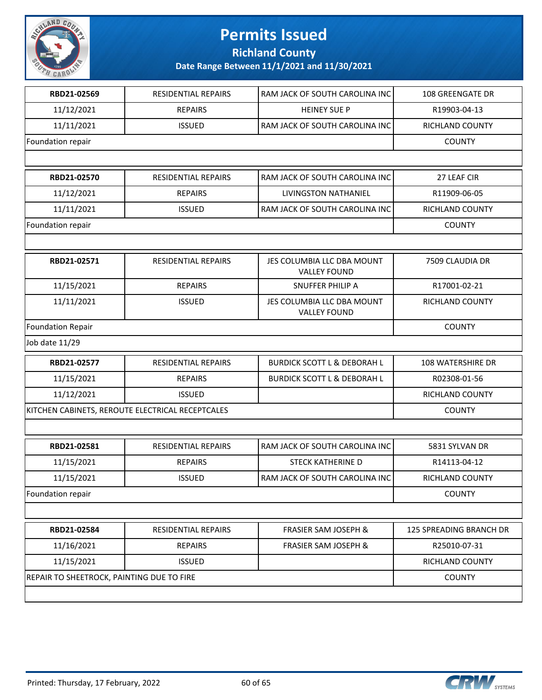

**Richland County**

| RBD21-02569                                      | <b>RESIDENTIAL REPAIRS</b> | RAM JACK OF SOUTH CAROLINA INC                    | 108 GREENGATE DR        |
|--------------------------------------------------|----------------------------|---------------------------------------------------|-------------------------|
| 11/12/2021                                       | <b>REPAIRS</b>             | <b>HEINEY SUE P</b>                               | R19903-04-13            |
| 11/11/2021                                       | <b>ISSUED</b>              | RAM JACK OF SOUTH CAROLINA INC                    | RICHLAND COUNTY         |
| Foundation repair                                |                            |                                                   | <b>COUNTY</b>           |
|                                                  |                            |                                                   |                         |
| RBD21-02570                                      | RESIDENTIAL REPAIRS        | RAM JACK OF SOUTH CAROLINA INC                    | 27 LEAF CIR             |
| 11/12/2021                                       | <b>REPAIRS</b>             | LIVINGSTON NATHANIEL                              | R11909-06-05            |
| 11/11/2021                                       | <b>ISSUED</b>              | RAM JACK OF SOUTH CAROLINA INC                    | RICHLAND COUNTY         |
| Foundation repair                                |                            |                                                   | <b>COUNTY</b>           |
|                                                  |                            |                                                   |                         |
| RBD21-02571                                      | RESIDENTIAL REPAIRS        | JES COLUMBIA LLC DBA MOUNT<br><b>VALLEY FOUND</b> | 7509 CLAUDIA DR         |
| 11/15/2021                                       | <b>REPAIRS</b>             | SNUFFER PHILIP A                                  | R17001-02-21            |
| 11/11/2021                                       | <b>ISSUED</b>              | JES COLUMBIA LLC DBA MOUNT<br><b>VALLEY FOUND</b> | RICHLAND COUNTY         |
| Foundation Repair                                | <b>COUNTY</b>              |                                                   |                         |
| Job date 11/29                                   |                            |                                                   |                         |
| RBD21-02577                                      | RESIDENTIAL REPAIRS        | <b>BURDICK SCOTT L &amp; DEBORAH L</b>            | 108 WATERSHIRE DR       |
| 11/15/2021                                       | <b>REPAIRS</b>             | <b>BURDICK SCOTT L &amp; DEBORAH L</b>            | R02308-01-56            |
| 11/12/2021                                       | <b>ISSUED</b>              |                                                   | RICHLAND COUNTY         |
| KITCHEN CABINETS, REROUTE ELECTRICAL RECEPTCALES | <b>COUNTY</b>              |                                                   |                         |
|                                                  |                            |                                                   |                         |
| RBD21-02581                                      | RESIDENTIAL REPAIRS        | RAM JACK OF SOUTH CAROLINA INC                    | 5831 SYLVAN DR          |
| 11/15/2021                                       | <b>REPAIRS</b>             | <b>STECK KATHERINE D</b>                          | R14113-04-12            |
| 11/15/2021                                       | <b>ISSUED</b>              | RAM JACK OF SOUTH CAROLINA INC                    | RICHLAND COUNTY         |
| Foundation repair                                |                            |                                                   | <b>COUNTY</b>           |
|                                                  |                            |                                                   |                         |
| RBD21-02584                                      | RESIDENTIAL REPAIRS        | <b>FRASIER SAM JOSEPH &amp;</b>                   | 125 SPREADING BRANCH DR |
| 11/16/2021                                       | <b>REPAIRS</b>             | <b>FRASIER SAM JOSEPH &amp;</b>                   | R25010-07-31            |
| 11/15/2021                                       | <b>ISSUED</b>              |                                                   | RICHLAND COUNTY         |
| REPAIR TO SHEETROCK, PAINTING DUE TO FIRE        |                            |                                                   | <b>COUNTY</b>           |
|                                                  |                            |                                                   |                         |

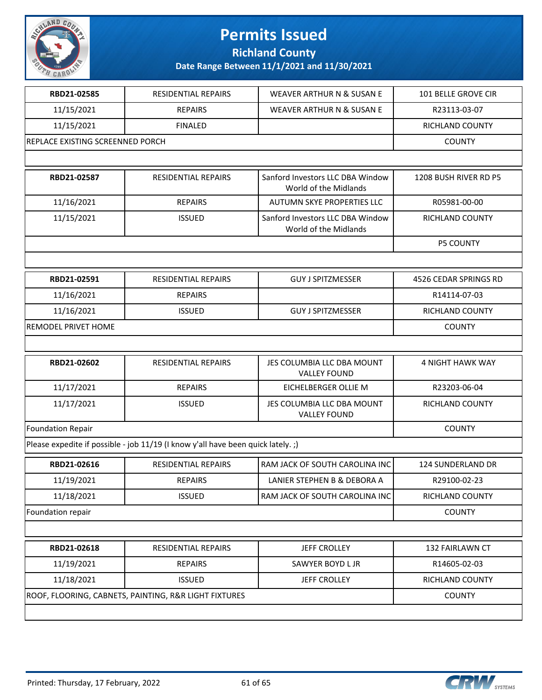

**Richland County**

| RBD21-02585                      | <b>RESIDENTIAL REPAIRS</b>                                                      | <b>WEAVER ARTHUR N &amp; SUSAN E</b>                      | <b>101 BELLE GROVE CIR</b> |
|----------------------------------|---------------------------------------------------------------------------------|-----------------------------------------------------------|----------------------------|
| 11/15/2021                       | <b>REPAIRS</b>                                                                  | WEAVER ARTHUR N & SUSAN E                                 | R23113-03-07               |
| 11/15/2021                       | <b>FINALED</b>                                                                  |                                                           | <b>RICHLAND COUNTY</b>     |
| REPLACE EXISTING SCREENNED PORCH |                                                                                 |                                                           | <b>COUNTY</b>              |
|                                  |                                                                                 |                                                           |                            |
| RBD21-02587                      | RESIDENTIAL REPAIRS                                                             | Sanford Investors LLC DBA Window<br>World of the Midlands | 1208 BUSH RIVER RD P5      |
| 11/16/2021                       | <b>REPAIRS</b>                                                                  | AUTUMN SKYE PROPERTIES LLC                                | R05981-00-00               |
| 11/15/2021                       | <b>ISSUED</b>                                                                   | Sanford Investors LLC DBA Window<br>World of the Midlands | RICHLAND COUNTY            |
|                                  |                                                                                 |                                                           | <b>P5 COUNTY</b>           |
|                                  |                                                                                 |                                                           |                            |
| RBD21-02591                      | <b>RESIDENTIAL REPAIRS</b>                                                      | <b>GUY J SPITZMESSER</b>                                  | 4526 CEDAR SPRINGS RD      |
| 11/16/2021                       | <b>REPAIRS</b>                                                                  |                                                           | R14114-07-03               |
| 11/16/2021                       | <b>ISSUED</b>                                                                   | <b>GUY J SPITZMESSER</b>                                  | <b>RICHLAND COUNTY</b>     |
| <b>REMODEL PRIVET HOME</b>       | <b>COUNTY</b>                                                                   |                                                           |                            |
|                                  |                                                                                 |                                                           |                            |
| RBD21-02602                      | <b>RESIDENTIAL REPAIRS</b>                                                      | JES COLUMBIA LLC DBA MOUNT<br><b>VALLEY FOUND</b>         | <b>4 NIGHT HAWK WAY</b>    |
| 11/17/2021                       | <b>REPAIRS</b>                                                                  | EICHELBERGER OLLIE M                                      | R23203-06-04               |
| 11/17/2021                       | <b>ISSUED</b>                                                                   | JES COLUMBIA LLC DBA MOUNT<br><b>VALLEY FOUND</b>         | <b>RICHLAND COUNTY</b>     |
| <b>Foundation Repair</b>         |                                                                                 |                                                           | <b>COUNTY</b>              |
|                                  | Please expedite if possible - job 11/19 (I know y'all have been quick lately.;) |                                                           |                            |
| RBD21-02616                      | <b>RESIDENTIAL REPAIRS</b>                                                      | RAM JACK OF SOUTH CAROLINA INC                            | 124 SUNDERLAND DR          |
| 11/19/2021                       | <b>REPAIRS</b>                                                                  | LANIER STEPHEN B & DEBORA A                               | R29100-02-23               |
| 11/18/2021                       | <b>ISSUED</b>                                                                   | RAM JACK OF SOUTH CAROLINA INC                            | RICHLAND COUNTY            |
| Foundation repair                |                                                                                 |                                                           | <b>COUNTY</b>              |
|                                  |                                                                                 |                                                           |                            |
| RBD21-02618                      | <b>RESIDENTIAL REPAIRS</b>                                                      | <b>JEFF CROLLEY</b>                                       | 132 FAIRLAWN CT            |
| 11/19/2021                       | <b>REPAIRS</b>                                                                  | SAWYER BOYD L JR                                          | R14605-02-03               |
| 11/18/2021                       | <b>ISSUED</b>                                                                   | <b>JEFF CROLLEY</b>                                       | RICHLAND COUNTY            |
|                                  | ROOF, FLOORING, CABNETS, PAINTING, R&R LIGHT FIXTURES                           |                                                           | <b>COUNTY</b>              |
|                                  |                                                                                 |                                                           |                            |

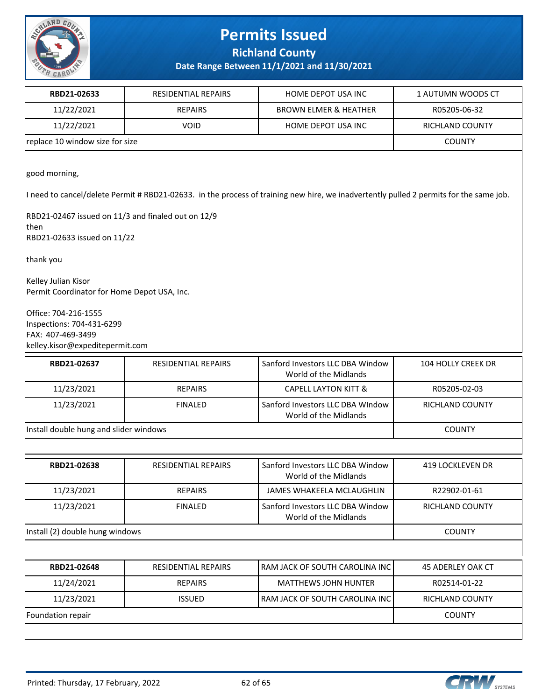

**Richland County**

| RBD21-02633                                                                                                                                                                                                                                                                                                                                                                                                        | RESIDENTIAL REPAIRS        | HOME DEPOT USA INC                                        | 1 AUTUMN WOODS CT  |  |
|--------------------------------------------------------------------------------------------------------------------------------------------------------------------------------------------------------------------------------------------------------------------------------------------------------------------------------------------------------------------------------------------------------------------|----------------------------|-----------------------------------------------------------|--------------------|--|
| 11/22/2021                                                                                                                                                                                                                                                                                                                                                                                                         | <b>REPAIRS</b>             | <b>BROWN ELMER &amp; HEATHER</b>                          | R05205-06-32       |  |
| 11/22/2021                                                                                                                                                                                                                                                                                                                                                                                                         | <b>VOID</b>                | HOME DEPOT USA INC                                        | RICHLAND COUNTY    |  |
| replace 10 window size for size                                                                                                                                                                                                                                                                                                                                                                                    |                            |                                                           | <b>COUNTY</b>      |  |
| good morning,<br>I need to cancel/delete Permit # RBD21-02633. in the process of training new hire, we inadvertently pulled 2 permits for the same job.<br>RBD21-02467 issued on 11/3 and finaled out on 12/9<br> then<br>RBD21-02633 issued on 11/22<br>thank you<br>Kelley Julian Kisor<br>Permit Coordinator for Home Depot USA, Inc.<br>Office: 704-216-1555<br>Inspections: 704-431-6299<br>FAX: 407-469-3499 |                            |                                                           |                    |  |
| kelley.kisor@expeditepermit.com                                                                                                                                                                                                                                                                                                                                                                                    |                            |                                                           |                    |  |
| RBD21-02637                                                                                                                                                                                                                                                                                                                                                                                                        | RESIDENTIAL REPAIRS        | Sanford Investors LLC DBA Window<br>World of the Midlands | 104 HOLLY CREEK DR |  |
| 11/23/2021                                                                                                                                                                                                                                                                                                                                                                                                         | <b>REPAIRS</b>             | <b>CAPELL LAYTON KITT &amp;</b>                           | R05205-02-03       |  |
| 11/23/2021                                                                                                                                                                                                                                                                                                                                                                                                         | <b>FINALED</b>             | Sanford Investors LLC DBA WIndow<br>World of the Midlands | RICHLAND COUNTY    |  |
| Install double hung and slider windows                                                                                                                                                                                                                                                                                                                                                                             | <b>COUNTY</b>              |                                                           |                    |  |
|                                                                                                                                                                                                                                                                                                                                                                                                                    |                            |                                                           |                    |  |
| RBD21-02638                                                                                                                                                                                                                                                                                                                                                                                                        | RESIDENTIAL REPAIRS        | Sanford Investors LLC DBA Window<br>World of the Midlands | 419 LOCKLEVEN DR   |  |
| 11/23/2021                                                                                                                                                                                                                                                                                                                                                                                                         | <b>REPAIRS</b>             | JAMES WHAKEELA MCLAUGHLIN                                 | R22902-01-61       |  |
| 11/23/2021                                                                                                                                                                                                                                                                                                                                                                                                         | <b>FINALED</b>             | Sanford Investors LLC DBA Window<br>World of the Midlands | RICHLAND COUNTY    |  |
| Install (2) double hung windows                                                                                                                                                                                                                                                                                                                                                                                    | <b>COUNTY</b>              |                                                           |                    |  |
|                                                                                                                                                                                                                                                                                                                                                                                                                    |                            |                                                           |                    |  |
| RBD21-02648                                                                                                                                                                                                                                                                                                                                                                                                        | <b>RESIDENTIAL REPAIRS</b> | RAM JACK OF SOUTH CAROLINA INC                            | 45 ADERLEY OAK CT  |  |
| 11/24/2021                                                                                                                                                                                                                                                                                                                                                                                                         | <b>REPAIRS</b>             | <b>MATTHEWS JOHN HUNTER</b>                               | R02514-01-22       |  |
| 11/23/2021                                                                                                                                                                                                                                                                                                                                                                                                         | <b>ISSUED</b>              | RAM JACK OF SOUTH CAROLINA INC                            | RICHLAND COUNTY    |  |
| Foundation repair                                                                                                                                                                                                                                                                                                                                                                                                  |                            |                                                           | <b>COUNTY</b>      |  |
|                                                                                                                                                                                                                                                                                                                                                                                                                    |                            |                                                           |                    |  |

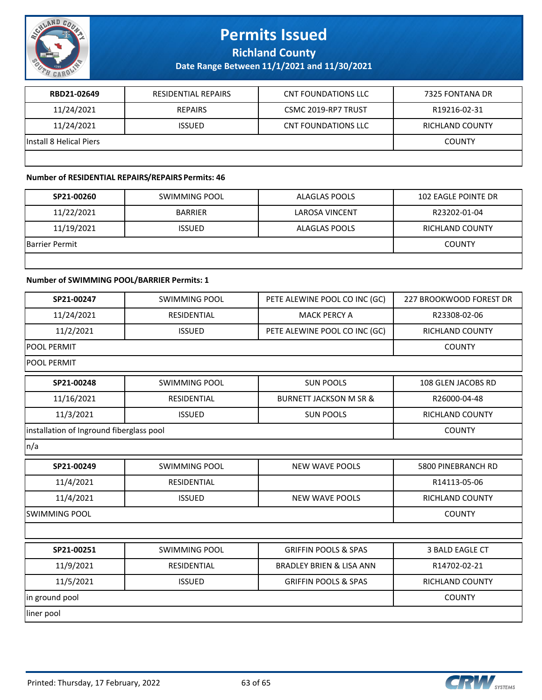

**Richland County**

**Date Range Between 11/1/2021 and 11/30/2021**

| RBD21-02649             | RESIDENTIAL REPAIRS | <b>CNT FOUNDATIONS LLC</b> | 7325 FONTANA DR |
|-------------------------|---------------------|----------------------------|-----------------|
| 11/24/2021              | REPAIRS             | CSMC 2019-RP7 TRUST        | R19216-02-31    |
| 11/24/2021              | <b>ISSUED</b>       | CNT FOUNDATIONS LLC        | RICHLAND COUNTY |
| Install 8 Helical Piers |                     |                            | <b>COUNTY</b>   |
|                         |                     |                            |                 |

#### **Number of RESIDENTIAL REPAIRS/REPAIRS Permits: 46**

| SP21-00260            | SWIMMING POOL  | ALAGLAS POOLS         | <b>102 EAGLE POINTE DR</b> |
|-----------------------|----------------|-----------------------|----------------------------|
| 11/22/2021            | <b>BARRIER</b> | <b>LAROSA VINCENT</b> | R23202-01-04               |
| 11/19/2021            | <b>ISSUED</b>  | ALAGLAS POOLS         | RICHLAND COUNTY            |
| <b>Barrier Permit</b> |                |                       | <b>COUNTY</b>              |
|                       |                |                       |                            |

#### **Number of SWIMMING POOL/BARRIER Permits: 1**

| SP21-00247                               | <b>SWIMMING POOL</b> | PETE ALEWINE POOL CO INC (GC)       | 227 BROOKWOOD FOREST DR |
|------------------------------------------|----------------------|-------------------------------------|-------------------------|
| 11/24/2021                               | <b>RESIDENTIAL</b>   | <b>MACK PERCY A</b>                 | R23308-02-06            |
| 11/2/2021                                | <b>ISSUED</b>        | PETE ALEWINE POOL CO INC (GC)       | RICHLAND COUNTY         |
| <b>POOL PERMIT</b>                       | <b>COUNTY</b>        |                                     |                         |
| <b>POOL PERMIT</b>                       |                      |                                     |                         |
| SP21-00248                               | <b>SWIMMING POOL</b> | <b>SUN POOLS</b>                    | 108 GLEN JACOBS RD      |
| 11/16/2021                               | <b>RESIDENTIAL</b>   | <b>BURNETT JACKSON M SR &amp;</b>   | R26000-04-48            |
| 11/3/2021                                | <b>ISSUED</b>        | <b>SUN POOLS</b>                    | <b>RICHLAND COUNTY</b>  |
| installation of Inground fiberglass pool |                      |                                     | <b>COUNTY</b>           |
| n/a                                      |                      |                                     |                         |
| SP21-00249                               | <b>SWIMMING POOL</b> | <b>NEW WAVE POOLS</b>               | 5800 PINEBRANCH RD      |
| 11/4/2021                                | <b>RESIDENTIAL</b>   |                                     | R14113-05-06            |
| 11/4/2021                                | <b>ISSUED</b>        | <b>NEW WAVE POOLS</b>               | RICHLAND COUNTY         |
| <b>SWIMMING POOL</b>                     | <b>COUNTY</b>        |                                     |                         |
|                                          |                      |                                     |                         |
| SP21-00251                               | <b>SWIMMING POOL</b> | <b>GRIFFIN POOLS &amp; SPAS</b>     | 3 BALD EAGLE CT         |
| 11/9/2021                                | <b>RESIDENTIAL</b>   | <b>BRADLEY BRIEN &amp; LISA ANN</b> | R14702-02-21            |
| 11/5/2021                                | <b>ISSUED</b>        | <b>GRIFFIN POOLS &amp; SPAS</b>     | <b>RICHLAND COUNTY</b>  |
| in ground pool                           |                      |                                     | <b>COUNTY</b>           |
| liner pool                               |                      |                                     |                         |

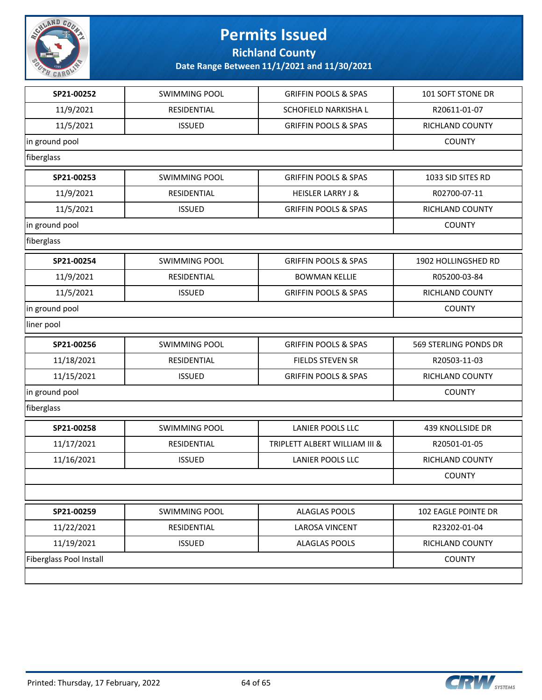

**Richland County**

| SP21-00252                     | <b>SWIMMING POOL</b> | <b>GRIFFIN POOLS &amp; SPAS</b> | 101 SOFT STONE DR       |
|--------------------------------|----------------------|---------------------------------|-------------------------|
| 11/9/2021                      | <b>RESIDENTIAL</b>   | <b>SCHOFIELD NARKISHA L</b>     | R20611-01-07            |
| 11/5/2021                      | <b>ISSUED</b>        | <b>GRIFFIN POOLS &amp; SPAS</b> | RICHLAND COUNTY         |
| in ground pool                 | <b>COUNTY</b>        |                                 |                         |
| fiberglass                     |                      |                                 |                         |
| SP21-00253                     | <b>SWIMMING POOL</b> | <b>GRIFFIN POOLS &amp; SPAS</b> | 1033 SID SITES RD       |
| 11/9/2021                      | RESIDENTIAL          | <b>HEISLER LARRY J &amp;</b>    | R02700-07-11            |
| 11/5/2021                      | <b>ISSUED</b>        | <b>GRIFFIN POOLS &amp; SPAS</b> | RICHLAND COUNTY         |
| in ground pool                 | <b>COUNTY</b>        |                                 |                         |
| fiberglass                     |                      |                                 |                         |
| SP21-00254                     | <b>SWIMMING POOL</b> | <b>GRIFFIN POOLS &amp; SPAS</b> | 1902 HOLLINGSHED RD     |
| 11/9/2021                      | <b>RESIDENTIAL</b>   | <b>BOWMAN KELLIE</b>            | R05200-03-84            |
| 11/5/2021                      | <b>ISSUED</b>        | <b>GRIFFIN POOLS &amp; SPAS</b> | RICHLAND COUNTY         |
| in ground pool                 |                      |                                 | <b>COUNTY</b>           |
| liner pool                     |                      |                                 |                         |
| SP21-00256                     | <b>SWIMMING POOL</b> | <b>GRIFFIN POOLS &amp; SPAS</b> | 569 STERLING PONDS DR   |
| 11/18/2021                     | RESIDENTIAL          | <b>FIELDS STEVEN SR</b>         | R20503-11-03            |
| 11/15/2021                     | <b>ISSUED</b>        | <b>GRIFFIN POOLS &amp; SPAS</b> | RICHLAND COUNTY         |
| in ground pool                 |                      |                                 | <b>COUNTY</b>           |
| fiberglass                     |                      |                                 |                         |
| SP21-00258                     | <b>SWIMMING POOL</b> | <b>LANIER POOLS LLC</b>         | <b>439 KNOLLSIDE DR</b> |
| 11/17/2021                     | <b>RESIDENTIAL</b>   | TRIPLETT ALBERT WILLIAM III &   | R20501-01-05            |
| 11/16/2021                     | <b>ISSUED</b>        | LANIER POOLS LLC                | RICHLAND COUNTY         |
|                                |                      |                                 | <b>COUNTY</b>           |
|                                |                      |                                 |                         |
| SP21-00259                     | <b>SWIMMING POOL</b> | <b>ALAGLAS POOLS</b>            | 102 EAGLE POINTE DR     |
| 11/22/2021                     | RESIDENTIAL          | <b>LAROSA VINCENT</b>           | R23202-01-04            |
| 11/19/2021                     | <b>ISSUED</b>        | <b>ALAGLAS POOLS</b>            | RICHLAND COUNTY         |
| <b>Fiberglass Pool Install</b> | <b>COUNTY</b>        |                                 |                         |
|                                |                      |                                 |                         |